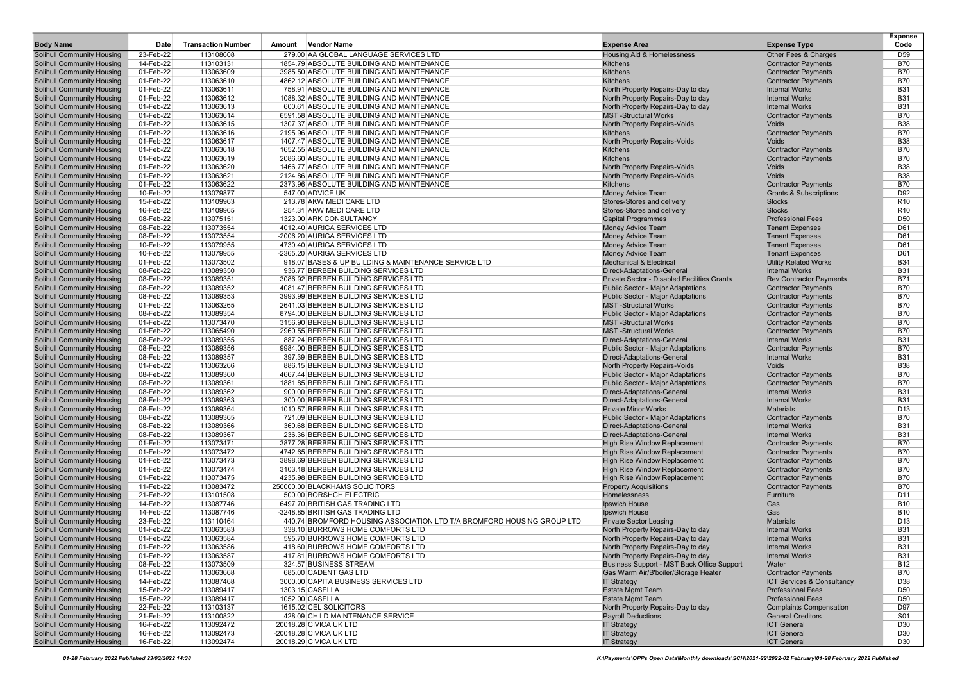| <b>Body Name</b>                                                       | Date                   | <b>Transaction Number</b> | <b>Vendor Name</b><br>Amount                                                                | <b>Expense Area</b>                                                       | <b>Expense Type</b>                                     | <b>Expense</b><br>Code        |
|------------------------------------------------------------------------|------------------------|---------------------------|---------------------------------------------------------------------------------------------|---------------------------------------------------------------------------|---------------------------------------------------------|-------------------------------|
| <b>Solihull Community Housing</b>                                      | 23-Feb-22              | 113108608                 | 279.00 AA GLOBAL LANGUAGE SERVICES LTD                                                      | <b>Housing Aid &amp; Homelessness</b>                                     | Other Fees & Charges                                    | D <sub>59</sub>               |
| <b>Solihull Community Housing</b>                                      | 14-Feb-22              | 113103131                 | 1854.79 ABSOLUTE BUILDING AND MAINTENANCE                                                   | <b>Kitchens</b>                                                           | <b>Contractor Payments</b>                              | <b>B70</b>                    |
| Solihull Community Housing                                             | 01-Feb-22              | 113063609                 | 3985.50 ABSOLUTE BUILDING AND MAINTENANCE                                                   | <b>Kitchens</b>                                                           | <b>Contractor Payments</b>                              | <b>B70</b>                    |
| <b>Solihull Community Housing</b>                                      | 01-Feb-22              | 113063610                 | 4862.12 ABSOLUTE BUILDING AND MAINTENANCE                                                   | <b>Kitchens</b>                                                           | <b>Contractor Payments</b>                              | <b>B70</b>                    |
| <b>Solihull Community Housing</b><br><b>Solihull Community Housing</b> | 01-Feb-22<br>01-Feb-22 | 113063611<br>113063612    | 758.91 ABSOLUTE BUILDING AND MAINTENANCE<br>1088.32 ABSOLUTE BUILDING AND MAINTENANCE       | North Property Repairs-Day to day                                         | <b>Internal Works</b><br><b>Internal Works</b>          | <b>B31</b><br><b>B31</b>      |
| <b>Solihull Community Housing</b>                                      | 01-Feb-22              | 113063613                 | 600.61 ABSOLUTE BUILDING AND MAINTENANCE                                                    | North Property Repairs-Day to day<br>North Property Repairs-Day to day    | <b>Internal Works</b>                                   | <b>B31</b>                    |
| <b>Solihull Community Housing</b>                                      | 01-Feb-22              | 113063614                 | 6591.58 ABSOLUTE BUILDING AND MAINTENANCE                                                   | <b>MST-Structural Works</b>                                               | <b>Contractor Payments</b>                              | <b>B70</b>                    |
| <b>Solihull Community Housing</b>                                      | 01-Feb-22              | 113063615                 | 1307.37 ABSOLUTE BUILDING AND MAINTENANCE                                                   | North Property Repairs-Voids                                              | Voids                                                   | <b>B38</b>                    |
| <b>Solihull Community Housing</b>                                      | 01-Feb-22              | 113063616                 | 2195.96 ABSOLUTE BUILDING AND MAINTENANCE                                                   | <b>Kitchens</b>                                                           | <b>Contractor Payments</b>                              | <b>B70</b>                    |
| <b>Solihull Community Housing</b>                                      | 01-Feb-22              | 113063617                 | 1407.47 ABSOLUTE BUILDING AND MAINTENANCE                                                   | North Property Repairs-Voids                                              | Voids                                                   | <b>B38</b>                    |
| Solihull Community Housing                                             | 01-Feb-22              | 113063618                 | 1652.55 ABSOLUTE BUILDING AND MAINTENANCE                                                   | <b>Kitchens</b>                                                           | <b>Contractor Payments</b>                              | <b>B70</b>                    |
| <b>Solihull Community Housing</b>                                      | 01-Feb-22              | 113063619                 | 2086.60 ABSOLUTE BUILDING AND MAINTENANCE                                                   | <b>Kitchens</b>                                                           | <b>Contractor Payments</b>                              | <b>B70</b>                    |
| <b>Solihull Community Housing</b>                                      | 01-Feb-22              | 113063620                 | 1466.77 ABSOLUTE BUILDING AND MAINTENANCE                                                   | North Property Repairs-Voids                                              | Voids                                                   | <b>B38</b>                    |
| <b>Solihull Community Housing</b>                                      | 01-Feb-22              | 113063621                 | 2124.86 ABSOLUTE BUILDING AND MAINTENANCE                                                   | North Property Repairs-Voids                                              | Voids<br><b>Contractor Payments</b>                     | <b>B38</b>                    |
| <b>Solihull Community Housing</b><br><b>Solihull Community Housing</b> | 01-Feb-22<br>10-Feb-22 | 113063622<br>113079877    | 2373.96 ABSOLUTE BUILDING AND MAINTENANCE<br>547.00 ADVICE UK                               | <b>Kitchens</b><br>Money Advice Team                                      | <b>Grants &amp; Subscriptions</b>                       | <b>B70</b><br>D92             |
| <b>Solihull Community Housing</b>                                      | 15-Feb-22              | 113109963                 | 213.78 AKW MEDI CARE LTD                                                                    | Stores-Stores and delivery                                                | <b>Stocks</b>                                           | R <sub>10</sub>               |
| <b>Solihull Community Housing</b>                                      | 16-Feb-22              | 113109965                 | 254.31 AKW MEDI CARE LTD                                                                    | Stores-Stores and delivery                                                | <b>Stocks</b>                                           | R <sub>10</sub>               |
| <b>Solihull Community Housing</b>                                      | 08-Feb-22              | 113075151                 | 1323.00 ARK CONSULTANCY                                                                     | <b>Capital Programmes</b>                                                 | <b>Professional Fees</b>                                | D <sub>50</sub>               |
| <b>Solihull Community Housing</b>                                      | 08-Feb-22              | 113073554                 | 4012.40 AURIGA SERVICES LTD                                                                 | Money Advice Team                                                         | <b>Tenant Expenses</b>                                  | D61                           |
| <b>Solihull Community Housing</b>                                      | 08-Feb-22              | 113073554                 | -2006.20 AURIGA SERVICES LTD                                                                | Money Advice Team                                                         | <b>Tenant Expenses</b>                                  | D61                           |
| <b>Solihull Community Housing</b>                                      | 10-Feb-22              | 113079955                 | 4730.40 AURIGA SERVICES LTD                                                                 | Money Advice Team                                                         | <b>Tenant Expenses</b>                                  | D61                           |
| <b>Solihull Community Housing</b>                                      | 10-Feb-22              | 113079955                 | -2365.20 AURIGA SERVICES LTD                                                                | Money Advice Team                                                         | <b>Tenant Expenses</b>                                  | D61                           |
| <b>Solihull Community Housing</b>                                      | 01-Feb-22              | 113073502                 | 918.07 BASES & UP BUILDING & MAINTENANCE SERVICE LTD<br>936.77 BERBEN BUILDING SERVICES LTD | <b>Mechanical &amp; Electrical</b>                                        | <b>Utility Related Works</b>                            | <b>B34</b>                    |
| <b>Solihull Community Housing</b><br><b>Solihull Community Housing</b> | 08-Feb-22<br>08-Feb-22 | 113089350<br>113089351    | 3086.92 BERBEN BUILDING SERVICES LTD                                                        | Direct-Adaptations-General<br>Private Sector - Disabled Facilities Grants | <b>Internal Works</b><br><b>Rev Contractor Payments</b> | <b>B31</b><br><b>B71</b>      |
| Solihull Community Housing                                             | 08-Feb-22              | 113089352                 | 4081.47 BERBEN BUILDING SERVICES LTD                                                        | <b>Public Sector - Major Adaptations</b>                                  | <b>Contractor Payments</b>                              | <b>B70</b>                    |
| <b>Solihull Community Housing</b>                                      | 08-Feb-22              | 113089353                 | 3993.99 BERBEN BUILDING SERVICES LTD                                                        | <b>Public Sector - Maior Adaptations</b>                                  | <b>Contractor Payments</b>                              | <b>B70</b>                    |
| <b>Solihull Community Housing</b>                                      | 01-Feb-22              | 113063265                 | 2641.03 BERBEN BUILDING SERVICES LTD                                                        | <b>MST-Structural Works</b>                                               | <b>Contractor Payments</b>                              | <b>B70</b>                    |
| <b>Solihull Community Housing</b>                                      | 08-Feb-22              | 113089354                 | 8794.00 BERBEN BUILDING SERVICES LTD                                                        | <b>Public Sector - Maior Adaptations</b>                                  | <b>Contractor Payments</b>                              | <b>B70</b>                    |
| <b>Solihull Community Housing</b>                                      | 01-Feb-22              | 113073470                 | 3156.90 BERBEN BUILDING SERVICES LTD                                                        | <b>MST-Structural Works</b>                                               | <b>Contractor Payments</b>                              | <b>B70</b>                    |
| Solihull Community Housing                                             | 01-Feb-22              | 113065490                 | 2960.55 BERBEN BUILDING SERVICES LTD                                                        | <b>MST-Structural Works</b>                                               | <b>Contractor Payments</b>                              | <b>B70</b>                    |
| <b>Solihull Community Housing</b>                                      | 08-Feb-22              | 113089355                 | 887.24 BERBEN BUILDING SERVICES LTD                                                         | <b>Direct-Adaptations-General</b>                                         | <b>Internal Works</b>                                   | <b>B31</b><br><b>B70</b>      |
| <b>Solihull Community Housing</b><br><b>Solihull Community Housing</b> | 08-Feb-22<br>08-Feb-22 | 113089356<br>113089357    | 9984.00 BERBEN BUILDING SERVICES LTD<br>397.39 BERBEN BUILDING SERVICES LTD                 | <b>Public Sector - Major Adaptations</b><br>Direct-Adaptations-General    | <b>Contractor Payments</b><br><b>Internal Works</b>     | <b>B31</b>                    |
| <b>Solihull Community Housing</b>                                      | 01-Feb-22              | 113063266                 | 886.15 BERBEN BUILDING SERVICES LTD                                                         | North Property Repairs-Voids                                              | Voids                                                   | <b>B38</b>                    |
| <b>Solihull Community Housing</b>                                      | 08-Feb-22              | 113089360                 | 4667.44 BERBEN BUILDING SERVICES LTD                                                        | <b>Public Sector - Major Adaptations</b>                                  | <b>Contractor Payments</b>                              | <b>B70</b>                    |
| <b>Solihull Community Housing</b>                                      | 08-Feb-22              | 113089361                 | 1881.85 BERBEN BUILDING SERVICES LTD                                                        | Public Sector - Major Adaptations                                         | <b>Contractor Payments</b>                              | <b>B70</b>                    |
| <b>Solihull Community Housing</b>                                      | 08-Feb-22              | 113089362                 | 900.00 BERBEN BUILDING SERVICES LTD                                                         | Direct-Adaptations-General                                                | <b>Internal Works</b>                                   | <b>B31</b>                    |
| <b>Solihull Community Housing</b>                                      | 08-Feb-22              | 113089363                 | 300.00 BERBEN BUILDING SERVICES LTD                                                         | Direct-Adaptations-General                                                | <b>Internal Works</b>                                   | <b>B31</b>                    |
| <b>Solihull Community Housing</b>                                      | 08-Feb-22              | 113089364                 | 1010.57 BERBEN BUILDING SERVICES LTD                                                        | <b>Private Minor Works</b>                                                | <b>Materials</b>                                        | D <sub>13</sub>               |
| <b>Solihull Community Housing</b><br><b>Solihull Community Housing</b> | 08-Feb-22<br>08-Feb-22 | 113089365<br>113089366    | 721.09 BERBEN BUILDING SERVICES LTD<br>360.68 BERBEN BUILDING SERVICES LTD                  | Public Sector - Major Adaptations<br>Direct-Adaptations-General           | <b>Contractor Payments</b><br><b>Internal Works</b>     | <b>B70</b><br><b>B31</b>      |
| <b>Solihull Community Housing</b>                                      | 08-Feb-22              | 113089367                 | 236.36 BERBEN BUILDING SERVICES LTD                                                         | Direct-Adaptations-General                                                | <b>Internal Works</b>                                   | <b>B31</b>                    |
| <b>Solihull Community Housing</b>                                      | 01-Feb-22              | 113073471                 | 3877.28 BERBEN BUILDING SERVICES LTD                                                        | <b>High Rise Window Replacement</b>                                       | <b>Contractor Payments</b>                              | <b>B70</b>                    |
| <b>Solihull Community Housing</b>                                      | 01-Feb-22              | 113073472                 | 4742.65 BERBEN BUILDING SERVICES LTD                                                        | <b>High Rise Window Replacement</b>                                       | <b>Contractor Payments</b>                              | <b>B70</b>                    |
| <b>Solihull Community Housing</b>                                      | 01-Feb-22              | 113073473                 | 3898.69 BERBEN BUILDING SERVICES LTD                                                        | High Rise Window Replacement                                              | <b>Contractor Payments</b>                              | <b>B70</b>                    |
| <b>Solihull Community Housing</b>                                      | 01-Feb-22              | 113073474                 | 3103.18 BERBEN BUILDING SERVICES LTD                                                        | High Rise Window Replacement                                              | <b>Contractor Payments</b>                              | <b>B70</b>                    |
| <b>Solihull Community Housing</b>                                      | 01-Feb-22              | 113073475                 | 4235.98 BERBEN BUILDING SERVICES LTD                                                        | <b>High Rise Window Replacement</b>                                       | <b>Contractor Payments</b>                              | <b>B70</b>                    |
| Solihull Community Housing                                             | 11-Feb-22              | 113083472                 | 250000.00 BLACKHAMS SOLICITORS                                                              | <b>Property Acquisitions</b>                                              | <b>Contractor Payments</b>                              | <b>B70</b>                    |
| Solihull Community Housing<br><b>Solihull Community Housing</b>        | 21-Feb-22<br>14-Feb-22 | 113101508<br>113087746    | 500.00 BORSHCH ELECTRIC<br>6497.70 BRITISH GAS TRADING LTD                                  | Homelessness<br>Ipswich House                                             | Furniture<br>Gas                                        | D <sub>11</sub><br><b>B10</b> |
| <b>Solihull Community Housing</b>                                      | 14-Feb-22              | 113087746                 | -3248.85 BRITISH GAS TRADING LTD                                                            | <b>Ipswich House</b>                                                      | Gas                                                     | <b>B10</b>                    |
| <b>Solihull Community Housing</b>                                      | 23-Feb-22              | 113110464                 | 440.74 BROMFORD HOUSING ASSOCIATION LTD T/A BROMFORD HOUSING GROUP LTD                      | <b>Private Sector Leasing</b>                                             | <b>Materials</b>                                        | D <sub>13</sub>               |
| Solihull Community Housing                                             | 01-Feb-22              | 113063583                 | 338.10 BURROWS HOME COMFORTS LTD                                                            | North Property Repairs-Day to day                                         | <b>Internal Works</b>                                   | <b>B31</b>                    |
| <b>Solihull Community Housing</b>                                      | 01-Feb-22              | 113063584                 | 595.70 BURROWS HOME COMFORTS LTD                                                            | North Property Repairs-Day to day                                         | <b>Internal Works</b>                                   | <b>B31</b>                    |
| <b>Solihull Community Housing</b>                                      | 01-Feb-22              | 113063586                 | 418.60 BURROWS HOME COMFORTS LTD                                                            | North Property Repairs-Day to day                                         | <b>Internal Works</b>                                   | B31                           |
| <b>Solihull Community Housing</b>                                      | 01-Feb-22              | 113063587                 | 417.81 BURROWS HOME COMFORTS LTD                                                            | North Property Repairs-Day to day                                         | <b>Internal Works</b>                                   | <b>B31</b>                    |
| <b>Solihull Community Housing</b>                                      | 08-Feb-22              | 113073509                 | 324.57 BUSINESS STREAM                                                                      | Business Support - MST Back Office Support                                | Water                                                   | B12                           |
| <b>Solihull Community Housing</b>                                      | 01-Feb-22              | 113063668                 | 685.00 CADENT GAS LTD                                                                       | Gas Warm Air/B'boiler/Storage Heater                                      | <b>Contractor Payments</b>                              | <b>B70</b>                    |
| <b>Solihull Community Housing</b><br><b>Solihull Community Housing</b> | 14-Feb-22<br>15-Feb-22 | 113087468<br>113089417    | 3000.00 CAPITA BUSINESS SERVICES LTD<br>1303.15 CASELLA                                     | <b>IT Strategy</b><br><b>Estate Mgmt Team</b>                             | ICT Services & Consultancy<br><b>Professional Fees</b>  | D38<br>D50                    |
| <b>Solihull Community Housing</b>                                      | 15-Feb-22              | 113089417                 | 1052.00 CASELLA                                                                             | <b>Estate Mgmt Team</b>                                                   | <b>Professional Fees</b>                                | D50                           |
| <b>Solihull Community Housing</b>                                      | 22-Feb-22              | 113103137                 | 1615.02 CEL SOLICITORS                                                                      | North Property Repairs-Day to day                                         | <b>Complaints Compensation</b>                          | D97                           |
| <b>Solihull Community Housing</b>                                      | 21-Feb-22              | 113100822                 | 428.09 CHILD MAINTENANCE SERVICE                                                            | <b>Payroll Deductions</b>                                                 | <b>General Creditors</b>                                | S01                           |
| <b>Solihull Community Housing</b>                                      | 16-Feb-22              | 113092472                 | 20018.28 CIVICA UK LTD                                                                      | <b>IT Strategy</b>                                                        | <b>ICT General</b>                                      | D30                           |
| <b>Solihull Community Housing</b>                                      | 16-Feb-22              | 113092473                 | -20018.28 CIVICA UK LTD                                                                     | <b>IT Strategy</b>                                                        | <b>ICT General</b>                                      | D30                           |
| Solihull Community Housing                                             | 16-Feb-22              | 113092474                 | 20018.29 CIVICA UK LTD                                                                      | <b>IT Strategy</b>                                                        | <b>ICT General</b>                                      | D30                           |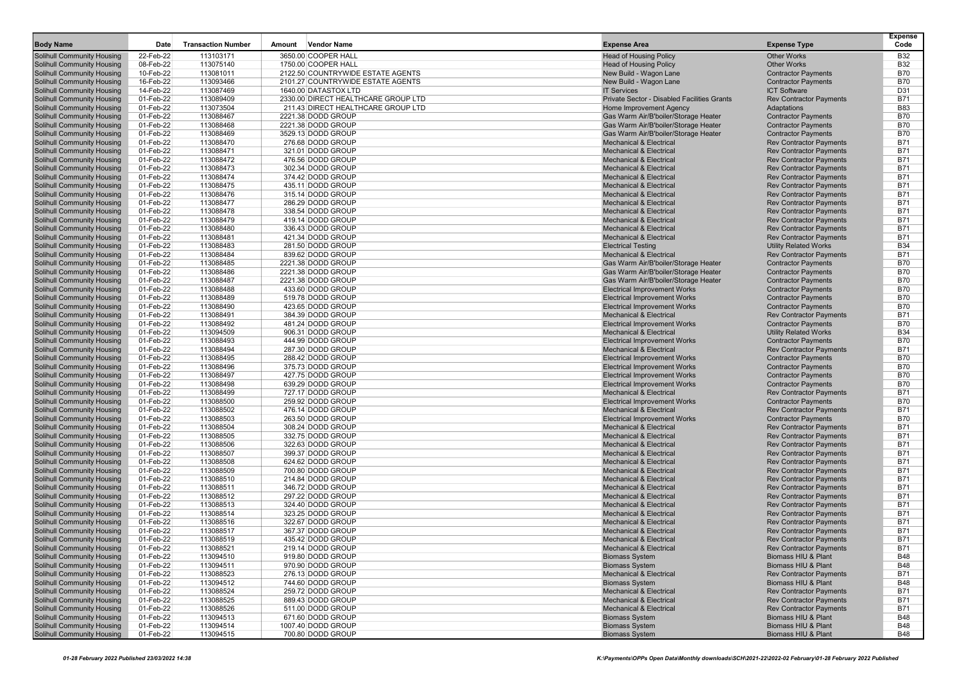| <b>Body Name</b>                                                       | Date                   | <b>Transaction Number</b> | Amount | <b>Vendor Name</b>                     | <b>Expense Area</b>                                                       | <b>Expense Type</b>                                              | <b>Expense</b><br>Code   |
|------------------------------------------------------------------------|------------------------|---------------------------|--------|----------------------------------------|---------------------------------------------------------------------------|------------------------------------------------------------------|--------------------------|
| <b>Solihull Community Housing</b>                                      | 22-Feb-22              | 113103171                 |        | 3650.00 COOPER HALL                    | <b>Head of Housing Policy</b>                                             | <b>Other Works</b>                                               | <b>B32</b>               |
| <b>Solihull Community Housing</b>                                      | 08-Feb-22              | 113075140                 |        | 1750.00 COOPER HALL                    | <b>Head of Housing Policy</b>                                             | Other Works                                                      | <b>B32</b>               |
| <b>Solihull Community Housing</b>                                      | 10-Feb-22              | 113081011                 |        | 2122.50 COUNTRYWIDE ESTATE AGENTS      | New Build - Wagon Lane                                                    | <b>Contractor Payments</b>                                       | <b>B70</b>               |
| <b>Solihull Community Housing</b>                                      | 16-Feb-22              | 113093466                 |        | 2101.27 COUNTRYWIDE ESTATE AGENTS      | New Build - Wagon Lane                                                    | <b>Contractor Payments</b>                                       | <b>B70</b>               |
| <b>Solihull Community Housing</b>                                      | 14-Feb-22              | 113087469                 |        | 1640.00 DATASTOX LTD                   | <b>IT Services</b>                                                        | <b>ICT Software</b>                                              | D31                      |
| <b>Solihull Community Housing</b>                                      | 01-Feb-22              | 113089409                 |        | 2330.00 DIRECT HEALTHCARE GROUP LTD    | Private Sector - Disabled Facilities Grants                               | <b>Rev Contractor Payments</b>                                   | <b>B71</b>               |
| <b>Solihull Community Housing</b>                                      | 01-Feb-22              | 113073504                 |        | 211.43 DIRECT HEALTHCARE GROUP LTD     | Home Improvement Agency                                                   | Adaptations                                                      | <b>B83</b>               |
| <b>Solihull Community Housing</b>                                      | 01-Feb-22              | 113088467                 |        | 2221.38 DODD GROUP                     | Gas Warm Air/B'boiler/Storage Heater                                      | <b>Contractor Payments</b>                                       | <b>B70</b>               |
| <b>Solihull Community Housing</b>                                      | 01-Feb-22              | 113088468                 |        | 2221.38 DODD GROUP                     | Gas Warm Air/B'boiler/Storage Heater                                      | <b>Contractor Payments</b>                                       | <b>B70</b>               |
| <b>Solihull Community Housing</b>                                      | 01-Feb-22              | 113088469                 |        | 3529.13 DODD GROUP                     | Gas Warm Air/B'boiler/Storage Heater                                      | <b>Contractor Payments</b>                                       | <b>B70</b>               |
| <b>Solihull Community Housing</b>                                      | 01-Feb-22              | 113088470                 |        | 276.68 DODD GROUP                      | <b>Mechanical &amp; Electrical</b>                                        | <b>Rev Contractor Payments</b>                                   | <b>B71</b>               |
| <b>Solihull Community Housing</b>                                      | 01-Feb-22              | 113088471                 |        | 321.01 DODD GROUP                      | <b>Mechanical &amp; Electrical</b>                                        | <b>Rev Contractor Payments</b>                                   | <b>B71</b>               |
| <b>Solihull Community Housing</b>                                      | 01-Feb-22              | 113088472                 |        | 476.56 DODD GROUP                      | <b>Mechanical &amp; Electrical</b>                                        | <b>Rev Contractor Payments</b>                                   | <b>B71</b>               |
| <b>Solihull Community Housing</b>                                      | 01-Feb-22              | 113088473                 |        | 302.34 DODD GROUP                      | <b>Mechanical &amp; Electrical</b>                                        | <b>Rev Contractor Payments</b>                                   | <b>B71</b>               |
| <b>Solihull Community Housing</b>                                      | 01-Feb-22              | 113088474                 |        | 374.42 DODD GROUP<br>435.11 DODD GROUP | <b>Mechanical &amp; Electrical</b>                                        | <b>Rev Contractor Payments</b>                                   | <b>B71</b><br><b>B71</b> |
| <b>Solihull Community Housing</b><br>Solihull Community Housing        | 01-Feb-22<br>01-Feb-22 | 113088475<br>113088476    |        | 315.14 DODD GROUP                      | <b>Mechanical &amp; Electrical</b><br><b>Mechanical &amp; Electrical</b>  | <b>Rev Contractor Payments</b><br><b>Rev Contractor Payments</b> | <b>B71</b>               |
| <b>Solihull Community Housing</b>                                      | 01-Feb-22              | 113088477                 |        | 286.29 DODD GROUP                      | <b>Mechanical &amp; Electrical</b>                                        | <b>Rev Contractor Payments</b>                                   | <b>B71</b>               |
| <b>Solihull Community Housing</b>                                      | 01-Feb-22              | 113088478                 |        | 338.54 DODD GROUP                      | <b>Mechanical &amp; Electrical</b>                                        | <b>Rev Contractor Payments</b>                                   | <b>B71</b>               |
| <b>Solihull Community Housing</b>                                      | 01-Feb-22              | 113088479                 |        | 419.14 DODD GROUP                      | <b>Mechanical &amp; Electrical</b>                                        | <b>Rev Contractor Payments</b>                                   | <b>B71</b>               |
| <b>Solihull Community Housing</b>                                      | 01-Feb-22              | 113088480                 |        | 336.43 DODD GROUP                      | <b>Mechanical &amp; Electrical</b>                                        | <b>Rev Contractor Payments</b>                                   | B71                      |
| <b>Solihull Community Housing</b>                                      | 01-Feb-22              | 113088481                 |        | 421.34 DODD GROUP                      | <b>Mechanical &amp; Electrical</b>                                        | <b>Rev Contractor Payments</b>                                   | <b>B71</b>               |
| <b>Solihull Community Housing</b>                                      | 01-Feb-22              | 113088483                 |        | 281.50 DODD GROUP                      | <b>Electrical Testing</b>                                                 | <b>Utility Related Works</b>                                     | <b>B34</b>               |
| <b>Solihull Community Housing</b>                                      | 01-Feb-22              | 113088484                 |        | 839.62 DODD GROUP                      | <b>Mechanical &amp; Electrical</b>                                        | <b>Rev Contractor Payments</b>                                   | <b>B71</b>               |
| <b>Solihull Community Housing</b>                                      | 01-Feb-22              | 113088485                 |        | 2221.38 DODD GROUP                     | Gas Warm Air/B'boiler/Storage Heater                                      | <b>Contractor Payments</b>                                       | <b>B70</b>               |
| <b>Solihull Community Housing</b>                                      | 01-Feb-22              | 113088486                 |        | 2221.38 DODD GROUP                     | Gas Warm Air/B'boiler/Storage Heater                                      | <b>Contractor Payments</b>                                       | <b>B70</b>               |
| <b>Solihull Community Housing</b>                                      | 01-Feb-22              | 113088487                 |        | 2221.38 DODD GROUP                     | Gas Warm Air/B'boiler/Storage Heater                                      | <b>Contractor Payments</b>                                       | <b>B70</b>               |
| <b>Solihull Community Housing</b>                                      | 01-Feb-22              | 113088488                 |        | 433.60 DODD GROUP                      | <b>Electrical Improvement Works</b>                                       | <b>Contractor Payments</b>                                       | <b>B70</b>               |
| <b>Solihull Community Housing</b>                                      | 01-Feb-22              | 113088489                 |        | 519.78 DODD GROUP                      | <b>Electrical Improvement Works</b>                                       | <b>Contractor Payments</b>                                       | <b>B70</b>               |
| <b>Solihull Community Housing</b>                                      | 01-Feb-22              | 113088490                 |        | 423.65 DODD GROUP                      | <b>Electrical Improvement Works</b>                                       | <b>Contractor Payments</b>                                       | <b>B70</b>               |
| <b>Solihull Community Housing</b>                                      | 01-Feb-22              | 113088491                 |        | 384.39 DODD GROUP                      | <b>Mechanical &amp; Electrical</b><br><b>Electrical Improvement Works</b> | <b>Rev Contractor Payments</b>                                   | <b>B71</b><br><b>B70</b> |
| <b>Solihull Community Housing</b><br><b>Solihull Community Housing</b> | 01-Feb-22<br>01-Feb-22 | 113088492<br>113094509    |        | 481.24 DODD GROUP<br>906.31 DODD GROUP | <b>Mechanical &amp; Electrical</b>                                        | <b>Contractor Payments</b><br><b>Utility Related Works</b>       | <b>B34</b>               |
| <b>Solihull Community Housing</b>                                      | 01-Feb-22              | 113088493                 |        | 444.99 DODD GROUP                      | <b>Electrical Improvement Works</b>                                       | <b>Contractor Payments</b>                                       | <b>B70</b>               |
| <b>Solihull Community Housing</b>                                      | 01-Feb-22              | 113088494                 |        | 287.30 DODD GROUP                      | <b>Mechanical &amp; Electrical</b>                                        | <b>Rev Contractor Payments</b>                                   | <b>B71</b>               |
| <b>Solihull Community Housing</b>                                      | 01-Feb-22              | 113088495                 |        | 288.42 DODD GROUP                      | <b>Electrical Improvement Works</b>                                       | <b>Contractor Payments</b>                                       | <b>B70</b>               |
| <b>Solihull Community Housing</b>                                      | 01-Feb-22              | 113088496                 |        | 375.73 DODD GROUP                      | <b>Electrical Improvement Works</b>                                       | <b>Contractor Payments</b>                                       | <b>B70</b>               |
| <b>Solihull Community Housing</b>                                      | 01-Feb-22              | 113088497                 |        | 427.75 DODD GROUP                      | <b>Electrical Improvement Works</b>                                       | <b>Contractor Payments</b>                                       | <b>B70</b>               |
| <b>Solihull Community Housing</b>                                      | 01-Feb-22              | 113088498                 |        | 639.29 DODD GROUP                      | <b>Electrical Improvement Works</b>                                       | <b>Contractor Payments</b>                                       | <b>B70</b>               |
| <b>Solihull Community Housing</b>                                      | 01-Feb-22              | 113088499                 |        | 727.17 DODD GROUP                      | <b>Mechanical &amp; Electrical</b>                                        | <b>Rev Contractor Payments</b>                                   | <b>B71</b>               |
| <b>Solihull Community Housing</b>                                      | 01-Feb-22              | 113088500                 |        | 259.92 DODD GROUP                      | <b>Electrical Improvement Works</b>                                       | <b>Contractor Payments</b>                                       | <b>B70</b>               |
| <b>Solihull Community Housing</b>                                      | 01-Feb-22              | 113088502                 |        | 476.14 DODD GROUP                      | <b>Mechanical &amp; Electrical</b>                                        | <b>Rev Contractor Payments</b>                                   | <b>B71</b>               |
| <b>Solihull Community Housing</b>                                      | 01-Feb-22              | 113088503                 |        | 263.50 DODD GROUP                      | <b>Electrical Improvement Works</b>                                       | <b>Contractor Payments</b>                                       | <b>B70</b>               |
| <b>Solihull Community Housing</b>                                      | 01-Feb-22              | 113088504                 |        | 308.24 DODD GROUP                      | <b>Mechanical &amp; Electrical</b>                                        | <b>Rev Contractor Payments</b>                                   | B71                      |
| <b>Solihull Community Housing</b>                                      | 01-Feb-22              | 113088505                 |        | 332.75 DODD GROUP                      | <b>Mechanical &amp; Electrical</b><br><b>Mechanical &amp; Electrical</b>  | <b>Rev Contractor Payments</b>                                   | <b>B71</b>               |
| <b>Solihull Community Housing</b>                                      | 01-Feb-22<br>01-Feb-22 | 113088506<br>113088507    |        | 322.63 DODD GROUP<br>399.37 DODD GROUP | <b>Mechanical &amp; Electrical</b>                                        | <b>Rev Contractor Payments</b>                                   | <b>B71</b><br><b>B71</b> |
| <b>Solihull Community Housing</b><br><b>Solihull Community Housing</b> | 01-Feb-22              | 113088508                 |        | 624.62 DODD GROUP                      | <b>Mechanical &amp; Electrical</b>                                        | <b>Rev Contractor Payments</b><br><b>Rev Contractor Payments</b> | <b>B71</b>               |
| <b>Solihull Community Housing</b>                                      | 01-Feb-22              | 113088509                 |        | 700.80 DODD GROUP                      | <b>Mechanical &amp; Electrical</b>                                        | <b>Rev Contractor Payments</b>                                   | <b>B71</b>               |
| <b>Solihull Community Housing</b>                                      | 01-Feb-22              | 113088510                 |        | 214.84 DODD GROUP                      | <b>Mechanical &amp; Electrical</b>                                        | <b>Rev Contractor Payments</b>                                   | <b>B71</b>               |
| <b>Solihull Community Housing</b>                                      | 01-Feb-22              | 113088511                 |        | 346.72 DODD GROUP                      | <b>Mechanical &amp; Electrical</b>                                        | <b>Rev Contractor Payments</b>                                   | <b>B71</b>               |
| <b>Solihull Community Housing</b>                                      | 01-Feb-22              | 113088512                 |        | 297.22 DODD GROUP                      | <b>Mechanical &amp; Electrical</b>                                        | <b>Rev Contractor Payments</b>                                   | <b>B71</b>               |
| <b>Solihull Community Housing</b>                                      | 01-Feb-22              | 113088513                 |        | 324.40 DODD GROUP                      | <b>Mechanical &amp; Electrical</b>                                        | <b>Rev Contractor Payments</b>                                   | <b>B71</b>               |
| <b>Solihull Community Housing</b>                                      | 01-Feb-22              | 113088514                 |        | 323.25 DODD GROUP                      | <b>Mechanical &amp; Electrical</b>                                        | <b>Rev Contractor Payments</b>                                   | <b>B71</b>               |
| <b>Solihull Community Housing</b>                                      | 01-Feb-22              | 113088516                 |        | 322.67 DODD GROUP                      | <b>Mechanical &amp; Electrical</b>                                        | <b>Rev Contractor Payments</b>                                   | <b>B71</b>               |
| <b>Solihull Community Housing</b>                                      | 01-Feb-22              | 113088517                 |        | 367.37 DODD GROUP                      | <b>Mechanical &amp; Electrical</b>                                        | <b>Rev Contractor Payments</b>                                   | <b>B71</b>               |
| <b>Solihull Community Housing</b>                                      | 01-Feb-22              | 113088519                 |        | 435.42 DODD GROUP                      | <b>Mechanical &amp; Electrical</b>                                        | <b>Rev Contractor Payments</b>                                   | <b>B71</b>               |
| <b>Solihull Community Housing</b>                                      | 01-Feb-22              | 113088521                 |        | 219.14 DODD GROUP                      | <b>Mechanical &amp; Electrical</b>                                        | <b>Rev Contractor Payments</b>                                   | <b>B71</b>               |
| <b>Solihull Community Housing</b>                                      | 01-Feb-22              | 113094510                 |        | 919.80 DODD GROUP                      | <b>Biomass System</b>                                                     | Biomass HIU & Plant                                              | <b>B48</b>               |
| <b>Solihull Community Housing</b><br><b>Solihull Community Housing</b> | 01-Feb-22<br>01-Feb-22 | 113094511<br>113088523    |        | 970.90 DODD GROUP<br>276.13 DODD GROUP | <b>Biomass System</b><br><b>Mechanical &amp; Electrical</b>               | Biomass HIU & Plant<br><b>Rev Contractor Payments</b>            | <b>B48</b><br><b>B71</b> |
| <b>Solihull Community Housing</b>                                      | 01-Feb-22              | 113094512                 |        | 744.60 DODD GROUP                      | <b>Biomass System</b>                                                     | Biomass HIU & Plant                                              | <b>B48</b>               |
| Solihull Community Housing                                             | 01-Feb-22              | 113088524                 |        | 259.72 DODD GROUP                      | <b>Mechanical &amp; Electrical</b>                                        | <b>Rev Contractor Payments</b>                                   | <b>B71</b>               |
| <b>Solihull Community Housing</b>                                      | 01-Feb-22              | 113088525                 |        | 889.43 DODD GROUP                      | <b>Mechanical &amp; Electrical</b>                                        | <b>Rev Contractor Payments</b>                                   | <b>B71</b>               |
| <b>Solihull Community Housing</b>                                      | 01-Feb-22              | 113088526                 |        | 511.00 DODD GROUP                      | <b>Mechanical &amp; Electrical</b>                                        | <b>Rev Contractor Payments</b>                                   | <b>B71</b>               |
| <b>Solihull Community Housing</b>                                      | 01-Feb-22              | 113094513                 |        | 671.60 DODD GROUP                      | <b>Biomass System</b>                                                     | Biomass HIU & Plant                                              | <b>B48</b>               |
| <b>Solihull Community Housing</b>                                      | 01-Feb-22              | 113094514                 |        | 1007.40 DODD GROUP                     | <b>Biomass System</b>                                                     | Biomass HIU & Plant                                              | B48                      |
| <b>Solihull Community Housing</b>                                      | 01-Feb-22              | 113094515                 |        | 700.80 DODD GROUP                      | <b>Biomass System</b>                                                     | Biomass HIU & Plant                                              | <b>B48</b>               |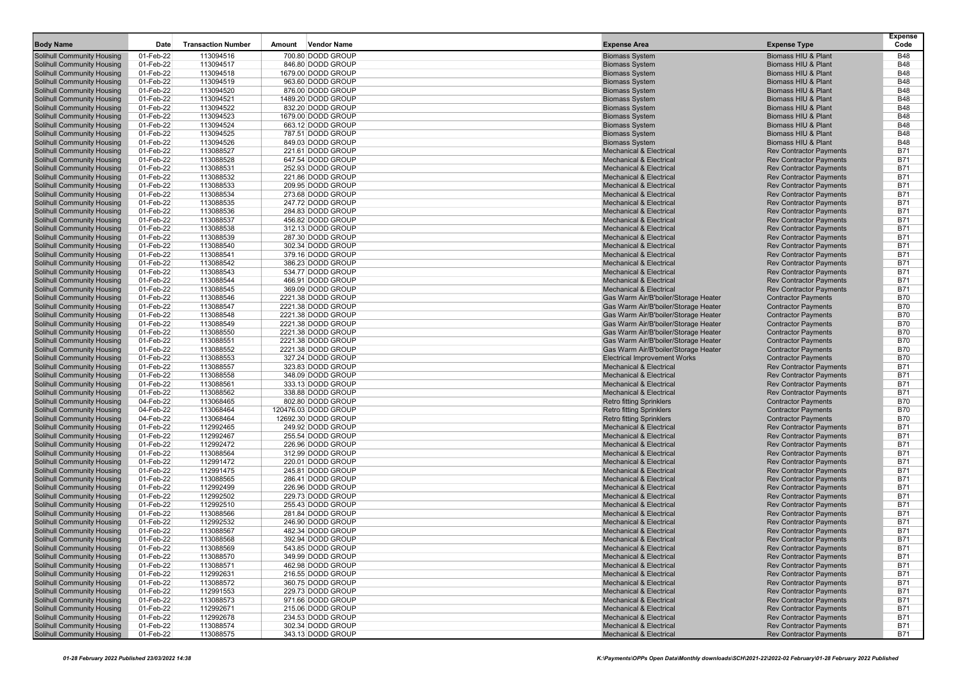| <b>Body Name</b>                                                       | Date                   | <b>Transaction Number</b> | Amount | <b>Vendor Name</b>                       | <b>Expense Area</b>                                                          | <b>Expense Type</b>                                              | <b>Expense</b><br>Code   |
|------------------------------------------------------------------------|------------------------|---------------------------|--------|------------------------------------------|------------------------------------------------------------------------------|------------------------------------------------------------------|--------------------------|
| <b>Solihull Community Housing</b>                                      | 01-Feb-22              | 113094516                 |        | 700.80 DODD GROUP                        | <b>Biomass System</b>                                                        | Biomass HIU & Plant                                              | <b>B48</b>               |
| <b>Solihull Community Housing</b>                                      | 01-Feb-22              | 113094517                 |        | 846.80 DODD GROUP                        | <b>Biomass System</b>                                                        | Biomass HIU & Plant                                              | <b>B48</b>               |
| <b>Solihull Community Housing</b>                                      | 01-Feb-22              | 113094518                 |        | 1679.00 DODD GROUP                       | <b>Biomass System</b>                                                        | <b>Biomass HIU &amp; Plant</b>                                   | <b>B48</b>               |
| <b>Solihull Community Housing</b>                                      | 01-Feb-22              | 113094519                 |        | 963.60 DODD GROUP                        | <b>Biomass System</b>                                                        | Biomass HIU & Plant                                              | <b>B48</b>               |
| <b>Solihull Community Housing</b>                                      | 01-Feb-22              | 113094520                 |        | 876.00 DODD GROUP                        | <b>Biomass System</b>                                                        | Biomass HIU & Plant                                              | <b>B48</b>               |
| <b>Solihull Community Housing</b>                                      | 01-Feb-22              | 113094521                 |        | 1489.20 DODD GROUP                       | <b>Biomass System</b>                                                        | Biomass HIU & Plant                                              | <b>B48</b>               |
| <b>Solihull Community Housing</b>                                      | 01-Feb-22              | 113094522                 |        | 832.20 DODD GROUP                        | <b>Biomass System</b>                                                        | Biomass HIU & Plant                                              | <b>B48</b>               |
| <b>Solihull Community Housing</b>                                      | 01-Feb-22              | 113094523                 |        | 1679.00 DODD GROUP                       | <b>Biomass System</b>                                                        | Biomass HIU & Plant                                              | <b>B48</b>               |
| <b>Solihull Community Housing</b>                                      | 01-Feb-22              | 113094524                 |        | 663.12 DODD GROUP                        | <b>Biomass System</b>                                                        | Biomass HIU & Plant                                              | <b>B48</b>               |
| <b>Solihull Community Housing</b>                                      | 01-Feb-22              | 113094525                 |        | 787.51 DODD GROUP                        | <b>Biomass System</b>                                                        | Biomass HIU & Plant                                              | <b>B48</b>               |
| <b>Solihull Community Housing</b>                                      | 01-Feb-22              | 113094526                 |        | 849.03 DODD GROUP                        | <b>Biomass System</b>                                                        | Biomass HIU & Plant                                              | <b>B48</b>               |
| <b>Solihull Community Housing</b>                                      | 01-Feb-22              | 113088527                 |        | 221.61 DODD GROUP                        | <b>Mechanical &amp; Electrical</b>                                           | <b>Rev Contractor Payments</b>                                   | <b>B71</b>               |
| <b>Solihull Community Housing</b>                                      | 01-Feb-22              | 113088528                 |        | 647.54 DODD GROUP                        | <b>Mechanical &amp; Electrical</b><br><b>Mechanical &amp; Electrical</b>     | <b>Rev Contractor Payments</b>                                   | <b>B71</b><br><b>B71</b> |
| <b>Solihull Community Housing</b><br><b>Solihull Community Housing</b> | 01-Feb-22<br>01-Feb-22 | 113088531<br>113088532    |        | 252.93 DODD GROUP<br>221.86 DODD GROUP   | <b>Mechanical &amp; Electrical</b>                                           | <b>Rev Contractor Payments</b><br><b>Rev Contractor Payments</b> | <b>B71</b>               |
| <b>Solihull Community Housing</b>                                      | 01-Feb-22              | 113088533                 |        | 209.95 DODD GROUP                        | <b>Mechanical &amp; Electrical</b>                                           | <b>Rev Contractor Payments</b>                                   | <b>B71</b>               |
| <b>Solihull Community Housing</b>                                      | 01-Feb-22              | 113088534                 |        | 273.68 DODD GROUP                        | <b>Mechanical &amp; Electrical</b>                                           | <b>Rev Contractor Payments</b>                                   | <b>B71</b>               |
| <b>Solihull Community Housing</b>                                      | 01-Feb-22              | 113088535                 |        | 247.72 DODD GROUP                        | <b>Mechanical &amp; Electrical</b>                                           | <b>Rev Contractor Payments</b>                                   | <b>B71</b>               |
| <b>Solihull Community Housing</b>                                      | 01-Feb-22              | 113088536                 |        | 284.83 DODD GROUP                        | <b>Mechanical &amp; Electrical</b>                                           | <b>Rev Contractor Payments</b>                                   | <b>B71</b>               |
| <b>Solihull Community Housing</b>                                      | 01-Feb-22              | 113088537                 |        | 456.82 DODD GROUP                        | <b>Mechanical &amp; Electrical</b>                                           | <b>Rev Contractor Payments</b>                                   | <b>B71</b>               |
| <b>Solihull Community Housing</b>                                      | 01-Feb-22              | 113088538                 |        | 312.13 DODD GROUP                        | <b>Mechanical &amp; Electrical</b>                                           | <b>Rev Contractor Payments</b>                                   | <b>B71</b>               |
| <b>Solihull Community Housing</b>                                      | 01-Feb-22              | 113088539                 |        | 287.30 DODD GROUP                        | <b>Mechanical &amp; Electrical</b>                                           | <b>Rev Contractor Payments</b>                                   | <b>B71</b>               |
| <b>Solihull Community Housing</b>                                      | 01-Feb-22              | 113088540                 |        | 302.34 DODD GROUP                        | <b>Mechanical &amp; Electrical</b>                                           | <b>Rev Contractor Payments</b>                                   | <b>B71</b>               |
| <b>Solihull Community Housing</b>                                      | 01-Feb-22              | 113088541                 |        | 379.16 DODD GROUP                        | <b>Mechanical &amp; Electrical</b>                                           | <b>Rev Contractor Payments</b>                                   | <b>B71</b>               |
| <b>Solihull Community Housing</b>                                      | 01-Feb-22              | 113088542                 |        | 386.23 DODD GROUP                        | <b>Mechanical &amp; Electrical</b>                                           | <b>Rev Contractor Payments</b>                                   | <b>B71</b>               |
| <b>Solihull Community Housing</b>                                      | 01-Feb-22              | 113088543                 |        | 534.77 DODD GROUP                        | <b>Mechanical &amp; Electrical</b>                                           | <b>Rev Contractor Payments</b>                                   | <b>B71</b>               |
| <b>Solihull Community Housing</b>                                      | 01-Feb-22              | 113088544                 |        | 466.91 DODD GROUP                        | <b>Mechanical &amp; Electrical</b>                                           | <b>Rev Contractor Payments</b>                                   | <b>B71</b>               |
| <b>Solihull Community Housing</b>                                      | 01-Feb-22              | 113088545                 |        | 369.09 DODD GROUP                        | <b>Mechanical &amp; Electrical</b>                                           | <b>Rev Contractor Payments</b>                                   | <b>B71</b>               |
| <b>Solihull Community Housing</b>                                      | 01-Feb-22              | 113088546                 |        | 2221.38 DODD GROUP                       | Gas Warm Air/B'boiler/Storage Heater                                         | <b>Contractor Payments</b>                                       | <b>B70</b>               |
| <b>Solihull Community Housing</b><br><b>Solihull Community Housing</b> | 01-Feb-22<br>01-Feb-22 | 113088547<br>113088548    |        | 2221.38 DODD GROUP<br>2221.38 DODD GROUP | Gas Warm Air/B'boiler/Storage Heater<br>Gas Warm Air/B'boiler/Storage Heater | <b>Contractor Payments</b><br><b>Contractor Payments</b>         | <b>B70</b><br><b>B70</b> |
| <b>Solihull Community Housing</b>                                      | 01-Feb-22              | 113088549                 |        | 2221.38 DODD GROUP                       | Gas Warm Air/B'boiler/Storage Heater                                         | <b>Contractor Payments</b>                                       | <b>B70</b>               |
| <b>Solihull Community Housing</b>                                      | 01-Feb-22              | 113088550                 |        | 2221.38 DODD GROUP                       | Gas Warm Air/B'boiler/Storage Heater                                         | <b>Contractor Payments</b>                                       | <b>B70</b>               |
| <b>Solihull Community Housing</b>                                      | 01-Feb-22              | 113088551                 |        | 2221.38 DODD GROUP                       | Gas Warm Air/B'boiler/Storage Heater                                         | <b>Contractor Payments</b>                                       | <b>B70</b>               |
| <b>Solihull Community Housing</b>                                      | 01-Feb-22              | 113088552                 |        | 2221.38 DODD GROUP                       | Gas Warm Air/B'boiler/Storage Heater                                         | <b>Contractor Payments</b>                                       | <b>B70</b>               |
| <b>Solihull Community Housing</b>                                      | 01-Feb-22              | 113088553                 |        | 327.24 DODD GROUP                        | <b>Electrical Improvement Works</b>                                          | <b>Contractor Payments</b>                                       | <b>B70</b>               |
| <b>Solihull Community Housing</b>                                      | 01-Feb-22              | 113088557                 |        | 323.83 DODD GROUP                        | <b>Mechanical &amp; Electrical</b>                                           | <b>Rev Contractor Payments</b>                                   | <b>B71</b>               |
| <b>Solihull Community Housing</b>                                      | 01-Feb-22              | 113088558                 |        | 348.09 DODD GROUP                        | <b>Mechanical &amp; Electrical</b>                                           | <b>Rev Contractor Payments</b>                                   | <b>B71</b>               |
| <b>Solihull Community Housing</b>                                      | 01-Feb-22              | 113088561                 |        | 333.13 DODD GROUP                        | <b>Mechanical &amp; Electrical</b>                                           | <b>Rev Contractor Payments</b>                                   | <b>B71</b>               |
| <b>Solihull Community Housing</b>                                      | 01-Feb-22              | 113088562                 |        | 338.88 DODD GROUP                        | <b>Mechanical &amp; Electrical</b>                                           | <b>Rev Contractor Payments</b>                                   | <b>B71</b>               |
| <b>Solihull Community Housing</b>                                      | 04-Feb-22              | 113068465                 |        | 802.80 DODD GROUP                        | <b>Retro fitting Sprinklers</b>                                              | <b>Contractor Payments</b>                                       | <b>B70</b>               |
| <b>Solihull Community Housing</b>                                      | 04-Feb-22              | 113068464                 |        | 120476.03 DODD GROUP                     | <b>Retro fitting Sprinklers</b>                                              | <b>Contractor Payments</b>                                       | <b>B70</b>               |
| <b>Solihull Community Housing</b>                                      | 04-Feb-22              | 113068464                 |        | 12692.30 DODD GROUP                      | <b>Retro fitting Sprinklers</b>                                              | <b>Contractor Payments</b>                                       | <b>B70</b>               |
| <b>Solihull Community Housing</b>                                      | 01-Feb-22              | 112992465                 |        | 249.92 DODD GROUP                        | <b>Mechanical &amp; Electrical</b>                                           | <b>Rev Contractor Payments</b>                                   | <b>B71</b>               |
| <b>Solihull Community Housing</b>                                      | 01-Feb-22              | 112992467<br>112992472    |        | 255.54 DODD GROUP                        | <b>Mechanical &amp; Electrical</b><br><b>Mechanical &amp; Electrical</b>     | <b>Rev Contractor Payments</b>                                   | <b>B71</b><br><b>B71</b> |
| <b>Solihull Community Housing</b><br><b>Solihull Community Housing</b> | 01-Feb-22<br>01-Feb-22 | 113088564                 |        | 226.96 DODD GROUP<br>312.99 DODD GROUP   | <b>Mechanical &amp; Electrical</b>                                           | <b>Rev Contractor Payments</b>                                   | <b>B71</b>               |
| <b>Solihull Community Housing</b>                                      | 01-Feb-22              | 112991472                 |        | 220.01 DODD GROUP                        | <b>Mechanical &amp; Electrical</b>                                           | <b>Rev Contractor Payments</b><br><b>Rev Contractor Payments</b> | <b>B71</b>               |
| <b>Solihull Community Housing</b>                                      | 01-Feb-22              | 112991475                 |        | 245.81 DODD GROUP                        | <b>Mechanical &amp; Electrical</b>                                           | <b>Rev Contractor Payments</b>                                   | <b>B71</b>               |
| <b>Solihull Community Housing</b>                                      | 01-Feb-22              | 113088565                 |        | 286.41 DODD GROUP                        | <b>Mechanical &amp; Electrical</b>                                           | <b>Rev Contractor Payments</b>                                   | <b>B71</b>               |
| <b>Solihull Community Housing</b>                                      | 01-Feb-22              | 112992499                 |        | 226.96 DODD GROUP                        | <b>Mechanical &amp; Electrical</b>                                           | <b>Rev Contractor Payments</b>                                   | <b>B71</b>               |
| <b>Solihull Community Housing</b>                                      | 01-Feb-22              | 112992502                 |        | 229.73 DODD GROUP                        | <b>Mechanical &amp; Electrical</b>                                           | <b>Rev Contractor Payments</b>                                   | B71                      |
| <b>Solihull Community Housing</b>                                      | 01-Feb-22              | 112992510                 |        | 255.43 DODD GROUP                        | <b>Mechanical &amp; Electrical</b>                                           | <b>Rev Contractor Payments</b>                                   | <b>B71</b>               |
| <b>Solihull Community Housing</b>                                      | 01-Feb-22              | 113088566                 |        | 281.84 DODD GROUP                        | <b>Mechanical &amp; Electrical</b>                                           | <b>Rev Contractor Payments</b>                                   | <b>B71</b>               |
| <b>Solihull Community Housing</b>                                      | 01-Feb-22              | 112992532                 |        | 246.90 DODD GROUP                        | <b>Mechanical &amp; Electrical</b>                                           | <b>Rev Contractor Payments</b>                                   | <b>B71</b>               |
| <b>Solihull Community Housing</b>                                      | 01-Feb-22              | 113088567                 |        | 482.34 DODD GROUP                        | <b>Mechanical &amp; Electrical</b>                                           | <b>Rev Contractor Payments</b>                                   | <b>B71</b>               |
| <b>Solihull Community Housing</b>                                      | 01-Feb-22              | 113088568                 |        | 392.94 DODD GROUP                        | <b>Mechanical &amp; Electrical</b>                                           | <b>Rev Contractor Payments</b>                                   | <b>B71</b>               |
| <b>Solihull Community Housing</b>                                      | 01-Feb-22              | 113088569                 |        | 543.85 DODD GROUP                        | <b>Mechanical &amp; Electrical</b>                                           | <b>Rev Contractor Payments</b>                                   | B71                      |
| <b>Solihull Community Housing</b>                                      | 01-Feb-22              | 113088570                 |        | 349.99 DODD GROUP                        | <b>Mechanical &amp; Electrical</b>                                           | <b>Rev Contractor Payments</b>                                   | <b>B71</b>               |
| <b>Solihull Community Housing</b>                                      | 01-Feb-22              | 113088571                 |        | 462.98 DODD GROUP                        | <b>Mechanical &amp; Electrical</b>                                           | <b>Rev Contractor Payments</b>                                   | <b>B71</b>               |
| <b>Solihull Community Housing</b>                                      | 01-Feb-22              | 112992631                 |        | 216.55 DODD GROUP                        | <b>Mechanical &amp; Electrical</b>                                           | <b>Rev Contractor Payments</b>                                   | <b>B71</b>               |
| <b>Solihull Community Housing</b>                                      | 01-Feb-22              | 113088572                 |        | 360.75 DODD GROUP                        | <b>Mechanical &amp; Electrical</b>                                           | <b>Rev Contractor Payments</b>                                   | <b>B71</b>               |
| <b>Solihull Community Housing</b><br><b>Solihull Community Housing</b> | 01-Feb-22              | 112991553<br>113088573    |        | 229.73 DODD GROUP                        | <b>Mechanical &amp; Electrical</b><br><b>Mechanical &amp; Electrical</b>     | <b>Rev Contractor Payments</b><br><b>Rev Contractor Payments</b> | <b>B71</b>               |
| Solihull Community Housing                                             | 01-Feb-22<br>01-Feb-22 | 112992671                 |        | 971.66 DODD GROUP<br>215.06 DODD GROUP   | <b>Mechanical &amp; Electrical</b>                                           | <b>Rev Contractor Payments</b>                                   | B71<br><b>B71</b>        |
| Solihull Community Housing                                             | 01-Feb-22              | 112992678                 |        | 234.53 DODD GROUP                        | <b>Mechanical &amp; Electrical</b>                                           | <b>Rev Contractor Payments</b>                                   | <b>B71</b>               |
| <b>Solihull Community Housing</b>                                      | 01-Feb-22              | 113088574                 |        | 302.34 DODD GROUP                        | <b>Mechanical &amp; Electrical</b>                                           | <b>Rev Contractor Payments</b>                                   | <b>B71</b>               |
| <b>Solihull Community Housing</b>                                      | 01-Feb-22              | 113088575                 |        | 343.13 DODD GROUP                        | <b>Mechanical &amp; Electrical</b>                                           | <b>Rev Contractor Payments</b>                                   | B71                      |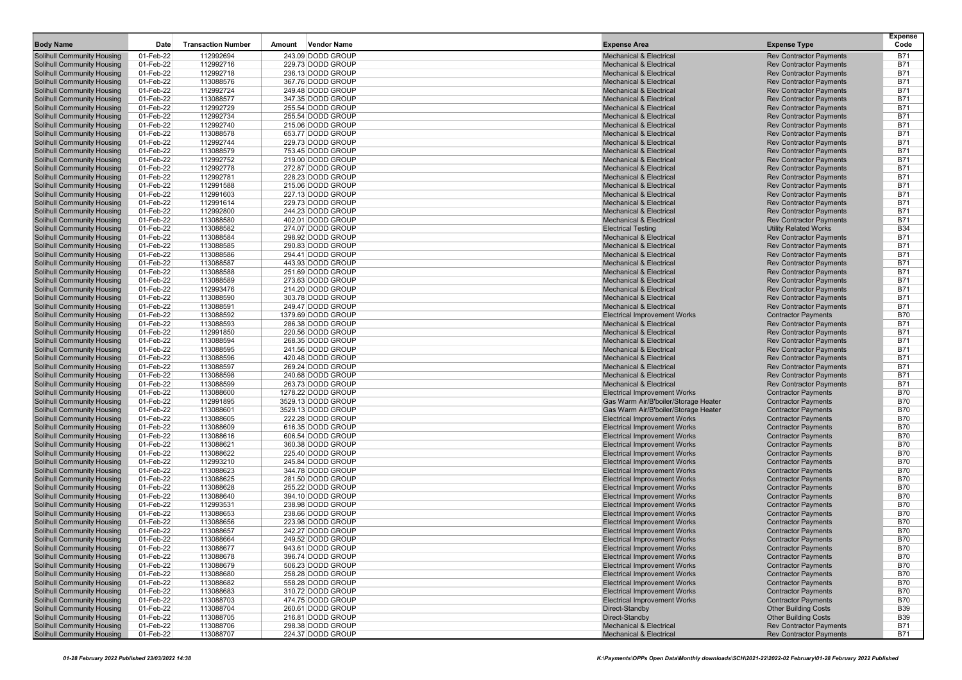| <b>Body Name</b>                                                       | Date                   | <b>Transaction Number</b> | <b>Vendor Name</b><br>Amount            | <b>Expense Area</b>                                                         | <b>Expense Type</b>                                              | <b>Expense</b><br>Code   |
|------------------------------------------------------------------------|------------------------|---------------------------|-----------------------------------------|-----------------------------------------------------------------------------|------------------------------------------------------------------|--------------------------|
| Solihull Community Housing                                             | 01-Feb-22              | 112992694                 | 243.09 DODD GROUP                       | <b>Mechanical &amp; Electrical</b>                                          | <b>Rev Contractor Payments</b>                                   | <b>B71</b>               |
| <b>Solihull Community Housing</b>                                      | 01-Feb-22              | 112992716                 | 229.73 DODD GROUP                       | <b>Mechanical &amp; Electrical</b>                                          | <b>Rev Contractor Payments</b>                                   | <b>B71</b>               |
| Solihull Community Housing                                             | 01-Feb-22              | 112992718                 | 236.13 DODD GROUP                       | <b>Mechanical &amp; Electrical</b>                                          | <b>Rev Contractor Payments</b>                                   | <b>B71</b>               |
| <b>Solihull Community Housing</b>                                      | 01-Feb-22              | 113088576                 | 367.76 DODD GROUP                       | <b>Mechanical &amp; Electrical</b>                                          | <b>Rev Contractor Payments</b>                                   | <b>B71</b>               |
| <b>Solihull Community Housing</b>                                      | 01-Feb-22              | 112992724                 | 249.48 DODD GROUP                       | <b>Mechanical &amp; Electrical</b>                                          | <b>Rev Contractor Payments</b>                                   | <b>B71</b>               |
| <b>Solihull Community Housing</b>                                      | 01-Feb-22              | 113088577                 | 347.35 DODD GROUP                       | <b>Mechanical &amp; Electrical</b>                                          | <b>Rev Contractor Payments</b>                                   | <b>B71</b>               |
| <b>Solihull Community Housing</b>                                      | 01-Feb-22              | 112992729                 | 255.54 DODD GROUP                       | <b>Mechanical &amp; Electrical</b>                                          | <b>Rev Contractor Payments</b>                                   | <b>B71</b>               |
| <b>Solihull Community Housing</b>                                      | 01-Feb-22              | 112992734                 | 255.54 DODD GROUP                       | <b>Mechanical &amp; Electrical</b>                                          | <b>Rev Contractor Payments</b>                                   | <b>B71</b>               |
| <b>Solihull Community Housing</b>                                      | 01-Feb-22              | 112992740                 | 215.06 DODD GROUP                       | <b>Mechanical &amp; Electrical</b>                                          | <b>Rev Contractor Payments</b>                                   | <b>B71</b>               |
| <b>Solihull Community Housing</b>                                      | 01-Feb-22              | 113088578                 | 653.77 DODD GROUP                       | <b>Mechanical &amp; Electrical</b>                                          | <b>Rev Contractor Payments</b>                                   | B71                      |
| <b>Solihull Community Housing</b><br><b>Solihull Community Housing</b> | 01-Feb-22<br>01-Feb-22 | 112992744<br>113088579    | 229.73 DODD GROUP                       | <b>Mechanical &amp; Electrical</b><br><b>Mechanical &amp; Electrical</b>    | <b>Rev Contractor Payments</b>                                   | <b>B71</b><br><b>B71</b> |
| <b>Solihull Community Housing</b>                                      | 01-Feb-22              | 112992752                 | 753.45 DODD GROUP<br>219.00 DODD GROUP  | <b>Mechanical &amp; Electrical</b>                                          | <b>Rev Contractor Payments</b><br><b>Rev Contractor Payments</b> | <b>B71</b>               |
| <b>Solihull Community Housing</b>                                      | 01-Feb-22              | 112992778                 | 272.87 DODD GROUP                       | <b>Mechanical &amp; Electrical</b>                                          | <b>Rev Contractor Payments</b>                                   | <b>B71</b>               |
| <b>Solihull Community Housing</b>                                      | 01-Feb-22              | 112992781                 | 228.23 DODD GROUP                       | <b>Mechanical &amp; Electrical</b>                                          | <b>Rev Contractor Payments</b>                                   | <b>B71</b>               |
| <b>Solihull Community Housing</b>                                      | 01-Feb-22              | 112991588                 | 215.06 DODD GROUP                       | <b>Mechanical &amp; Electrical</b>                                          | <b>Rev Contractor Payments</b>                                   | <b>B71</b>               |
| <b>Solihull Community Housing</b>                                      | 01-Feb-22              | 112991603                 | 227.13 DODD GROUP                       | <b>Mechanical &amp; Electrical</b>                                          | <b>Rev Contractor Payments</b>                                   | <b>B71</b>               |
| <b>Solihull Community Housing</b>                                      | 01-Feb-22              | 112991614                 | 229.73 DODD GROUP                       | <b>Mechanical &amp; Electrical</b>                                          | <b>Rev Contractor Payments</b>                                   | <b>B71</b>               |
| <b>Solihull Community Housing</b>                                      | 01-Feb-22              | 112992800                 | 244.23 DODD GROUP                       | <b>Mechanical &amp; Electrical</b>                                          | <b>Rev Contractor Payments</b>                                   | <b>B71</b>               |
| <b>Solihull Community Housing</b>                                      | 01-Feb-22              | 113088580                 | 402.01 DODD GROUP                       | <b>Mechanical &amp; Electrical</b>                                          | <b>Rev Contractor Payments</b>                                   | <b>B71</b>               |
| <b>Solihull Community Housing</b>                                      | 01-Feb-22              | 113088582                 | 274.07 DODD GROUP                       | <b>Electrical Testing</b>                                                   | <b>Utility Related Works</b>                                     | <b>B34</b>               |
| <b>Solihull Community Housing</b>                                      | 01-Feb-22              | 113088584                 | 298.92 DODD GROUP                       | <b>Mechanical &amp; Electrical</b>                                          | <b>Rev Contractor Payments</b>                                   | <b>B71</b>               |
| <b>Solihull Community Housing</b>                                      | 01-Feb-22              | 113088585                 | 290.83 DODD GROUP                       | <b>Mechanical &amp; Electrical</b>                                          | <b>Rev Contractor Payments</b>                                   | <b>B71</b>               |
| <b>Solihull Community Housing</b>                                      | 01-Feb-22              | 113088586                 | 294.41 DODD GROUP                       | <b>Mechanical &amp; Electrical</b>                                          | <b>Rev Contractor Payments</b>                                   | <b>B71</b>               |
| <b>Solihull Community Housing</b>                                      | 01-Feb-22              | 113088587                 | 443.93 DODD GROUP                       | <b>Mechanical &amp; Electrical</b>                                          | <b>Rev Contractor Payments</b>                                   | <b>B71</b>               |
| <b>Solihull Community Housing</b>                                      | 01-Feb-22              | 113088588                 | 251.69 DODD GROUP                       | <b>Mechanical &amp; Electrical</b>                                          | <b>Rev Contractor Payments</b>                                   | <b>B71</b>               |
| <b>Solihull Community Housing</b>                                      | 01-Feb-22              | 113088589                 | 273.63 DODD GROUP<br>214.20 DODD GROUP  | <b>Mechanical &amp; Electrical</b>                                          | <b>Rev Contractor Payments</b>                                   | <b>B71</b><br><b>B71</b> |
| <b>Solihull Community Housing</b><br><b>Solihull Community Housing</b> | 01-Feb-22<br>01-Feb-22 | 112993476<br>113088590    | 303.78 DODD GROUP                       | <b>Mechanical &amp; Electrical</b><br><b>Mechanical &amp; Electrical</b>    | <b>Rev Contractor Payments</b><br><b>Rev Contractor Payments</b> | <b>B71</b>               |
| <b>Solihull Community Housing</b>                                      | 01-Feb-22              | 113088591                 | 249.47 DODD GROUP                       | <b>Mechanical &amp; Electrical</b>                                          | <b>Rev Contractor Payments</b>                                   | <b>B71</b>               |
| <b>Solihull Community Housing</b>                                      | 01-Feb-22              | 113088592                 | 1379.69 DODD GROUP                      | <b>Electrical Improvement Works</b>                                         | <b>Contractor Payments</b>                                       | <b>B70</b>               |
| <b>Solihull Community Housing</b>                                      | 01-Feb-22              | 113088593                 | 286.38 DODD GROUP                       | <b>Mechanical &amp; Electrical</b>                                          | <b>Rev Contractor Payments</b>                                   | <b>B71</b>               |
| <b>Solihull Community Housing</b>                                      | 01-Feb-22              | 112991850                 | 220.56 DODD GROUP                       | <b>Mechanical &amp; Electrical</b>                                          | <b>Rev Contractor Payments</b>                                   | <b>B71</b>               |
| <b>Solihull Community Housing</b>                                      | 01-Feb-22              | 113088594                 | 268.35 DODD GROUP                       | <b>Mechanical &amp; Electrical</b>                                          | <b>Rev Contractor Payments</b>                                   | <b>B71</b>               |
| <b>Solihull Community Housing</b>                                      | 01-Feb-22              | 113088595                 | 241.56 DODD GROUP                       | <b>Mechanical &amp; Electrical</b>                                          | <b>Rev Contractor Payments</b>                                   | <b>B71</b>               |
| <b>Solihull Community Housing</b>                                      | 01-Feb-22              | 113088596                 | 420.48 DODD GROUP                       | <b>Mechanical &amp; Electrical</b>                                          | <b>Rev Contractor Payments</b>                                   | <b>B71</b>               |
| <b>Solihull Community Housing</b>                                      | 01-Feb-22              | 113088597                 | 269.24 DODD GROUP                       | <b>Mechanical &amp; Electrical</b>                                          | <b>Rev Contractor Payments</b>                                   | <b>B71</b>               |
| <b>Solihull Community Housing</b>                                      | 01-Feb-22              | 113088598                 | 240.68 DODD GROUP                       | <b>Mechanical &amp; Electrical</b>                                          | <b>Rev Contractor Payments</b>                                   | <b>B71</b>               |
| <b>Solihull Community Housing</b>                                      | 01-Feb-22              | 113088599                 | 263.73 DODD GROUP                       | <b>Mechanical &amp; Electrical</b>                                          | <b>Rev Contractor Payments</b>                                   | <b>B71</b>               |
| <b>Solihull Community Housing</b>                                      | 01-Feb-22              | 113088600                 | 1278.22 DODD GROUP                      | <b>Electrical Improvement Works</b>                                         | <b>Contractor Payments</b>                                       | <b>B70</b>               |
| <b>Solihull Community Housing</b>                                      | 01-Feb-22              | 112991895                 | 3529.13 DODD GROUP                      | Gas Warm Air/B'boiler/Storage Heater                                        | <b>Contractor Payments</b>                                       | <b>B70</b>               |
| <b>Solihull Community Housing</b>                                      | 01-Feb-22<br>01-Feb-22 | 113088601<br>113088605    | 3529.13 DODD GROUP<br>222.28 DODD GROUP | Gas Warm Air/B'boiler/Storage Heater<br><b>Electrical Improvement Works</b> | <b>Contractor Payments</b><br><b>Contractor Payments</b>         | <b>B70</b><br><b>B70</b> |
| <b>Solihull Community Housing</b><br><b>Solihull Community Housing</b> | 01-Feb-22              | 113088609                 | 616.35 DODD GROUP                       | <b>Electrical Improvement Works</b>                                         | <b>Contractor Payments</b>                                       | <b>B70</b>               |
| <b>Solihull Community Housing</b>                                      | 01-Feb-22              | 113088616                 | 606.54 DODD GROUP                       | <b>Electrical Improvement Works</b>                                         | <b>Contractor Payments</b>                                       | <b>B70</b>               |
| <b>Solihull Community Housing</b>                                      | 01-Feb-22              | 113088621                 | 360.38 DODD GROUP                       | <b>Electrical Improvement Works</b>                                         | <b>Contractor Payments</b>                                       | <b>B70</b>               |
| <b>Solihull Community Housing</b>                                      | 01-Feb-22              | 113088622                 | 225.40 DODD GROUP                       | <b>Electrical Improvement Works</b>                                         | <b>Contractor Payments</b>                                       | <b>B70</b>               |
| <b>Solihull Community Housing</b>                                      | 01-Feb-22              | 112993210                 | 245.84 DODD GROUP                       | <b>Electrical Improvement Works</b>                                         | <b>Contractor Payments</b>                                       | <b>B70</b>               |
| <b>Solihull Community Housing</b>                                      | 01-Feb-22              | 113088623                 | 344.78 DODD GROUP                       | <b>Electrical Improvement Works</b>                                         | <b>Contractor Payments</b>                                       | <b>B70</b>               |
| <b>Solihull Community Housing</b>                                      | 01-Feb-22              | 113088625                 | 281.50 DODD GROUP                       | <b>Electrical Improvement Works</b>                                         | <b>Contractor Payments</b>                                       | <b>B70</b>               |
| <b>Solihull Community Housing</b>                                      | 01-Feb-22              | 113088628                 | 255.22 DODD GROUP                       | <b>Electrical Improvement Works</b>                                         | <b>Contractor Payments</b>                                       | <b>B70</b>               |
| <b>Solihull Community Housing</b>                                      | 01-Feb-22              | 113088640                 | 394.10 DODD GROUP                       | <b>Electrical Improvement Works</b>                                         | <b>Contractor Payments</b>                                       | <b>B70</b>               |
| <b>Solihull Community Housing</b>                                      | 01-Feb-22              | 112993531                 | 238.98 DODD GROUP                       | <b>Electrical Improvement Works</b>                                         | <b>Contractor Payments</b>                                       | <b>B70</b>               |
| <b>Solihull Community Housing</b>                                      | 01-Feb-22              | 113088653                 | 238.66 DODD GROUP                       | <b>Electrical Improvement Works</b>                                         | <b>Contractor Payments</b>                                       | <b>B70</b>               |
| <b>Solihull Community Housing</b>                                      | 01-Feb-22              | 113088656                 | 223.98 DODD GROUP                       | <b>Electrical Improvement Works</b>                                         | <b>Contractor Payments</b>                                       | <b>B70</b>               |
| <b>Solihull Community Housing</b>                                      | 01-Feb-22              | 113088657                 | 242.27 DODD GROUP                       | <b>Electrical Improvement Works</b>                                         | <b>Contractor Payments</b>                                       | <b>B70</b><br><b>B70</b> |
| <b>Solihull Community Housing</b>                                      | 01-Feb-22              | 113088664                 | 249.52 DODD GROUP                       | <b>Electrical Improvement Works</b><br><b>Electrical Improvement Works</b>  | <b>Contractor Payments</b>                                       |                          |
| <b>Solihull Community Housing</b><br><b>Solihull Community Housing</b> | 01-Feb-22<br>01-Feb-22 | 113088677<br>113088678    | 943.61 DODD GROUP<br>396.74 DODD GROUP  | <b>Electrical Improvement Works</b>                                         | <b>Contractor Payments</b><br><b>Contractor Payments</b>         | B70<br><b>B70</b>        |
| <b>Solihull Community Housing</b>                                      | 01-Feb-22              | 113088679                 | 506.23 DODD GROUP                       | <b>Electrical Improvement Works</b>                                         | <b>Contractor Payments</b>                                       | <b>B70</b>               |
| <b>Solihull Community Housing</b>                                      | 01-Feb-22              | 113088680                 | 258.28 DODD GROUP                       | <b>Electrical Improvement Works</b>                                         | <b>Contractor Payments</b>                                       | <b>B70</b>               |
| <b>Solihull Community Housing</b>                                      | 01-Feb-22              | 113088682                 | 558.28 DODD GROUP                       | <b>Electrical Improvement Works</b>                                         | <b>Contractor Payments</b>                                       | <b>B70</b>               |
| <b>Solihull Community Housing</b>                                      | 01-Feb-22              | 113088683                 | 310.72 DODD GROUP                       | <b>Electrical Improvement Works</b>                                         | <b>Contractor Payments</b>                                       | <b>B70</b>               |
| <b>Solihull Community Housing</b>                                      | 01-Feb-22              | 113088703                 | 474.75 DODD GROUP                       | <b>Electrical Improvement Works</b>                                         | <b>Contractor Payments</b>                                       | <b>B70</b>               |
| <b>Solihull Community Housing</b>                                      | 01-Feb-22              | 113088704                 | 260.61 DODD GROUP                       | Direct-Standby                                                              | <b>Other Building Costs</b>                                      | <b>B39</b>               |
| Solihull Community Housing                                             | 01-Feb-22              | 113088705                 | 216.81 DODD GROUP                       | Direct-Standby                                                              | <b>Other Building Costs</b>                                      | <b>B39</b>               |
| <b>Solihull Community Housing</b>                                      | 01-Feb-22              | 113088706                 | 298.38 DODD GROUP                       | <b>Mechanical &amp; Electrical</b>                                          | <b>Rev Contractor Payments</b>                                   | <b>B71</b>               |
| <b>Solihull Community Housing</b>                                      | 01-Feb-22              | 113088707                 | 224.37 DODD GROUP                       | <b>Mechanical &amp; Electrical</b>                                          | <b>Rev Contractor Payments</b>                                   | B71                      |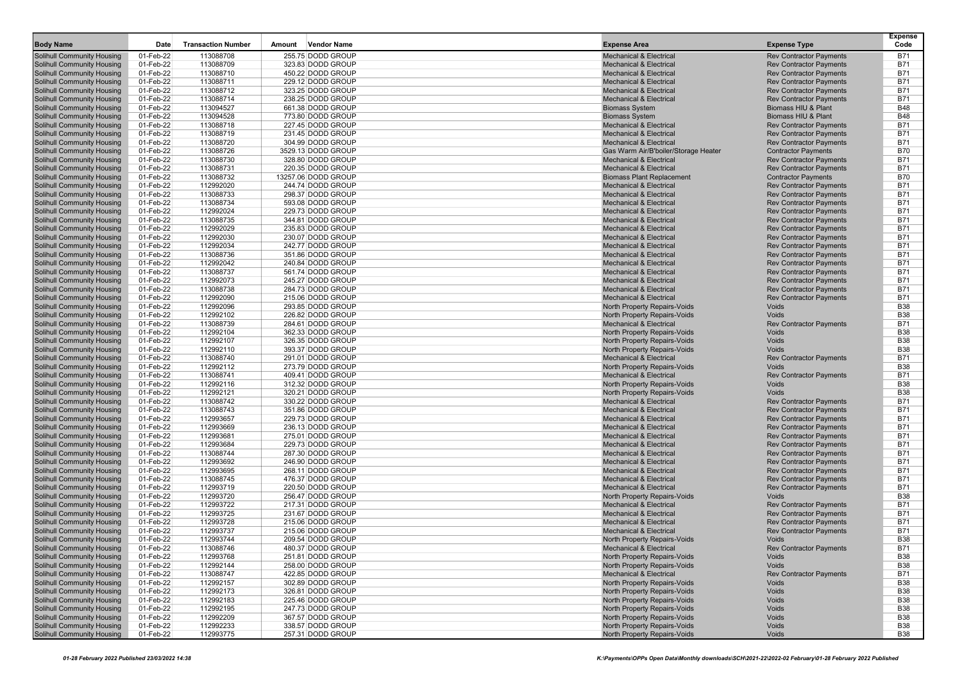| <b>Body Name</b>                                                       | Date                   | <b>Transaction Number</b> | Amount | <b>Vendor Name</b>                       | <b>Expense Area</b>                                                      | <b>Expense Type</b>                                              | <b>Expense</b><br>Code   |
|------------------------------------------------------------------------|------------------------|---------------------------|--------|------------------------------------------|--------------------------------------------------------------------------|------------------------------------------------------------------|--------------------------|
| <b>Solihull Community Housing</b>                                      | 01-Feb-22              | 113088708                 |        | 255.75 DODD GROUP                        | <b>Mechanical &amp; Electrical</b>                                       | <b>Rev Contractor Payments</b>                                   | <b>B71</b>               |
| Solihull Community Housing                                             | 01-Feb-22              | 113088709                 |        | 323.83 DODD GROUP                        | <b>Mechanical &amp; Electrical</b>                                       | <b>Rev Contractor Payments</b>                                   | B71                      |
| <b>Solihull Community Housing</b>                                      | 01-Feb-22              | 113088710                 |        | 450.22 DODD GROUP                        | <b>Mechanical &amp; Electrical</b>                                       | <b>Rev Contractor Payments</b>                                   | B71                      |
| <b>Solihull Community Housing</b>                                      | 01-Feb-22              | 113088711                 |        | 229.12 DODD GROUP                        | <b>Mechanical &amp; Electrical</b>                                       | <b>Rev Contractor Payments</b>                                   | <b>B71</b>               |
| <b>Solihull Community Housing</b>                                      | 01-Feb-22              | 113088712                 |        | 323.25 DODD GROUP                        | <b>Mechanical &amp; Electrical</b>                                       | <b>Rev Contractor Payments</b>                                   | <b>B71</b>               |
| <b>Solihull Community Housing</b>                                      | 01-Feb-22              | 113088714                 |        | 238.25 DODD GROUP                        | <b>Mechanical &amp; Electrical</b>                                       | <b>Rev Contractor Payments</b>                                   | B71                      |
| <b>Solihull Community Housing</b>                                      | 01-Feb-22              | 113094527                 |        | 661.38 DODD GROUP                        | <b>Biomass System</b>                                                    | <b>Biomass HIU &amp; Plant</b>                                   | <b>B48</b>               |
| <b>Solihull Community Housing</b>                                      | 01-Feb-22              | 113094528                 |        | 773.80 DODD GROUP                        | <b>Biomass System</b>                                                    | Biomass HIU & Plant                                              | <b>B48</b>               |
| <b>Solihull Community Housing</b>                                      | 01-Feb-22              | 113088718                 |        | 227.45 DODD GROUP                        | <b>Mechanical &amp; Electrical</b>                                       | <b>Rev Contractor Payments</b>                                   | <b>B71</b>               |
| <b>Solihull Community Housing</b>                                      | 01-Feb-22              | 113088719                 |        | 231.45 DODD GROUP                        | <b>Mechanical &amp; Electrical</b>                                       | <b>Rev Contractor Payments</b>                                   | B71                      |
| <b>Solihull Community Housing</b>                                      | 01-Feb-22              | 113088720                 |        | 304.99 DODD GROUP                        | <b>Mechanical &amp; Electrical</b>                                       | <b>Rev Contractor Payments</b>                                   | <b>B71</b>               |
| <b>Solihull Community Housing</b>                                      | 01-Feb-22              | 113088726                 |        | 3529.13 DODD GROUP                       | Gas Warm Air/B'boiler/Storage Heater                                     | <b>Contractor Payments</b>                                       | <b>B70</b>               |
| <b>Solihull Community Housing</b>                                      | 01-Feb-22              | 113088730                 |        | 328.80 DODD GROUP                        | <b>Mechanical &amp; Electrical</b><br><b>Mechanical &amp; Electrical</b> | <b>Rev Contractor Payments</b><br><b>Rev Contractor Payments</b> | <b>B71</b><br><b>B71</b> |
| <b>Solihull Community Housing</b><br><b>Solihull Community Housing</b> | 01-Feb-22<br>01-Feb-22 | 113088731<br>113088732    |        | 220.35 DODD GROUP<br>13257.06 DODD GROUP | <b>Biomass Plant Replacement</b>                                         | <b>Contractor Payments</b>                                       | <b>B70</b>               |
| <b>Solihull Community Housing</b>                                      | 01-Feb-22              | 112992020                 |        | 244.74 DODD GROUP                        | <b>Mechanical &amp; Electrical</b>                                       | <b>Rev Contractor Payments</b>                                   | <b>B71</b>               |
| <b>Solihull Community Housing</b>                                      | 01-Feb-22              | 113088733                 |        | 298.37 DODD GROUP                        | <b>Mechanical &amp; Electrical</b>                                       | <b>Rev Contractor Payments</b>                                   | <b>B71</b>               |
| <b>Solihull Community Housing</b>                                      | 01-Feb-22              | 113088734                 |        | 593.08 DODD GROUP                        | <b>Mechanical &amp; Electrical</b>                                       | <b>Rev Contractor Payments</b>                                   | <b>B71</b>               |
| <b>Solihull Community Housing</b>                                      | 01-Feb-22              | 112992024                 |        | 229.73 DODD GROUP                        | <b>Mechanical &amp; Electrical</b>                                       | <b>Rev Contractor Payments</b>                                   | <b>B71</b>               |
| <b>Solihull Community Housing</b>                                      | 01-Feb-22              | 113088735                 |        | 344.81 DODD GROUP                        | <b>Mechanical &amp; Electrical</b>                                       | <b>Rev Contractor Payments</b>                                   | <b>B71</b>               |
| <b>Solihull Community Housing</b>                                      | 01-Feb-22              | 112992029                 |        | 235.83 DODD GROUP                        | <b>Mechanical &amp; Electrical</b>                                       | <b>Rev Contractor Payments</b>                                   | <b>B71</b>               |
| <b>Solihull Community Housing</b>                                      | 01-Feb-22              | 112992030                 |        | 230.07 DODD GROUP                        | <b>Mechanical &amp; Electrical</b>                                       | <b>Rev Contractor Payments</b>                                   | <b>B71</b>               |
| <b>Solihull Community Housing</b>                                      | 01-Feb-22              | 112992034                 |        | 242.77 DODD GROUP                        | <b>Mechanical &amp; Electrical</b>                                       | <b>Rev Contractor Payments</b>                                   | <b>B71</b>               |
| <b>Solihull Community Housing</b>                                      | 01-Feb-22              | 113088736                 |        | 351.86 DODD GROUP                        | <b>Mechanical &amp; Electrical</b>                                       | <b>Rev Contractor Payments</b>                                   | <b>B71</b>               |
| <b>Solihull Community Housing</b>                                      | 01-Feb-22              | 112992042                 |        | 240.84 DODD GROUP                        | <b>Mechanical &amp; Electrical</b>                                       | <b>Rev Contractor Payments</b>                                   | B71                      |
| <b>Solihull Community Housing</b>                                      | 01-Feb-22              | 113088737                 |        | 561.74 DODD GROUP                        | <b>Mechanical &amp; Electrical</b>                                       | <b>Rev Contractor Payments</b>                                   | <b>B71</b>               |
| <b>Solihull Community Housing</b>                                      | 01-Feb-22              | 112992073                 |        | 245.27 DODD GROUP                        | <b>Mechanical &amp; Electrical</b>                                       | <b>Rev Contractor Payments</b>                                   | <b>B71</b>               |
| <b>Solihull Community Housing</b>                                      | 01-Feb-22              | 113088738                 |        | 284.73 DODD GROUP                        | <b>Mechanical &amp; Electrical</b>                                       | <b>Rev Contractor Payments</b>                                   | <b>B71</b>               |
| <b>Solihull Community Housing</b>                                      | 01-Feb-22              | 112992090                 |        | 215.06 DODD GROUP                        | <b>Mechanical &amp; Electrical</b>                                       | <b>Rev Contractor Payments</b>                                   | <b>B71</b><br><b>B38</b> |
| <b>Solihull Community Housing</b><br><b>Solihull Community Housing</b> | 01-Feb-22<br>01-Feb-22 | 112992096<br>112992102    |        | 293.85 DODD GROUP<br>226.82 DODD GROUP   | North Property Repairs-Voids<br>North Property Repairs-Voids             | Voids<br>Voids                                                   | <b>B38</b>               |
| <b>Solihull Community Housing</b>                                      | 01-Feb-22              | 113088739                 |        | 284.61 DODD GROUP                        | <b>Mechanical &amp; Electrical</b>                                       | <b>Rev Contractor Payments</b>                                   | <b>B71</b>               |
| <b>Solihull Community Housing</b>                                      | 01-Feb-22              | 112992104                 |        | 362.33 DODD GROUP                        | North Property Repairs-Voids                                             | Voids                                                            | <b>B38</b>               |
| <b>Solihull Community Housing</b>                                      | 01-Feb-22              | 112992107                 |        | 326.35 DODD GROUP                        | North Property Repairs-Voids                                             | Voids                                                            | <b>B38</b>               |
| <b>Solihull Community Housing</b>                                      | 01-Feb-22              | 112992110                 |        | 393.37 DODD GROUP                        | North Property Repairs-Voids                                             | Voids                                                            | <b>B38</b>               |
| <b>Solihull Community Housing</b>                                      | 01-Feb-22              | 113088740                 |        | 291.01 DODD GROUP                        | <b>Mechanical &amp; Electrical</b>                                       | <b>Rev Contractor Payments</b>                                   | <b>B71</b>               |
| <b>Solihull Community Housing</b>                                      | 01-Feb-22              | 112992112                 |        | 273.79 DODD GROUP                        | North Property Repairs-Voids                                             | Voids                                                            | <b>B38</b>               |
| <b>Solihull Community Housing</b>                                      | 01-Feb-22              | 113088741                 |        | 409.41 DODD GROUP                        | <b>Mechanical &amp; Electrical</b>                                       | <b>Rev Contractor Payments</b>                                   | <b>B71</b>               |
| <b>Solihull Community Housing</b>                                      | 01-Feb-22              | 112992116                 |        | 312.32 DODD GROUP                        | North Property Repairs-Voids                                             | Voids                                                            | <b>B38</b>               |
| <b>Solihull Community Housing</b>                                      | 01-Feb-22              | 112992121                 |        | 320.21 DODD GROUP                        | North Property Repairs-Voids                                             | Voids                                                            | <b>B38</b>               |
| <b>Solihull Community Housing</b>                                      | 01-Feb-22              | 113088742                 |        | 330.22 DODD GROUP                        | <b>Mechanical &amp; Electrical</b>                                       | <b>Rev Contractor Payments</b>                                   | <b>B71</b>               |
| <b>Solihull Community Housing</b>                                      | 01-Feb-22              | 113088743                 |        | 351.86 DODD GROUP                        | <b>Mechanical &amp; Electrical</b>                                       | <b>Rev Contractor Payments</b>                                   | <b>B71</b>               |
| <b>Solihull Community Housing</b>                                      | 01-Feb-22              | 112993657                 |        | 229.73 DODD GROUP                        | <b>Mechanical &amp; Electrical</b>                                       | <b>Rev Contractor Payments</b>                                   | <b>B71</b>               |
| <b>Solihull Community Housing</b>                                      | 01-Feb-22              | 112993669                 |        | 236.13 DODD GROUP                        | <b>Mechanical &amp; Electrical</b>                                       | <b>Rev Contractor Payments</b>                                   | <b>B71</b>               |
| <b>Solihull Community Housing</b>                                      | 01-Feb-22              | 112993681                 |        | 275.01 DODD GROUP                        | <b>Mechanical &amp; Electrical</b>                                       | <b>Rev Contractor Payments</b>                                   | <b>B71</b><br><b>B71</b> |
| <b>Solihull Community Housing</b>                                      | 01-Feb-22              | 112993684                 |        | 229.73 DODD GROUP                        | <b>Mechanical &amp; Electrical</b>                                       | <b>Rev Contractor Payments</b>                                   | <b>B71</b>               |
| <b>Solihull Community Housing</b><br><b>Solihull Community Housing</b> | 01-Feb-22<br>01-Feb-22 | 113088744<br>112993692    |        | 287.30 DODD GROUP<br>246.90 DODD GROUP   | <b>Mechanical &amp; Electrical</b><br><b>Mechanical &amp; Electrical</b> | <b>Rev Contractor Payments</b><br><b>Rev Contractor Payments</b> | <b>B71</b>               |
| <b>Solihull Community Housing</b>                                      | 01-Feb-22              | 112993695                 |        | 268.11 DODD GROUP                        | <b>Mechanical &amp; Electrical</b>                                       | <b>Rev Contractor Payments</b>                                   | <b>B71</b>               |
| <b>Solihull Community Housing</b>                                      | 01-Feb-22              | 113088745                 |        | 476.37 DODD GROUP                        | <b>Mechanical &amp; Electrical</b>                                       | <b>Rev Contractor Payments</b>                                   | <b>B71</b>               |
| <b>Solihull Community Housing</b>                                      | 01-Feb-22              | 112993719                 |        | 220.50 DODD GROUP                        | <b>Mechanical &amp; Electrical</b>                                       | <b>Rev Contractor Payments</b>                                   | <b>B71</b>               |
| <b>Solihull Community Housing</b>                                      | 01-Feb-22              | 112993720                 |        | 256.47 DODD GROUP                        | North Property Repairs-Voids                                             | Voids                                                            | <b>B38</b>               |
| <b>Solihull Community Housing</b>                                      | 01-Feb-22              | 112993722                 |        | 217.31 DODD GROUP                        | <b>Mechanical &amp; Electrical</b>                                       | <b>Rev Contractor Payments</b>                                   | <b>B71</b>               |
| <b>Solihull Community Housing</b>                                      | 01-Feb-22              | 112993725                 |        | 231.67 DODD GROUP                        | <b>Mechanical &amp; Electrical</b>                                       | <b>Rev Contractor Payments</b>                                   | <b>B71</b>               |
| <b>Solihull Community Housing</b>                                      | 01-Feb-22              | 112993728                 |        | 215.06 DODD GROUP                        | <b>Mechanical &amp; Electrical</b>                                       | <b>Rev Contractor Payments</b>                                   | <b>B71</b>               |
| <b>Solihull Community Housing</b>                                      | 01-Feb-22              | 112993737                 |        | 215.06 DODD GROUP                        | <b>Mechanical &amp; Electrical</b>                                       | <b>Rev Contractor Payments</b>                                   | <b>B71</b>               |
| <b>Solihull Community Housing</b>                                      | 01-Feb-22              | 112993744                 |        | 209.54 DODD GROUP                        | North Property Repairs-Voids                                             | Voids                                                            | <b>B38</b>               |
| <b>Solihull Community Housing</b>                                      | 01-Feb-22              | 113088746                 |        | 480.37 DODD GROUP                        | <b>Mechanical &amp; Electrical</b>                                       | <b>Rev Contractor Payments</b>                                   | B71                      |
| <b>Solihull Community Housing</b>                                      | 01-Feb-22              | 112993768                 |        | 251.81 DODD GROUP                        | North Property Repairs-Voids                                             | Voids                                                            | <b>B38</b>               |
| <b>Solihull Community Housing</b>                                      | 01-Feb-22              | 112992144                 |        | 258.00 DODD GROUP                        | North Property Repairs-Voids                                             | Voids                                                            | <b>B38</b>               |
| <b>Solihull Community Housing</b>                                      | 01-Feb-22              | 113088747                 |        | 422.85 DODD GROUP                        | Mechanical & Electrical                                                  | <b>Rev Contractor Payments</b>                                   | <b>B71</b>               |
| <b>Solihull Community Housing</b>                                      | 01-Feb-22              | 112992157                 |        | 302.89 DODD GROUP                        | North Property Repairs-Voids                                             | Voids                                                            | <b>B38</b>               |
| <b>Solihull Community Housing</b><br><b>Solihull Community Housing</b> | 01-Feb-22<br>01-Feb-22 | 112992173<br>112992183    |        | 326.81 DODD GROUP<br>225.46 DODD GROUP   | North Property Repairs-Voids<br>North Property Repairs-Voids             | Voids<br>Voids                                                   | <b>B38</b><br><b>B38</b> |
| Solihull Community Housing                                             | 01-Feb-22              | 112992195                 |        | 247.73 DODD GROUP                        | North Property Repairs-Voids                                             | Voids                                                            | <b>B38</b>               |
| Solihull Community Housing                                             | 01-Feb-22              | 112992209                 |        | 367.57 DODD GROUP                        | North Property Repairs-Voids                                             | Voids                                                            | <b>B38</b>               |
| <b>Solihull Community Housing</b>                                      | 01-Feb-22              | 112992233                 |        | 338.57 DODD GROUP                        | North Property Repairs-Voids                                             | Voids                                                            | <b>B38</b>               |
| <b>Solihull Community Housing</b>                                      | 01-Feb-22              | 112993775                 |        | 257.31 DODD GROUP                        | North Property Repairs-Voids                                             | Voids                                                            | <b>B38</b>               |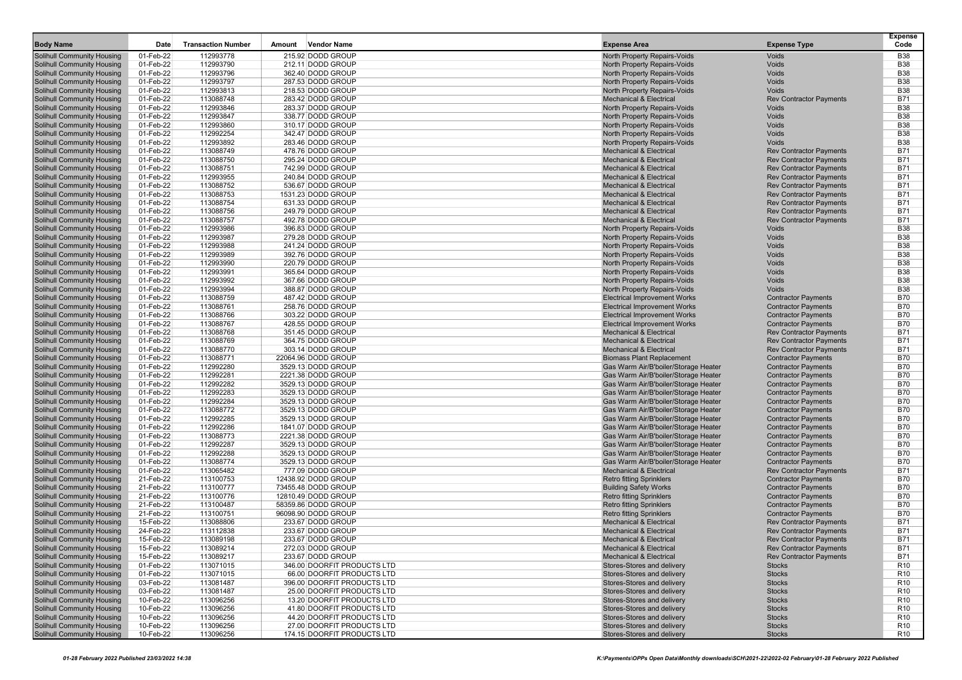| <b>Body Name</b>                                                       | Date                   | <b>Transaction Number</b> | Amount | <b>Vendor Name</b>                                       | <b>Expense Area</b>                                                        | <b>Expense Type</b>                                              | <b>Expense</b><br>Code             |
|------------------------------------------------------------------------|------------------------|---------------------------|--------|----------------------------------------------------------|----------------------------------------------------------------------------|------------------------------------------------------------------|------------------------------------|
| <b>Solihull Community Housing</b>                                      | 01-Feb-22              | 112993778                 |        | 215.92 DODD GROUP                                        | North Property Repairs-Voids                                               | Voids                                                            | <b>B38</b>                         |
| <b>Solihull Community Housing</b>                                      | 01-Feb-22              | 112993790                 |        | 212.11 DODD GROUP                                        | North Property Repairs-Voids                                               | Voids                                                            | <b>B38</b>                         |
| <b>Solihull Community Housing</b>                                      | 01-Feb-22              | 112993796                 |        | 362.40 DODD GROUP                                        | North Property Repairs-Voids                                               | Voids                                                            | <b>B38</b>                         |
| <b>Solihull Community Housing</b>                                      | 01-Feb-22              | 112993797                 |        | 287.53 DODD GROUP                                        | North Property Repairs-Voids                                               | Voids                                                            | <b>B38</b>                         |
| <b>Solihull Community Housing</b>                                      | 01-Feb-22              | 112993813                 |        | 218.53 DODD GROUP                                        | North Property Repairs-Voids                                               | Voids                                                            | <b>B38</b>                         |
| <b>Solihull Community Housing</b>                                      | 01-Feb-22              | 113088748                 |        | 283.42 DODD GROUP                                        | <b>Mechanical &amp; Electrical</b>                                         | <b>Rev Contractor Payments</b>                                   | <b>B71</b>                         |
| <b>Solihull Community Housing</b>                                      | 01-Feb-22              | 112993846                 |        | 283.37 DODD GROUP                                        | North Property Repairs-Voids                                               | Voids                                                            | <b>B38</b>                         |
| <b>Solihull Community Housing</b>                                      | 01-Feb-22              | 112993847                 |        | 338.77 DODD GROUP                                        | North Property Repairs-Voids                                               | Voids                                                            | <b>B38</b>                         |
| <b>Solihull Community Housing</b>                                      | 01-Feb-22              | 112993860                 |        | 310.17 DODD GROUP                                        | North Property Repairs-Voids                                               | Voids                                                            | <b>B38</b>                         |
| <b>Solihull Community Housing</b>                                      | 01-Feb-22              | 112992254                 |        | 342.47 DODD GROUP                                        | North Property Repairs-Voids                                               | Voids                                                            | <b>B38</b>                         |
| <b>Solihull Community Housing</b>                                      | 01-Feb-22              | 112993892                 |        | 283.46 DODD GROUP                                        | North Property Repairs-Voids                                               | Voids                                                            | <b>B38</b>                         |
| <b>Solihull Community Housing</b>                                      | 01-Feb-22              | 113088749                 |        | 478.76 DODD GROUP                                        | <b>Mechanical &amp; Electrical</b>                                         | <b>Rev Contractor Payments</b>                                   | <b>B71</b>                         |
| <b>Solihull Community Housing</b>                                      | 01-Feb-22              | 113088750                 |        | 295.24 DODD GROUP                                        | <b>Mechanical &amp; Electrical</b>                                         | <b>Rev Contractor Payments</b>                                   | <b>B71</b>                         |
| <b>Solihull Community Housing</b>                                      | 01-Feb-22<br>01-Feb-22 | 113088751<br>112993955    |        | 742.99 DODD GROUP<br>240.84 DODD GROUP                   | <b>Mechanical &amp; Electrical</b><br><b>Mechanical &amp; Electrical</b>   | <b>Rev Contractor Payments</b><br><b>Rev Contractor Payments</b> | <b>B71</b><br><b>B71</b>           |
| <b>Solihull Community Housing</b><br><b>Solihull Community Housing</b> | 01-Feb-22              | 113088752                 |        | 536.67 DODD GROUP                                        | <b>Mechanical &amp; Electrical</b>                                         | <b>Rev Contractor Payments</b>                                   | <b>B71</b>                         |
| <b>Solihull Community Housing</b>                                      | 01-Feb-22              | 113088753                 |        | 1531.23 DODD GROUP                                       | <b>Mechanical &amp; Electrical</b>                                         | <b>Rev Contractor Payments</b>                                   | <b>B71</b>                         |
| <b>Solihull Community Housing</b>                                      | 01-Feb-22              | 113088754                 |        | 631.33 DODD GROUP                                        | <b>Mechanical &amp; Electrical</b>                                         | <b>Rev Contractor Payments</b>                                   | <b>B71</b>                         |
| <b>Solihull Community Housing</b>                                      | 01-Feb-22              | 113088756                 |        | 249.79 DODD GROUP                                        | <b>Mechanical &amp; Electrical</b>                                         | <b>Rev Contractor Payments</b>                                   | <b>B71</b>                         |
| <b>Solihull Community Housing</b>                                      | 01-Feb-22              | 113088757                 |        | 492.78 DODD GROUP                                        | <b>Mechanical &amp; Electrical</b>                                         | <b>Rev Contractor Payments</b>                                   | <b>B71</b>                         |
| <b>Solihull Community Housing</b>                                      | 01-Feb-22              | 112993986                 |        | 396.83 DODD GROUP                                        | <b>North Property Repairs-Voids</b>                                        | Voids                                                            | <b>B38</b>                         |
| <b>Solihull Community Housing</b>                                      | 01-Feb-22              | 112993987                 |        | 279.28 DODD GROUP                                        | North Property Repairs-Voids                                               | Voids                                                            | <b>B38</b>                         |
| <b>Solihull Community Housing</b>                                      | 01-Feb-22              | 112993988                 |        | 241.24 DODD GROUP                                        | North Property Repairs-Voids                                               | Voids                                                            | <b>B38</b>                         |
| <b>Solihull Community Housing</b>                                      | 01-Feb-22              | 112993989                 |        | 392.76 DODD GROUP                                        | North Property Repairs-Voids                                               | Voids                                                            | <b>B38</b>                         |
| <b>Solihull Community Housing</b>                                      | 01-Feb-22              | 112993990                 |        | 220.79 DODD GROUP                                        | North Property Repairs-Voids                                               | Voids                                                            | <b>B38</b>                         |
| <b>Solihull Community Housing</b>                                      | 01-Feb-22              | 112993991                 |        | 365.64 DODD GROUP                                        | North Property Repairs-Voids                                               | Voids                                                            | <b>B38</b>                         |
| <b>Solihull Community Housing</b>                                      | 01-Feb-22              | 112993992                 |        | 367.66 DODD GROUP                                        | North Property Repairs-Voids                                               | Voids                                                            | <b>B38</b>                         |
| <b>Solihull Community Housing</b>                                      | 01-Feb-22              | 112993994                 |        | 388.87 DODD GROUP                                        | North Property Repairs-Voids                                               | Voids                                                            | <b>B38</b>                         |
| <b>Solihull Community Housing</b>                                      | 01-Feb-22              | 113088759                 |        | 487.42 DODD GROUP                                        | <b>Electrical Improvement Works</b>                                        | <b>Contractor Payments</b>                                       | <b>B70</b>                         |
| <b>Solihull Community Housing</b>                                      | 01-Feb-22              | 113088761                 |        | 258.76 DODD GROUP                                        | <b>Electrical Improvement Works</b>                                        | <b>Contractor Payments</b>                                       | <b>B70</b>                         |
| <b>Solihull Community Housing</b>                                      | 01-Feb-22              | 113088766                 |        | 303.22 DODD GROUP                                        | <b>Electrical Improvement Works</b>                                        | <b>Contractor Payments</b>                                       | <b>B70</b>                         |
| <b>Solihull Community Housing</b><br><b>Solihull Community Housing</b> | 01-Feb-22<br>01-Feb-22 | 113088767<br>113088768    |        | 428.55 DODD GROUP<br>351.45 DODD GROUP                   | <b>Electrical Improvement Works</b><br><b>Mechanical &amp; Electrical</b>  | <b>Contractor Payments</b><br><b>Rev Contractor Payments</b>     | <b>B70</b><br><b>B71</b>           |
| <b>Solihull Community Housing</b>                                      | 01-Feb-22              | 113088769                 |        | 364.75 DODD GROUP                                        | <b>Mechanical &amp; Electrical</b>                                         | <b>Rev Contractor Payments</b>                                   | <b>B71</b>                         |
| <b>Solihull Community Housing</b>                                      | 01-Feb-22              | 113088770                 |        | 303.14 DODD GROUP                                        | <b>Mechanical &amp; Electrical</b>                                         | <b>Rev Contractor Payments</b>                                   | <b>B71</b>                         |
| <b>Solihull Community Housing</b>                                      | 01-Feb-22              | 113088771                 |        | 22064.96 DODD GROUP                                      | <b>Biomass Plant Replacement</b>                                           | <b>Contractor Payments</b>                                       | <b>B70</b>                         |
| <b>Solihull Community Housing</b>                                      | 01-Feb-22              | 112992280                 |        | 3529.13 DODD GROUP                                       | Gas Warm Air/B'boiler/Storage Heater                                       | <b>Contractor Payments</b>                                       | <b>B70</b>                         |
| <b>Solihull Community Housing</b>                                      | 01-Feb-22              | 112992281                 |        | 2221.38 DODD GROUP                                       | Gas Warm Air/B'boiler/Storage Heater                                       | <b>Contractor Payments</b>                                       | <b>B70</b>                         |
| <b>Solihull Community Housing</b>                                      | 01-Feb-22              | 112992282                 |        | 3529.13 DODD GROUP                                       | Gas Warm Air/B'boiler/Storage Heater                                       | <b>Contractor Payments</b>                                       | <b>B70</b>                         |
| <b>Solihull Community Housing</b>                                      | 01-Feb-22              | 112992283                 |        | 3529.13 DODD GROUP                                       | Gas Warm Air/B'boiler/Storage Heater                                       | <b>Contractor Payments</b>                                       | <b>B70</b>                         |
| <b>Solihull Community Housing</b>                                      | 01-Feb-22              | 112992284                 |        | 3529.13 DODD GROUP                                       | Gas Warm Air/B'boiler/Storage Heater                                       | <b>Contractor Payments</b>                                       | <b>B70</b>                         |
| <b>Solihull Community Housing</b>                                      | 01-Feb-22              | 113088772                 |        | 3529.13 DODD GROUP                                       | Gas Warm Air/B'boiler/Storage Heater                                       | <b>Contractor Payments</b>                                       | <b>B70</b>                         |
| <b>Solihull Community Housing</b>                                      | 01-Feb-22              | 112992285                 |        | 3529.13 DODD GROUP                                       | Gas Warm Air/B'boiler/Storage Heater                                       | <b>Contractor Payments</b>                                       | <b>B70</b>                         |
| <b>Solihull Community Housing</b>                                      | 01-Feb-22              | 112992286                 |        | 1841.07 DODD GROUP                                       | Gas Warm Air/B'boiler/Storage Heater                                       | <b>Contractor Payments</b>                                       | <b>B70</b>                         |
| <b>Solihull Community Housing</b>                                      | 01-Feb-22              | 113088773                 |        | 2221.38 DODD GROUP                                       | Gas Warm Air/B'boiler/Storage Heater                                       | <b>Contractor Payments</b>                                       | <b>B70</b>                         |
| <b>Solihull Community Housing</b>                                      | 01-Feb-22              | 112992287                 |        | 3529.13 DODD GROUP                                       | Gas Warm Air/B'boiler/Storage Heater                                       | <b>Contractor Payments</b>                                       | <b>B70</b>                         |
| <b>Solihull Community Housing</b>                                      | 01-Feb-22              | 112992288                 |        | 3529.13 DODD GROUP                                       | Gas Warm Air/B'boiler/Storage Heater                                       | <b>Contractor Payments</b>                                       | <b>B70</b><br><b>B70</b>           |
| <b>Solihull Community Housing</b>                                      | 01-Feb-22<br>01-Feb-22 | 113088774<br>113065482    |        | 3529.13 DODD GROUP<br>777.09 DODD GROUP                  | Gas Warm Air/B'boiler/Storage Heater<br><b>Mechanical &amp; Electrical</b> | <b>Contractor Payments</b>                                       | <b>B71</b>                         |
| <b>Solihull Community Housing</b><br><b>Solihull Community Housing</b> | 21-Feb-22              | 113100753                 |        | 12438.92 DODD GROUP                                      | <b>Retro fitting Sprinklers</b>                                            | <b>Rev Contractor Payments</b><br><b>Contractor Payments</b>     | <b>B70</b>                         |
| <b>Solihull Community Housing</b>                                      | 21-Feb-22              | 113100777                 |        | 73455.48 DODD GROUP                                      | <b>Building Safety Works</b>                                               | <b>Contractor Payments</b>                                       | <b>B70</b>                         |
| <b>Solihull Community Housing</b>                                      | 21-Feb-22              | 113100776                 |        | 12810.49 DODD GROUP                                      | <b>Retro fitting Sprinklers</b>                                            | <b>Contractor Payments</b>                                       | <b>B70</b>                         |
| <b>Solihull Community Housing</b>                                      | 21-Feb-22              | 113100487                 |        | 58359.86 DODD GROUP                                      | <b>Retro fitting Sprinklers</b>                                            | <b>Contractor Payments</b>                                       | <b>B70</b>                         |
| <b>Solihull Community Housing</b>                                      | 21-Feb-22              | 113100751                 |        | 96098.90 DODD GROUP                                      | <b>Retro fitting Sprinklers</b>                                            | <b>Contractor Payments</b>                                       | <b>B70</b>                         |
| <b>Solihull Community Housing</b>                                      | 15-Feb-22              | 113088806                 |        | 233.67 DODD GROUP                                        | <b>Mechanical &amp; Electrical</b>                                         | <b>Rev Contractor Payments</b>                                   | <b>B71</b>                         |
| <b>Solihull Community Housing</b>                                      | 24-Feb-22              | 113112838                 |        | 233.67 DODD GROUP                                        | <b>Mechanical &amp; Electrical</b>                                         | <b>Rev Contractor Payments</b>                                   | <b>B71</b>                         |
| <b>Solihull Community Housing</b>                                      | 15-Feb-22              | 113089198                 |        | 233.67 DODD GROUP                                        | <b>Mechanical &amp; Electrical</b>                                         | <b>Rev Contractor Payments</b>                                   | <b>B71</b>                         |
| <b>Solihull Community Housing</b>                                      | 15-Feb-22              | 113089214                 |        | 272.03 DODD GROUP                                        | <b>Mechanical &amp; Electrical</b>                                         | <b>Rev Contractor Payments</b>                                   | <b>B71</b>                         |
| <b>Solihull Community Housing</b>                                      | 15-Feb-22              | 113089217                 |        | 233.67 DODD GROUP                                        | <b>Mechanical &amp; Electrical</b>                                         | <b>Rev Contractor Payments</b>                                   | <b>B71</b>                         |
| <b>Solihull Community Housing</b>                                      | 01-Feb-22              | 113071015                 |        | 346.00 DOORFIT PRODUCTS LTD                              | Stores-Stores and delivery                                                 | <b>Stocks</b>                                                    | R <sub>10</sub>                    |
| <b>Solihull Community Housing</b>                                      | 01-Feb-22              | 113071015                 |        | 66.00 DOORFIT PRODUCTS LTD                               | Stores-Stores and delivery                                                 | <b>Stocks</b>                                                    | R <sub>10</sub>                    |
| <b>Solihull Community Housing</b>                                      | 03-Feb-22              | 113081487                 |        | 396.00 DOORFIT PRODUCTS LTD                              | Stores-Stores and delivery                                                 | <b>Stocks</b>                                                    | R <sub>10</sub>                    |
| <b>Solihull Community Housing</b>                                      | 03-Feb-22              | 113081487                 |        | 25.00 DOORFIT PRODUCTS LTD                               | Stores-Stores and delivery<br>Stores-Stores and delivery                   | <b>Stocks</b>                                                    | R <sub>10</sub>                    |
| <b>Solihull Community Housing</b><br>Solihull Community Housing        | 10-Feb-22<br>10-Feb-22 | 113096256                 |        | 13.20 DOORFIT PRODUCTS LTD                               | Stores-Stores and delivery                                                 | <b>Stocks</b>                                                    | R <sub>10</sub><br>R <sub>10</sub> |
| <b>Solihull Community Housing</b>                                      | 10-Feb-22              | 113096256<br>113096256    |        | 41.80 DOORFIT PRODUCTS LTD<br>44.20 DOORFIT PRODUCTS LTD | Stores-Stores and delivery                                                 | <b>Stocks</b><br><b>Stocks</b>                                   | R <sub>10</sub>                    |
| <b>Solihull Community Housing</b>                                      | 10-Feb-22              | 113096256                 |        | 27.00 DOORFIT PRODUCTS LTD                               | Stores-Stores and delivery                                                 | <b>Stocks</b>                                                    | R <sub>10</sub>                    |
| <b>Solihull Community Housing</b>                                      | 10-Feb-22              | 113096256                 |        | 174.15 DOORFIT PRODUCTS LTD                              | Stores-Stores and delivery                                                 | <b>Stocks</b>                                                    | R <sub>10</sub>                    |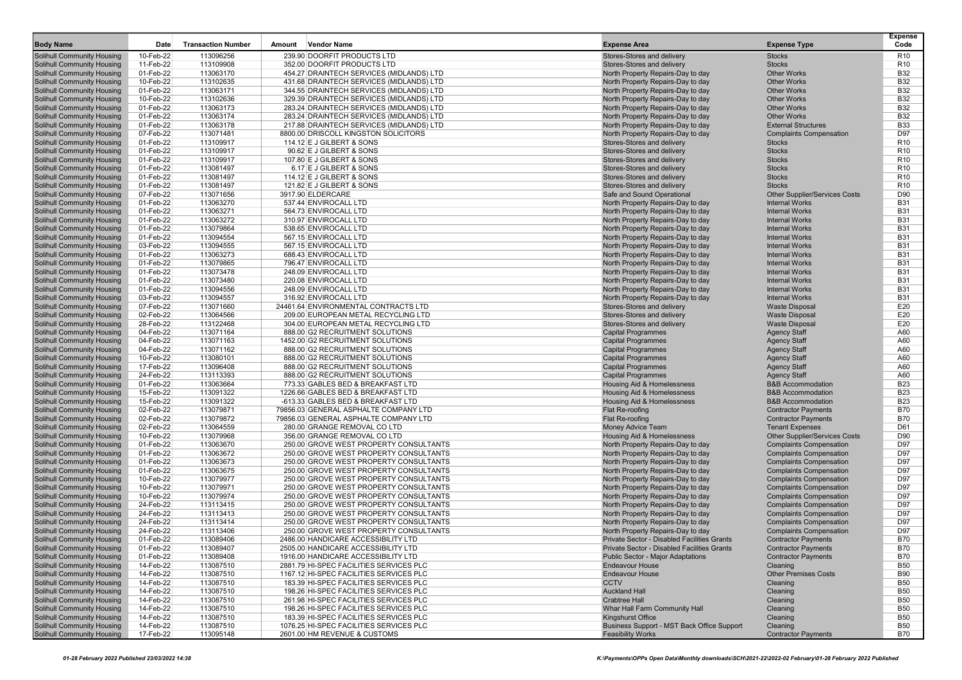| <b>Body Name</b>                                                       | Date                   | <b>Transaction Number</b> | <b>Vendor Name</b><br>Amount                                                     | <b>Expense Area</b>                                                    | <b>Expense Type</b>                                              | <b>Expense</b><br>Code             |
|------------------------------------------------------------------------|------------------------|---------------------------|----------------------------------------------------------------------------------|------------------------------------------------------------------------|------------------------------------------------------------------|------------------------------------|
| <b>Solihull Community Housing</b>                                      | 10-Feb-22              | 113096256                 | 239.90 DOORFIT PRODUCTS LTD                                                      | Stores-Stores and delivery                                             | <b>Stocks</b>                                                    | R <sub>10</sub>                    |
| <b>Solihull Community Housing</b>                                      | 11-Feb-22              | 113109908                 | 352.00 DOORFIT PRODUCTS LTD                                                      | Stores-Stores and delivery                                             | <b>Stocks</b>                                                    | R <sub>10</sub>                    |
| <b>Solihull Community Housing</b>                                      | 01-Feb-22              | 113063170                 | 454.27 DRAINTECH SERVICES (MIDLANDS) LTD                                         | North Property Repairs-Day to day                                      | <b>Other Works</b>                                               | <b>B32</b>                         |
| <b>Solihull Community Housing</b>                                      | 10-Feb-22              | 113102635                 | 431.68 DRAINTECH SERVICES (MIDLANDS) LTD                                         | North Property Repairs-Day to day                                      | <b>Other Works</b>                                               | <b>B32</b>                         |
| <b>Solihull Community Housing</b>                                      | 01-Feb-22              | 113063171                 | 344.55 DRAINTECH SERVICES (MIDLANDS) LTD                                         | North Property Repairs-Day to day                                      | <b>Other Works</b>                                               | <b>B32</b>                         |
| <b>Solihull Community Housing</b>                                      | 10-Feb-22              | 113102636                 | 329.39 DRAINTECH SERVICES (MIDLANDS) LTD                                         | North Property Repairs-Day to day                                      | <b>Other Works</b>                                               | <b>B32</b>                         |
| <b>Solihull Community Housing</b>                                      | 01-Feb-22              | 113063173                 | 283.24 DRAINTECH SERVICES (MIDLANDS) LTD                                         | North Property Repairs-Day to day                                      | <b>Other Works</b>                                               | <b>B32</b>                         |
| <b>Solihull Community Housing</b>                                      | 01-Feb-22              | 113063174                 | 283.24 DRAINTECH SERVICES (MIDLANDS) LTD                                         | North Property Repairs-Day to day                                      | <b>Other Works</b>                                               | <b>B32</b>                         |
| <b>Solihull Community Housing</b>                                      | 01-Feb-22              | 113063178                 | 217.88 DRAINTECH SERVICES (MIDLANDS) LTD                                         | North Property Repairs-Day to day                                      | <b>External Structures</b>                                       | <b>B33</b>                         |
| <b>Solihull Community Housing</b>                                      | 07-Feb-22              | 113071481                 | 8800.00 DRISCOLL KINGSTON SOLICITORS                                             | North Property Repairs-Day to day                                      | <b>Complaints Compensation</b>                                   | D97                                |
| <b>Solihull Community Housing</b>                                      | 01-Feb-22              | 113109917                 | 114.12 E J GILBERT & SONS                                                        | Stores-Stores and delivery                                             | <b>Stocks</b>                                                    | R <sub>10</sub><br>R <sub>10</sub> |
| <b>Solihull Community Housing</b><br><b>Solihull Community Housing</b> | 01-Feb-22<br>01-Feb-22 | 113109917<br>113109917    | 90.62 E J GILBERT & SONS<br>107.80 E J GILBERT & SONS                            | Stores-Stores and delivery<br>Stores-Stores and delivery               | <b>Stocks</b><br><b>Stocks</b>                                   | R <sub>10</sub>                    |
| <b>Solihull Community Housing</b>                                      | 01-Feb-22              | 113081497                 | 6.17 E J GILBERT & SONS                                                          | Stores-Stores and delivery                                             | <b>Stocks</b>                                                    | R <sub>10</sub>                    |
| <b>Solihull Community Housing</b>                                      | 01-Feb-22              | 113081497                 | 114.12 E J GILBERT & SONS                                                        | Stores-Stores and delivery                                             | <b>Stocks</b>                                                    | R <sub>10</sub>                    |
| <b>Solihull Community Housing</b>                                      | 01-Feb-22              | 113081497                 | 121.82 E J GILBERT & SONS                                                        | Stores-Stores and delivery                                             | <b>Stocks</b>                                                    | R <sub>10</sub>                    |
| Solihull Community Housing                                             | 07-Feb-22              | 113071656                 | 3917.90 ELDERCARE                                                                | Safe and Sound Operational                                             | <b>Other Supplier/Services Costs</b>                             | D90                                |
| <b>Solihull Community Housing</b>                                      | 01-Feb-22              | 113063270                 | 537.44 ENVIROCALL LTD                                                            | North Property Repairs-Day to day                                      | <b>Internal Works</b>                                            | <b>B31</b>                         |
| <b>Solihull Community Housing</b>                                      | 01-Feb-22              | 113063271                 | 564.73 ENVIROCALL LTD                                                            | North Property Repairs-Day to day                                      | <b>Internal Works</b>                                            | <b>B31</b>                         |
| <b>Solihull Community Housing</b>                                      | 01-Feb-22              | 113063272                 | 310.97 ENVIROCALL LTD                                                            | North Property Repairs-Day to day                                      | <b>Internal Works</b>                                            | <b>B31</b>                         |
| <b>Solihull Community Housing</b>                                      | 01-Feb-22              | 113079864                 | 538.65 ENVIROCALL LTD                                                            | North Property Repairs-Day to day                                      | <b>Internal Works</b>                                            | <b>B31</b>                         |
| <b>Solihull Community Housing</b>                                      | 01-Feb-22              | 113094554                 | 567.15 ENVIROCALL LTD                                                            | North Property Repairs-Day to day                                      | <b>Internal Works</b>                                            | <b>B31</b>                         |
| <b>Solihull Community Housing</b>                                      | 03-Feb-22              | 113094555                 | 567.15 ENVIROCALL LTD                                                            | North Property Repairs-Day to day                                      | <b>Internal Works</b>                                            | <b>B31</b>                         |
| <b>Solihull Community Housing</b>                                      | 01-Feb-22              | 113063273                 | 688.43 ENVIROCALL LTD                                                            | North Property Repairs-Day to day                                      | <b>Internal Works</b>                                            | <b>B31</b>                         |
| <b>Solihull Community Housing</b>                                      | 01-Feb-22              | 113079865                 | 796.47 ENVIROCALL LTD                                                            | North Property Repairs-Day to day                                      | <b>Internal Works</b>                                            | <b>B31</b>                         |
| <b>Solihull Community Housing</b>                                      | 01-Feb-22              | 113073478                 | 248.09 ENVIROCALL LTD                                                            | North Property Repairs-Day to day                                      | <b>Internal Works</b>                                            | <b>B31</b>                         |
| <b>Solihull Community Housing</b>                                      | 01-Feb-22              | 113073480                 | 220.08 ENVIROCALL LTD                                                            | North Property Repairs-Day to day                                      | <b>Internal Works</b>                                            | <b>B31</b>                         |
| <b>Solihull Community Housing</b>                                      | 01-Feb-22              | 113094556                 | 248.09 ENVIROCALL LTD                                                            | North Property Repairs-Day to day                                      | <b>Internal Works</b>                                            | <b>B31</b>                         |
| <b>Solihull Community Housing</b><br><b>Solihull Community Housing</b> | 03-Feb-22<br>07-Feb-22 | 113094557<br>113071660    | 316.92 ENVIROCALL LTD<br>24461.64 ENVIRONMENTAL CONTRACTS LTD                    | North Property Repairs-Day to day<br>Stores-Stores and delivery        | <b>Internal Works</b><br><b>Waste Disposal</b>                   | <b>B31</b><br>E20                  |
| <b>Solihull Community Housing</b>                                      | 02-Feb-22              | 113064566                 | 209.00 EUROPEAN METAL RECYCLING LTD                                              | Stores-Stores and delivery                                             | <b>Waste Disposal</b>                                            | E20                                |
| <b>Solihull Community Housing</b>                                      | 28-Feb-22              | 113122468                 | 304.00 EUROPEAN METAL RECYCLING LTD                                              | Stores-Stores and delivery                                             | <b>Waste Disposal</b>                                            | E20                                |
| <b>Solihull Community Housing</b>                                      | 04-Feb-22              | 113071164                 | 888.00 G2 RECRUITMENT SOLUTIONS                                                  | <b>Capital Programmes</b>                                              | <b>Agency Staff</b>                                              | A60                                |
| <b>Solihull Community Housing</b>                                      | 04-Feb-22              | 113071163                 | 1452.00 G2 RECRUITMENT SOLUTIONS                                                 | <b>Capital Programmes</b>                                              | <b>Agency Staff</b>                                              | A60                                |
| Solihull Community Housing                                             | 04-Feb-22              | 113071162                 | 888.00 G2 RECRUITMENT SOLUTIONS                                                  | <b>Capital Programmes</b>                                              | <b>Agency Staff</b>                                              | A60                                |
| <b>Solihull Community Housing</b>                                      | 10-Feb-22              | 113080101                 | 888.00 G2 RECRUITMENT SOLUTIONS                                                  | <b>Capital Programmes</b>                                              | <b>Agency Staff</b>                                              | A60                                |
| <b>Solihull Community Housing</b>                                      | 17-Feb-22              | 113096408                 | 888.00 G2 RECRUITMENT SOLUTIONS                                                  | <b>Capital Programmes</b>                                              | <b>Agency Staff</b>                                              | A60                                |
| <b>Solihull Community Housing</b>                                      | 24-Feb-22              | 113113393                 | 888.00 G2 RECRUITMENT SOLUTIONS                                                  | <b>Capital Programmes</b>                                              | <b>Agency Staff</b>                                              | A60                                |
| <b>Solihull Community Housing</b>                                      | 01-Feb-22              | 113063664                 | 773.33 GABLES BED & BREAKFAST LTD                                                | <b>Housing Aid &amp; Homelessness</b>                                  | <b>B&amp;B Accommodation</b>                                     | <b>B23</b>                         |
| <b>Solihull Community Housing</b>                                      | 15-Feb-22              | 113091322                 | 1226.66 GABLES BED & BREAKFAST LTD                                               | Housing Aid & Homelessness                                             | <b>B&amp;B Accommodation</b>                                     | <b>B23</b>                         |
| <b>Solihull Community Housing</b>                                      | 15-Feb-22              | 113091322                 | -613.33 GABLES BED & BREAKFAST LTD                                               | <b>Housing Aid &amp; Homelessness</b>                                  | <b>B&amp;B Accommodation</b>                                     | <b>B23</b>                         |
| <b>Solihull Community Housing</b>                                      | 02-Feb-22              | 113079871                 | 79856.03 GENERAL ASPHALTE COMPANY LTD                                            | Flat Re-roofing                                                        | <b>Contractor Payments</b>                                       | <b>B70</b>                         |
| <b>Solihull Community Housing</b>                                      | 02-Feb-22              | 113079872                 | 79856.03 GENERAL ASPHALTE COMPANY LTD                                            | Flat Re-roofing                                                        | <b>Contractor Payments</b>                                       | <b>B70</b>                         |
| <b>Solihull Community Housing</b>                                      | 02-Feb-22              | 113064559                 | 280.00 GRANGE REMOVAL CO LTD                                                     | Money Advice Team                                                      | <b>Tenant Expenses</b>                                           | D61                                |
| <b>Solihull Community Housing</b>                                      | 10-Feb-22<br>01-Feb-22 | 113079968<br>113063670    | 356.00 GRANGE REMOVAL CO LTD<br>250.00 GROVE WEST PROPERTY CONSULTANTS           | <b>Housing Aid &amp; Homelessness</b>                                  | <b>Other Supplier/Services Costs</b>                             | D90<br>D97                         |
| <b>Solihull Community Housing</b><br><b>Solihull Community Housing</b> | 01-Feb-22              | 113063672                 | 250.00 GROVE WEST PROPERTY CONSULTANTS                                           | North Property Repairs-Day to day<br>North Property Repairs-Day to day | <b>Complaints Compensation</b><br><b>Complaints Compensation</b> | D97                                |
| <b>Solihull Community Housing</b>                                      | 01-Feb-22              | 113063673                 | 250.00 GROVE WEST PROPERTY CONSULTANTS                                           | North Property Repairs-Day to day                                      | <b>Complaints Compensation</b>                                   | D97                                |
| <b>Solihull Community Housing</b>                                      | 01-Feb-22              | 113063675                 | 250.00 GROVE WEST PROPERTY CONSULTANTS                                           | North Property Repairs-Day to day                                      | <b>Complaints Compensation</b>                                   | D97                                |
| <b>Solihull Community Housing</b>                                      | 10-Feb-22              | 113079977                 | 250.00 GROVE WEST PROPERTY CONSULTANTS                                           | North Property Repairs-Day to day                                      | <b>Complaints Compensation</b>                                   | D97                                |
| <b>Solihull Community Housing</b>                                      | 10-Feb-22              | 113079971                 | 250.00 GROVE WEST PROPERTY CONSULTANTS                                           | North Property Repairs-Day to day                                      | <b>Complaints Compensation</b>                                   | D97                                |
| <b>Solihull Community Housing</b>                                      | 10-Feb-22              | 113079974                 | 250.00 GROVE WEST PROPERTY CONSULTANTS                                           | North Property Repairs-Day to day                                      | <b>Complaints Compensation</b>                                   | D97                                |
| <b>Solihull Community Housing</b>                                      | 24-Feb-22              | 113113415                 | 250.00 GROVE WEST PROPERTY CONSULTANTS                                           | North Property Repairs-Day to day                                      | <b>Complaints Compensation</b>                                   | D97                                |
| <b>Solihull Community Housing</b>                                      | 24-Feb-22              | 113113413                 | 250.00 GROVE WEST PROPERTY CONSULTANTS                                           | North Property Repairs-Day to day                                      | <b>Complaints Compensation</b>                                   | D97                                |
| <b>Solihull Community Housing</b>                                      | 24-Feb-22              | 113113414                 | 250.00 GROVE WEST PROPERTY CONSULTANTS                                           | North Property Repairs-Day to day                                      | <b>Complaints Compensation</b>                                   | D97                                |
| <b>Solihull Community Housing</b>                                      | 24-Feb-22              | 113113406                 | 250.00 GROVE WEST PROPERTY CONSULTANTS                                           | North Property Repairs-Day to day                                      | <b>Complaints Compensation</b>                                   | D97                                |
| <b>Solihull Community Housing</b>                                      | 01-Feb-22              | 113089406                 | 2486.00 HANDICARE ACCESSIBILITY LTD                                              | Private Sector - Disabled Facilities Grants                            | <b>Contractor Payments</b>                                       | <b>B70</b>                         |
| <b>Solihull Community Housing</b>                                      | 01-Feb-22              | 113089407                 | 2505.00 HANDICARE ACCESSIBILITY LTD                                              | Private Sector - Disabled Facilities Grants                            | <b>Contractor Payments</b>                                       | <b>B70</b>                         |
| <b>Solihull Community Housing</b>                                      | 01-Feb-22              | 113089408                 | 1916.00 HANDICARE ACCESSIBILITY LTD                                              | <b>Public Sector - Maior Adaptations</b>                               | <b>Contractor Payments</b>                                       | <b>B70</b>                         |
| <b>Solihull Community Housing</b>                                      | 14-Feb-22              | 113087510                 | 2881.79 HI-SPEC FACILITIES SERVICES PLC                                          | <b>Endeavour House</b>                                                 | Cleaning                                                         | <b>B50</b>                         |
| <b>Solihull Community Housing</b>                                      | 14-Feb-22              | 113087510                 | 1167.12 HI-SPEC FACILITIES SERVICES PLC                                          | <b>Endeavour House</b>                                                 | <b>Other Premises Costs</b>                                      | <b>B90</b>                         |
| Solihull Community Housing                                             | 14-Feb-22              | 113087510                 | 183.39 HI-SPEC FACILITIES SERVICES PLC                                           | <b>CCTV</b>                                                            | Cleaning                                                         | <b>B50</b>                         |
| Solihull Community Housing                                             | 14-Feb-22              | 113087510                 | 198.26 HI-SPEC FACILITIES SERVICES PLC                                           | <b>Auckland Hall</b>                                                   | Cleaning                                                         | <b>B50</b>                         |
| <b>Solihull Community Housing</b><br><b>Solihull Community Housing</b> | 14-Feb-22              | 113087510                 | 261.98 HI-SPEC FACILITIES SERVICES PLC                                           | <b>Crabtree Hall</b>                                                   | Cleaning                                                         | <b>B50</b>                         |
| <b>Solihull Community Housing</b>                                      | 14-Feb-22<br>14-Feb-22 | 113087510<br>113087510    | 198.26 HI-SPEC FACILITIES SERVICES PLC<br>183.39 HI-SPEC FACILITIES SERVICES PLC | Whar Hall Farm Community Hall<br><b>Kingshurst Office</b>              | Cleaning<br>Cleaning                                             | <b>B50</b><br><b>B50</b>           |
| <b>Solihull Community Housing</b>                                      | 14-Feb-22              | 113087510                 | 1076.25 HI-SPEC FACILITIES SERVICES PLC                                          | Business Support - MST Back Office Support                             | Cleaning                                                         | <b>B50</b>                         |
| <b>Solihull Community Housing</b>                                      | 17-Feb-22              | 113095148                 | 2601.00 HM REVENUE & CUSTOMS                                                     | <b>Feasibility Works</b>                                               | <b>Contractor Payments</b>                                       | <b>B70</b>                         |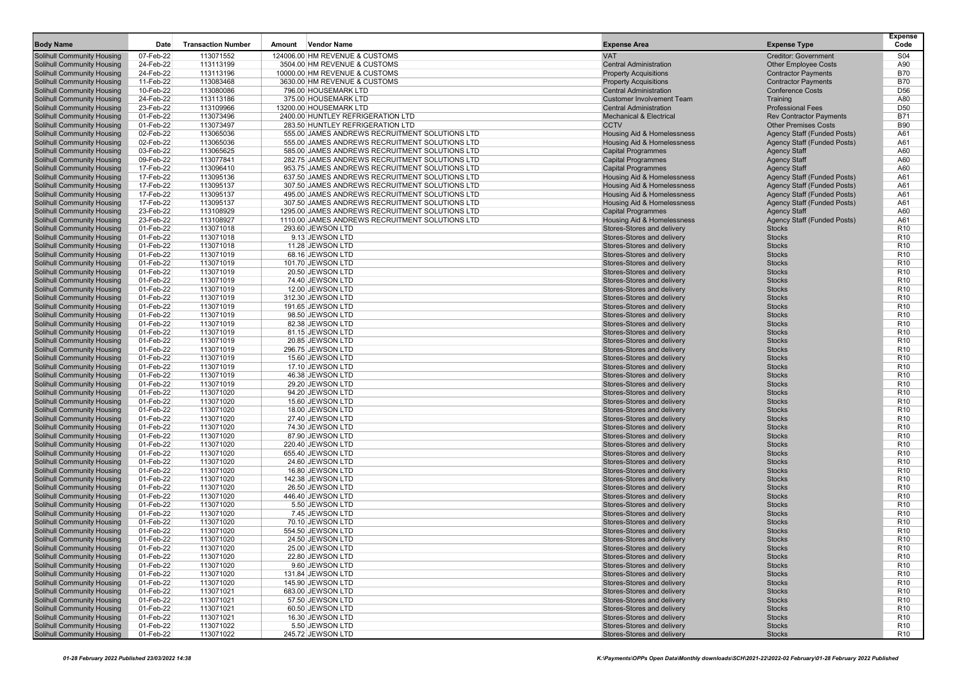|                                                                 |                        |                           |                                                 |                                                          |                                    | <b>Expense</b>                     |
|-----------------------------------------------------------------|------------------------|---------------------------|-------------------------------------------------|----------------------------------------------------------|------------------------------------|------------------------------------|
| <b>Body Name</b>                                                | Date                   | <b>Transaction Number</b> | Amount<br><b>Vendor Name</b>                    | <b>Expense Area</b>                                      | <b>Expense Type</b>                | Code                               |
| <b>Solihull Community Housing</b>                               | 07-Feb-22              | 113071552                 | 124006.00 HM REVENUE & CUSTOMS                  | <b>VAT</b>                                               | <b>Creditor: Government</b>        | S04                                |
| <b>Solihull Community Housing</b>                               | 24-Feb-22              | 113113199                 | 3504.00 HM REVENUE & CUSTOMS                    | <b>Central Administration</b>                            | <b>Other Employee Costs</b>        | A90                                |
| <b>Solihull Community Housing</b>                               | 24-Feb-22              | 113113196                 | 10000.00 HM REVENUE & CUSTOMS                   | <b>Property Acquisitions</b>                             | <b>Contractor Payments</b>         | <b>B70</b>                         |
| Solihull Community Housing                                      | 11-Feb-22              | 113083468                 | 3630.00 HM REVENUE & CUSTOMS                    | <b>Property Acquisitions</b>                             | <b>Contractor Payments</b>         | <b>B70</b>                         |
| Solihull Community Housing                                      | 10-Feb-22              | 113080086                 | 796.00 HOUSEMARK LTD                            | <b>Central Administration</b>                            | <b>Conference Costs</b>            | D <sub>56</sub>                    |
| <b>Solihull Community Housing</b>                               | 24-Feb-22              | 113113186                 | 375.00 HOUSEMARK LTD                            | <b>Customer Involvement Team</b>                         | Training                           | A80                                |
| Solihull Community Housing                                      | 23-Feb-22              | 113109966                 | 13200.00 HOUSEMARK LTD                          | <b>Central Administration</b>                            | <b>Professional Fees</b>           | D <sub>50</sub>                    |
| <b>Solihull Community Housing</b>                               | 01-Feb-22              | 113073496                 | 2400.00 HUNTLEY REFRIGERATION LTD               | <b>Mechanical &amp; Electrical</b>                       | <b>Rev Contractor Payments</b>     | <b>B71</b>                         |
| Solihull Community Housing                                      | 01-Feb-22              | 113073497                 | 283.50 HUNTLEY REFRIGERATION LTD                | <b>CCTV</b>                                              | <b>Other Premises Costs</b>        | <b>B90</b>                         |
| <b>Solihull Community Housing</b>                               | 02-Feb-22              | 113065036                 | 555.00 JAMES ANDREWS RECRUITMENT SOLUTIONS LTD  | Housing Aid & Homelessness                               | <b>Agency Staff (Funded Posts)</b> | A61                                |
| Solihull Community Housing                                      | 02-Feb-22              | 113065036                 | 555.00 JAMES ANDREWS RECRUITMENT SOLUTIONS LTD  | <b>Housing Aid &amp; Homelessness</b>                    | <b>Agency Staff (Funded Posts)</b> | A61                                |
| <b>Solihull Community Housing</b>                               | 03-Feb-22              | 113065625                 | 585.00 JAMES ANDREWS RECRUITMENT SOLUTIONS LTD  | <b>Capital Programmes</b>                                | <b>Agency Staff</b>                | A60                                |
| Solihull Community Housing                                      | 09-Feb-22              | 113077841                 | 282.75 JAMES ANDREWS RECRUITMENT SOLUTIONS LTD  | <b>Capital Programmes</b>                                | <b>Agency Staff</b>                | A60                                |
| <b>Solihull Community Housing</b>                               | 17-Feb-22              | 113096410                 | 953.75 JAMES ANDREWS RECRUITMENT SOLUTIONS LTD  | <b>Capital Programmes</b>                                | <b>Agency Staff</b>                | A60                                |
| <b>Solihull Community Housing</b>                               | 17-Feb-22              | 113095136                 | 637.50 JAMES ANDREWS RECRUITMENT SOLUTIONS LTD  | <b>Housing Aid &amp; Homelessness</b>                    | <b>Agency Staff (Funded Posts)</b> | A61                                |
| <b>Solihull Community Housing</b>                               | 17-Feb-22              | 113095137                 | 307.50 JAMES ANDREWS RECRUITMENT SOLUTIONS LTD  | Housing Aid & Homelessness                               | <b>Agency Staff (Funded Posts)</b> | A61                                |
| <b>Solihull Community Housing</b>                               | 17-Feb-22              | 113095137                 | 495.00 JAMES ANDREWS RECRUITMENT SOLUTIONS LTD  | Housing Aid & Homelessness                               | Agency Staff (Funded Posts)        | A61                                |
| Solihull Community Housing                                      | 17-Feb-22              | 113095137                 | 307.50 JAMES ANDREWS RECRUITMENT SOLUTIONS LTD  | Housing Aid & Homelessness                               | Agency Staff (Funded Posts)        | A61                                |
| Solihull Community Housing                                      | 23-Feb-22              | 113108929                 | 1295.00 JAMES ANDREWS RECRUITMENT SOLUTIONS LTD | <b>Capital Programmes</b>                                | <b>Agency Staff</b>                | A60                                |
| Solihull Community Housing                                      | 23-Feb-22              | 113108927                 | 1110.00 JAMES ANDREWS RECRUITMENT SOLUTIONS LTD | Housing Aid & Homelessness                               | <b>Agency Staff (Funded Posts)</b> | A61                                |
| Solihull Community Housing                                      | 01-Feb-22              | 113071018                 | 293.60 JEWSON LTD                               | Stores-Stores and delivery                               | <b>Stocks</b>                      | R <sub>10</sub>                    |
| Solihull Community Housing                                      | 01-Feb-22              | 113071018                 | 9.13 JEWSON LTD                                 | Stores-Stores and delivery                               | <b>Stocks</b>                      | R <sub>10</sub><br>R <sub>10</sub> |
| Solihull Community Housing                                      | 01-Feb-22              | 113071018                 | 11.28 JEWSON LTD                                | Stores-Stores and delivery<br>Stores-Stores and delivery | <b>Stocks</b>                      |                                    |
| Solihull Community Housing<br><b>Solihull Community Housing</b> | 01-Feb-22<br>01-Feb-22 | 113071019<br>113071019    | 68.16 JEWSON LTD                                | Stores-Stores and delivery                               | <b>Stocks</b><br><b>Stocks</b>     | R <sub>10</sub><br>R <sub>10</sub> |
| Solihull Community Housing                                      | 01-Feb-22              | 113071019                 | 101.70 JEWSON LTD<br>20.50 JEWSON LTD           | Stores-Stores and delivery                               | <b>Stocks</b>                      | R <sub>10</sub>                    |
| Solihull Community Housing                                      | 01-Feb-22              | 113071019                 | 74.40 JEWSON LTD                                | Stores-Stores and delivery                               | <b>Stocks</b>                      | R <sub>10</sub>                    |
| Solihull Community Housing                                      | 01-Feb-22              | 113071019                 | 12.00 JEWSON LTD                                | Stores-Stores and delivery                               | <b>Stocks</b>                      | R <sub>10</sub>                    |
| <b>Solihull Community Housing</b>                               | 01-Feb-22              | 113071019                 | 312.30 JEWSON LTD                               | Stores-Stores and delivery                               | <b>Stocks</b>                      | R <sub>10</sub>                    |
| Solihull Community Housing                                      | 01-Feb-22              | 113071019                 | 191.65 JEWSON LTD                               | Stores-Stores and delivery                               | <b>Stocks</b>                      | R <sub>10</sub>                    |
| <b>Solihull Community Housing</b>                               | 01-Feb-22              | 113071019                 | 98.50 JEWSON LTD                                | Stores-Stores and delivery                               | <b>Stocks</b>                      | R <sub>10</sub>                    |
| Solihull Community Housing                                      | 01-Feb-22              | 113071019                 | 82.38 JEWSON LTD                                | Stores-Stores and delivery                               | <b>Stocks</b>                      | R <sub>10</sub>                    |
| <b>Solihull Community Housing</b>                               | 01-Feb-22              | 113071019                 | 81.15 JEWSON LTD                                | Stores-Stores and delivery                               | <b>Stocks</b>                      | R <sub>10</sub>                    |
| Solihull Community Housing                                      | 01-Feb-22              | 113071019                 | 20.85 JEWSON LTD                                | Stores-Stores and delivery                               | <b>Stocks</b>                      | R <sub>10</sub>                    |
| <b>Solihull Community Housing</b>                               | 01-Feb-22              | 113071019                 | 296.75 JEWSON LTD                               | Stores-Stores and delivery                               | <b>Stocks</b>                      | R <sub>10</sub>                    |
| Solihull Community Housing                                      | 01-Feb-22              | 113071019                 | 15.60 JEWSON LTD                                | Stores-Stores and delivery                               | <b>Stocks</b>                      | R <sub>10</sub>                    |
| <b>Solihull Community Housing</b>                               | 01-Feb-22              | 113071019                 | 17.10 JEWSON LTD                                | Stores-Stores and delivery                               | <b>Stocks</b>                      | R <sub>10</sub>                    |
| <b>Solihull Community Housing</b>                               | 01-Feb-22              | 113071019                 | 46.38 JEWSON LTD                                | Stores-Stores and delivery                               | <b>Stocks</b>                      | R <sub>10</sub>                    |
| <b>Solihull Community Housing</b>                               | 01-Feb-22              | 113071019                 | 29.20 JEWSON LTD                                | Stores-Stores and delivery                               | <b>Stocks</b>                      | R <sub>10</sub>                    |
| Solihull Community Housing                                      | 01-Feb-22              | 113071020                 | 94.20 JEWSON LTD                                | Stores-Stores and delivery                               | <b>Stocks</b>                      | R <sub>10</sub>                    |
| Solihull Community Housing                                      | 01-Feb-22              | 113071020<br>113071020    | 15.60 JEWSON LTD                                | Stores-Stores and delivery                               | <b>Stocks</b>                      | R <sub>10</sub><br>R <sub>10</sub> |
| Solihull Community Housing<br>Solihull Community Housing        | 01-Feb-22<br>01-Feb-22 | 113071020                 | 18.00 JEWSON LTD<br>27.40 JEWSON LTD            | Stores-Stores and delivery<br>Stores-Stores and delivery | <b>Stocks</b><br><b>Stocks</b>     | R <sub>10</sub>                    |
| <b>Solihull Community Housing</b>                               | 01-Feb-22              | 113071020                 | 74.30 JEWSON LTD                                | Stores-Stores and delivery                               | <b>Stocks</b>                      | R <sub>10</sub>                    |
| <b>Solihull Community Housing</b>                               | 01-Feb-22              | 113071020                 | 87.90 JEWSON LTD                                | Stores-Stores and delivery                               | <b>Stocks</b>                      | R <sub>10</sub>                    |
| <b>Solihull Community Housing</b>                               | 01-Feb-22              | 113071020                 | 220.40 JEWSON LTD                               | Stores-Stores and delivery                               | <b>Stocks</b>                      | R <sub>10</sub>                    |
| Solihull Community Housing                                      | 01-Feb-22              | 113071020                 | 655.40 JEWSON LTD                               | Stores-Stores and delivery                               | <b>Stocks</b>                      | R <sub>10</sub>                    |
| <b>Solihull Community Housing</b>                               | 01-Feb-22              | 113071020                 | 24.60 JEWSON LTD                                | Stores-Stores and delivery                               | <b>Stocks</b>                      | R <sub>10</sub>                    |
| Solihull Community Housing                                      | 01-Feb-22              | 113071020                 | 16.80 JEWSON LTD                                | Stores-Stores and delivery                               | <b>Stocks</b>                      | R <sub>10</sub>                    |
| Solihull Community Housing                                      | 01-Feb-22              | 113071020                 | 142.38 JEWSON LTD                               | Stores-Stores and delivery                               | <b>Stocks</b>                      | R <sub>10</sub>                    |
| Solihull Community Housing                                      | 01-Feb-22              | 113071020                 | 26.50 JEWSON LTD                                | Stores-Stores and delivery                               | <b>Stocks</b>                      | R <sub>10</sub>                    |
| <b>Solihull Community Housing</b>                               | 01-Feb-22              | 113071020                 | 446.40 JEWSON LTD                               | Stores-Stores and delivery                               | <b>Stocks</b>                      | R <sub>10</sub>                    |
| Solihull Community Housing                                      | 01-Feb-22              | 113071020                 | 5.50 JEWSON LTD                                 | Stores-Stores and delivery                               | <b>Stocks</b>                      | R <sub>10</sub>                    |
| Solihull Community Housing                                      | 01-Feb-22              | 113071020                 | 7.45 JEWSON LTD                                 | Stores-Stores and delivery                               | <b>Stocks</b>                      | R <sub>10</sub>                    |
| Solihull Community Housing                                      | 01-Feb-22              | 113071020                 | 70.10 JEWSON LTD                                | Stores-Stores and delivery                               | <b>Stocks</b>                      | R <sub>10</sub>                    |
| Solihull Community Housing                                      | 01-Feb-22              | 113071020                 | 554.50 JEWSON LTD                               | Stores-Stores and delivery                               | <b>Stocks</b>                      | R <sub>10</sub>                    |
| Solihull Community Housing                                      | 01-Feb-22              | 113071020                 | 24.50 JEWSON LTD                                | Stores-Stores and delivery                               | <b>Stocks</b>                      | R <sub>10</sub>                    |
| Solihull Community Housing                                      | 01-Feb-22              | 113071020                 | 25.00 JEWSON LTD                                | Stores-Stores and delivery                               | <b>Stocks</b>                      | R <sub>10</sub>                    |
| Solihull Community Housing                                      | 01-Feb-22              | 113071020                 | 22.80 JEWSON LTD                                | Stores-Stores and delivery                               | <b>Stocks</b>                      | R <sub>10</sub>                    |
| Solihull Community Housing<br>Solihull Community Housing        | 01-Feb-22              | 113071020                 | 9.60 JEWSON LTD                                 | Stores-Stores and delivery<br>Stores-Stores and delivery | <b>Stocks</b>                      | R <sub>10</sub>                    |
|                                                                 | 01-Feb-22<br>01-Feb-22 | 113071020<br>113071020    | 131.84 JEWSON LTD<br>145.90 JEWSON LTD          | Stores-Stores and delivery                               | <b>Stocks</b><br><b>Stocks</b>     | R <sub>10</sub><br>R <sub>10</sub> |
| Solihull Community Housing<br>Solihull Community Housing        | 01-Feb-22              | 113071021                 | 683.00 JEWSON LTD                               | Stores-Stores and delivery                               | <b>Stocks</b>                      | R <sub>10</sub>                    |
| <b>Solihull Community Housing</b>                               | 01-Feb-22              | 113071021                 | 57.50 JEWSON LTD                                | Stores-Stores and delivery                               | <b>Stocks</b>                      | R <sub>10</sub>                    |
| <b>Solihull Community Housing</b>                               | 01-Feb-22              | 113071021                 | 60.50 JEWSON LTD                                | Stores-Stores and delivery                               | <b>Stocks</b>                      | R <sub>10</sub>                    |
| <b>Solihull Community Housing</b>                               | 01-Feb-22              | 113071021                 | 16.30 JEWSON LTD                                | Stores-Stores and delivery                               | <b>Stocks</b>                      | R <sub>10</sub>                    |
| Solihull Community Housing                                      | 01-Feb-22              | 113071022                 | 5.50 JEWSON LTD                                 | Stores-Stores and delivery                               | <b>Stocks</b>                      | R <sub>10</sub>                    |
| <b>Solihull Community Housing</b>                               | 01-Feb-22              | 113071022                 | 245.72 JEWSON LTD                               | Stores-Stores and delivery                               | <b>Stocks</b>                      | R <sub>10</sub>                    |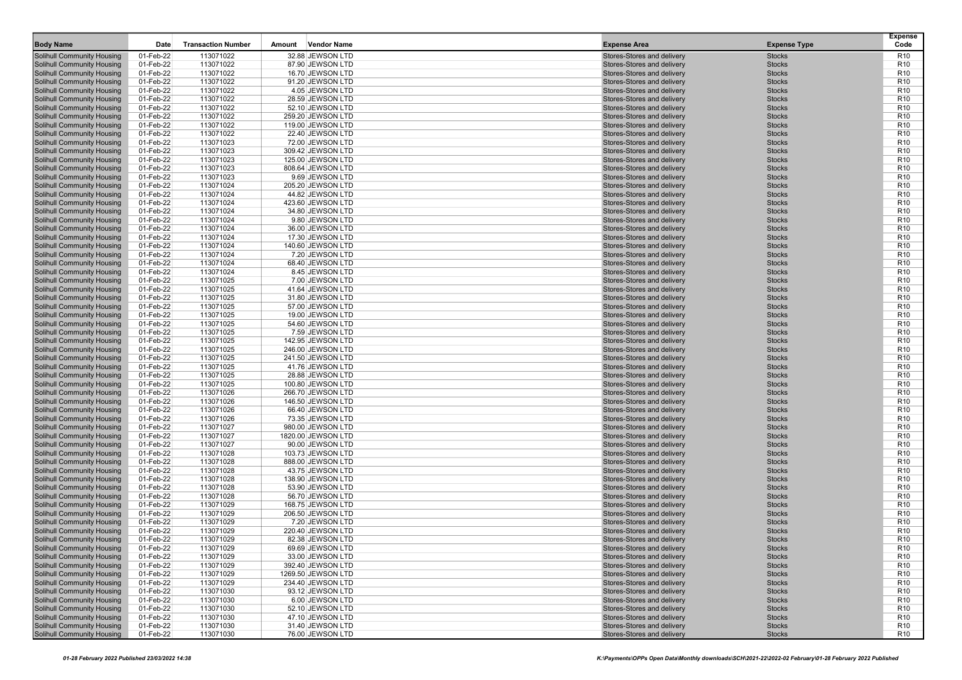| <b>Body Name</b>                                                | Date                   | <b>Transaction Number</b> | <b>Vendor Name</b><br>Amount         | <b>Expense Area</b>                                      | <b>Expense Type</b>            | <b>Expense</b><br>Code             |
|-----------------------------------------------------------------|------------------------|---------------------------|--------------------------------------|----------------------------------------------------------|--------------------------------|------------------------------------|
| <b>Solihull Community Housing</b>                               | 01-Feb-22              | 113071022                 | 32.88 JEWSON LTD                     | Stores-Stores and delivery                               | <b>Stocks</b>                  | R <sub>10</sub>                    |
| Solihull Community Housing                                      | 01-Feb-22              | 113071022                 | 87.90 JEWSON LTD                     | Stores-Stores and delivery                               | <b>Stocks</b>                  | R <sub>10</sub>                    |
| <b>Solihull Community Housing</b>                               | 01-Feb-22              | 113071022                 | 16.70 JEWSON LTD                     | Stores-Stores and delivery                               | <b>Stocks</b>                  | R <sub>10</sub>                    |
| Solihull Community Housing                                      | 01-Feb-22              | 113071022                 | 91.20 JEWSON LTD                     | Stores-Stores and delivery                               | <b>Stocks</b>                  | R <sub>10</sub>                    |
| <b>Solihull Community Housing</b>                               | 01-Feb-22              | 113071022                 | 4.05 JEWSON LTD                      | Stores-Stores and delivery                               | <b>Stocks</b>                  | R <sub>10</sub>                    |
| Solihull Community Housing                                      | 01-Feb-22              | 113071022                 | 28.59 JEWSON LTD                     | Stores-Stores and delivery                               | <b>Stocks</b>                  | R <sub>10</sub>                    |
| <b>Solihull Community Housing</b>                               | 01-Feb-22              | 113071022                 | 52.10 JEWSON LTD                     | Stores-Stores and delivery                               | <b>Stocks</b>                  | R <sub>10</sub>                    |
| Solihull Community Housing                                      | 01-Feb-22              | 113071022                 | 259.20 JEWSON LTD                    | Stores-Stores and delivery                               | <b>Stocks</b>                  | R <sub>10</sub>                    |
| <b>Solihull Community Housing</b>                               | 01-Feb-22              | 113071022                 | 119.00 JEWSON LTD                    | Stores-Stores and delivery                               | <b>Stocks</b>                  | R <sub>10</sub>                    |
| <b>Solihull Community Housing</b>                               | 01-Feb-22              | 113071022                 | 22.40 JEWSON LTD                     | Stores-Stores and delivery                               | <b>Stocks</b>                  | R <sub>10</sub>                    |
| <b>Solihull Community Housing</b>                               | 01-Feb-22              | 113071023                 | 72.00 JEWSON LTD                     | Stores-Stores and delivery                               | <b>Stocks</b>                  | R <sub>10</sub>                    |
| Solihull Community Housing                                      | 01-Feb-22              | 113071023                 | 309.42 JEWSON LTD                    | Stores-Stores and delivery                               | <b>Stocks</b>                  | R <sub>10</sub>                    |
| <b>Solihull Community Housing</b>                               | 01-Feb-22              | 113071023                 | 125.00 JEWSON LTD                    | Stores-Stores and delivery                               | <b>Stocks</b>                  | R <sub>10</sub>                    |
| Solihull Community Housing                                      | 01-Feb-22              | 113071023                 | 808.64 JEWSON LTD                    | Stores-Stores and delivery                               | <b>Stocks</b>                  | R <sub>10</sub>                    |
| <b>Solihull Community Housing</b>                               | 01-Feb-22              | 113071023                 | 9.69 JEWSON LTD                      | Stores-Stores and delivery                               | <b>Stocks</b>                  | R <sub>10</sub>                    |
| Solihull Community Housing                                      | 01-Feb-22              | 113071024                 | 205.20 JEWSON LTD                    | Stores-Stores and delivery                               | <b>Stocks</b>                  | R <sub>10</sub>                    |
| <b>Solihull Community Housing</b>                               | 01-Feb-22              | 113071024                 | 44.82 JEWSON LTD                     | Stores-Stores and delivery                               | <b>Stocks</b>                  | R <sub>10</sub>                    |
| <b>Solihull Community Housing</b>                               | 01-Feb-22              | 113071024                 | 423.60 JEWSON LTD                    | Stores-Stores and delivery                               | <b>Stocks</b>                  | R <sub>10</sub>                    |
| Solihull Community Housing                                      | 01-Feb-22              | 113071024                 | 34.80 JEWSON LTD                     | Stores-Stores and delivery                               | <b>Stocks</b>                  | R <sub>10</sub>                    |
| Solihull Community Housing                                      | 01-Feb-22              | 113071024                 | 9.80 JEWSON LTD                      | Stores-Stores and delivery                               | <b>Stocks</b>                  | R <sub>10</sub>                    |
| Solihull Community Housing                                      | 01-Feb-22              | 113071024                 | 36.00 JEWSON LTD                     | Stores-Stores and delivery                               | <b>Stocks</b>                  | R <sub>10</sub>                    |
| <b>Solihull Community Housing</b>                               | 01-Feb-22              | 113071024                 | 17.30 JEWSON LTD                     | Stores-Stores and delivery                               | <b>Stocks</b>                  | R <sub>10</sub>                    |
| Solihull Community Housing                                      | 01-Feb-22              | 113071024                 | 140.60 JEWSON LTD                    | Stores-Stores and delivery                               | <b>Stocks</b>                  | R <sub>10</sub>                    |
| <b>Solihull Community Housing</b>                               | 01-Feb-22              | 113071024                 | 7.20 JEWSON LTD                      | Stores-Stores and delivery                               | <b>Stocks</b>                  | R <sub>10</sub>                    |
| Solihull Community Housing                                      | 01-Feb-22              | 113071024                 | 68.40 JEWSON LTD                     | Stores-Stores and delivery                               | <b>Stocks</b>                  | R <sub>10</sub>                    |
| Solihull Community Housing                                      | 01-Feb-22              | 113071024                 | 8.45 JEWSON LTD                      | Stores-Stores and delivery                               | <b>Stocks</b>                  | R <sub>10</sub><br>R <sub>10</sub> |
| Solihull Community Housing<br><b>Solihull Community Housing</b> | 01-Feb-22<br>01-Feb-22 | 113071025<br>113071025    | 7.00 JEWSON LTD<br>41.64 JEWSON LTD  | Stores-Stores and delivery<br>Stores-Stores and delivery | <b>Stocks</b><br><b>Stocks</b> | R <sub>10</sub>                    |
| Solihull Community Housing                                      | 01-Feb-22              | 113071025                 | 31.80 JEWSON LTD                     | Stores-Stores and delivery                               | <b>Stocks</b>                  | R <sub>10</sub>                    |
| Solihull Community Housing                                      | 01-Feb-22              | 113071025                 | 57.00 JEWSON LTD                     | Stores-Stores and delivery                               | <b>Stocks</b>                  | R <sub>10</sub>                    |
| Solihull Community Housing                                      | 01-Feb-22              | 113071025                 | 19.00 JEWSON LTD                     | Stores-Stores and delivery                               | <b>Stocks</b>                  | R <sub>10</sub>                    |
| <b>Solihull Community Housing</b>                               | 01-Feb-22              | 113071025                 | 54.60 JEWSON LTD                     | Stores-Stores and delivery                               | <b>Stocks</b>                  | R <sub>10</sub>                    |
| <b>Solihull Community Housing</b>                               | 01-Feb-22              | 113071025                 | 7.59 JEWSON LTD                      | Stores-Stores and delivery                               | <b>Stocks</b>                  | R <sub>10</sub>                    |
| <b>Solihull Community Housing</b>                               | 01-Feb-22              | 113071025                 | 142.95 JEWSON LTD                    | Stores-Stores and delivery                               | <b>Stocks</b>                  | R <sub>10</sub>                    |
| Solihull Community Housing                                      | 01-Feb-22              | 113071025                 | 246.00 JEWSON LTD                    | Stores-Stores and delivery                               | <b>Stocks</b>                  | R <sub>10</sub>                    |
| Solihull Community Housing                                      | 01-Feb-22              | 113071025                 | 241.50 JEWSON LTD                    | Stores-Stores and delivery                               | <b>Stocks</b>                  | R <sub>10</sub>                    |
| <b>Solihull Community Housing</b>                               | 01-Feb-22              | 113071025                 | 41.76 JEWSON LTD                     | Stores-Stores and delivery                               | <b>Stocks</b>                  | R <sub>10</sub>                    |
| <b>Solihull Community Housing</b>                               | 01-Feb-22              | 113071025                 | 28.88 JEWSON LTD                     | Stores-Stores and delivery                               | <b>Stocks</b>                  | R <sub>10</sub>                    |
| Solihull Community Housing                                      | 01-Feb-22              | 113071025                 | 100.80 JEWSON LTD                    | Stores-Stores and delivery                               | <b>Stocks</b>                  | R <sub>10</sub>                    |
| <b>Solihull Community Housing</b>                               | 01-Feb-22              | 113071026                 | 266.70 JEWSON LTD                    | Stores-Stores and delivery                               | <b>Stocks</b>                  | R <sub>10</sub>                    |
| Solihull Community Housing                                      | 01-Feb-22              | 113071026                 | 146.50 JEWSON LTD                    | Stores-Stores and delivery                               | <b>Stocks</b>                  | R <sub>10</sub>                    |
| Solihull Community Housing                                      | 01-Feb-22              | 113071026                 | 66.40 JEWSON LTD                     | Stores-Stores and delivery                               | <b>Stocks</b>                  | R <sub>10</sub>                    |
| Solihull Community Housing                                      | 01-Feb-22              | 113071026                 | 73.35 JEWSON LTD                     | Stores-Stores and delivery                               | <b>Stocks</b>                  | R <sub>10</sub>                    |
| Solihull Community Housing                                      | 01-Feb-22              | 113071027                 | 980.00 JEWSON LTD                    | Stores-Stores and delivery                               | <b>Stocks</b>                  | R <sub>10</sub>                    |
| <b>Solihull Community Housing</b>                               | 01-Feb-22              | 113071027                 | 1820.00 JEWSON LTD                   | Stores-Stores and delivery                               | <b>Stocks</b>                  | R <sub>10</sub>                    |
| Solihull Community Housing                                      | 01-Feb-22              | 113071027                 | 90.00 JEWSON LTD                     | Stores-Stores and delivery                               | <b>Stocks</b>                  | R <sub>10</sub>                    |
| <b>Solihull Community Housing</b>                               | 01-Feb-22              | 113071028                 | 103.73 JEWSON LTD                    | Stores-Stores and delivery                               | <b>Stocks</b>                  | R <sub>10</sub>                    |
| Solihull Community Housing                                      | 01-Feb-22              | 113071028                 | 888.00 JEWSON LTD                    | Stores-Stores and delivery                               | <b>Stocks</b>                  | R <sub>10</sub>                    |
| Solihull Community Housing                                      | 01-Feb-22              | 113071028                 | 43.75 JEWSON LTD                     | Stores-Stores and delivery                               | <b>Stocks</b>                  | R <sub>10</sub><br>R <sub>10</sub> |
| Solihull Community Housing                                      | 01-Feb-22              | 113071028                 | 138.90 JEWSON LTD                    | Stores-Stores and delivery                               | <b>Stocks</b><br><b>Stocks</b> | R <sub>10</sub>                    |
| <b>Solihull Community Housing</b><br>Solihull Community Housing | 01-Feb-22<br>01-Feb-22 | 113071028<br>113071028    | 53.90 JEWSON LTD<br>56.70 JEWSON LTD | Stores-Stores and delivery<br>Stores-Stores and delivery | <b>Stocks</b>                  | R <sub>10</sub>                    |
| <b>Solihull Community Housing</b>                               | 01-Feb-22              | 113071029                 | 168.75 JEWSON LTD                    | Stores-Stores and delivery                               | <b>Stocks</b>                  | R <sub>10</sub>                    |
| Solihull Community Housing                                      | 01-Feb-22              | 113071029                 | 206.50 JEWSON LTD                    | Stores-Stores and delivery                               | <b>Stocks</b>                  | R <sub>10</sub>                    |
| Solihull Community Housing                                      | 01-Feb-22              | 113071029                 | 7.20 JEWSON LTD                      | Stores-Stores and delivery                               | <b>Stocks</b>                  | R <sub>10</sub>                    |
| Solihull Community Housing                                      | 01-Feb-22              | 113071029                 | 220.40 JEWSON LTD                    | Stores-Stores and delivery                               | <b>Stocks</b>                  | R <sub>10</sub>                    |
| <b>Solihull Community Housing</b>                               | 01-Feb-22              | 113071029                 | 82.38 JEWSON LTD                     | Stores-Stores and delivery                               | <b>Stocks</b>                  | R <sub>10</sub>                    |
| Solihull Community Housing                                      | 01-Feb-22              | 113071029                 | 69.69 JEWSON LTD                     | Stores-Stores and delivery                               | <b>Stocks</b>                  | R <sub>10</sub>                    |
| Solihull Community Housing                                      | 01-Feb-22              | 113071029                 | 33.00 JEWSON LTD                     | Stores-Stores and delivery                               | <b>Stocks</b>                  | R <sub>10</sub>                    |
| Solihull Community Housing                                      | 01-Feb-22              | 113071029                 | 392.40 JEWSON LTD                    | Stores-Stores and delivery                               | <b>Stocks</b>                  | R <sub>10</sub>                    |
| Solihull Community Housing                                      | 01-Feb-22              | 113071029                 | 1269.50 JEWSON LTD                   | Stores-Stores and delivery                               | <b>Stocks</b>                  | R <sub>10</sub>                    |
| Solihull Community Housing                                      | 01-Feb-22              | 113071029                 | 234.40 JEWSON LTD                    | Stores-Stores and delivery                               | <b>Stocks</b>                  | R <sub>10</sub>                    |
| <b>Solihull Community Housing</b>                               | 01-Feb-22              | 113071030                 | 93.12 JEWSON LTD                     | Stores-Stores and delivery                               | <b>Stocks</b>                  | R <sub>10</sub>                    |
| Solihull Community Housing                                      | 01-Feb-22              | 113071030                 | 6.00 JEWSON LTD                      | Stores-Stores and delivery                               | <b>Stocks</b>                  | R <sub>10</sub>                    |
| <b>Solihull Community Housing</b>                               | 01-Feb-22              | 113071030                 | 52.10 JEWSON LTD                     | Stores-Stores and delivery                               | <b>Stocks</b>                  | R <sub>10</sub>                    |
| <b>Solihull Community Housing</b>                               | 01-Feb-22              | 113071030                 | 47.10 JEWSON LTD                     | Stores-Stores and delivery                               | <b>Stocks</b>                  | R <sub>10</sub>                    |
| <b>Solihull Community Housing</b>                               | 01-Feb-22              | 113071030                 | 31.40 JEWSON LTD                     | Stores-Stores and delivery                               | <b>Stocks</b>                  | R <sub>10</sub>                    |
| <b>Solihull Community Housing</b>                               | 01-Feb-22              | 113071030                 | 76.00 JEWSON LTD                     | Stores-Stores and delivery                               | <b>Stocks</b>                  | <b>R10</b>                         |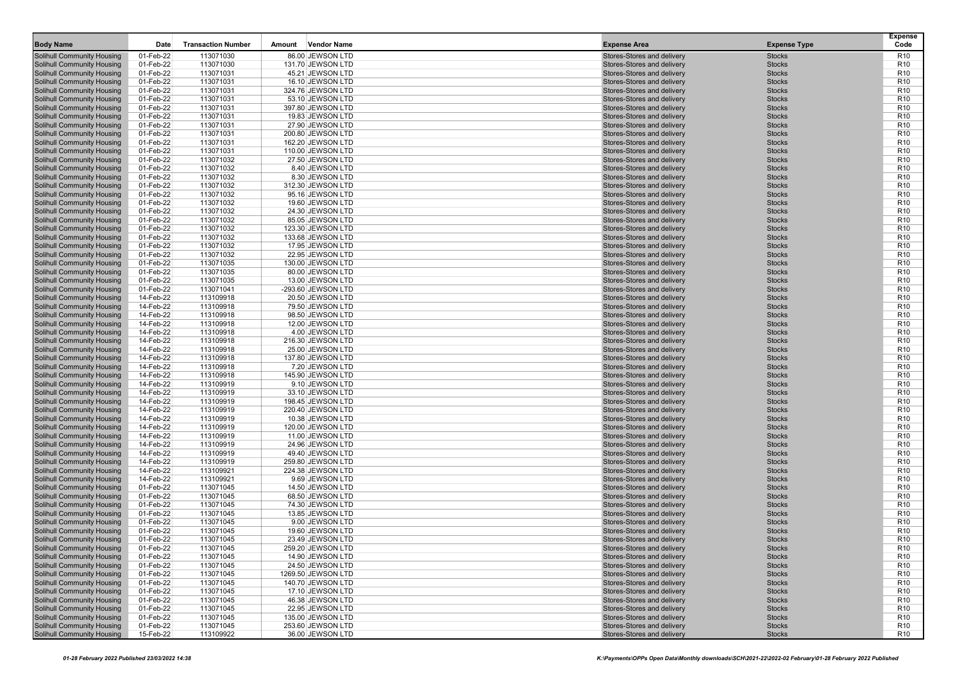| <b>Body Name</b>                                                       | Date                   | <b>Transaction Number</b> | <b>Vendor Name</b><br>Amount           | <b>Expense Area</b>                                      | <b>Expense Type</b>            | <b>Expense</b><br>Code             |
|------------------------------------------------------------------------|------------------------|---------------------------|----------------------------------------|----------------------------------------------------------|--------------------------------|------------------------------------|
| <b>Solihull Community Housing</b>                                      | 01-Feb-22              | 113071030                 | 86.00 JEWSON LTD                       | Stores-Stores and delivery                               | <b>Stocks</b>                  | R <sub>10</sub>                    |
| Solihull Community Housing                                             | 01-Feb-22              | 113071030                 | 131.70 JEWSON LTD                      | Stores-Stores and delivery                               | <b>Stocks</b>                  | R <sub>10</sub>                    |
| <b>Solihull Community Housing</b>                                      | 01-Feb-22              | 113071031                 | 45.21 JEWSON LTD                       | Stores-Stores and delivery                               | <b>Stocks</b>                  | R <sub>10</sub>                    |
| Solihull Community Housing                                             | 01-Feb-22              | 113071031                 | 16.10 JEWSON LTD                       | Stores-Stores and delivery                               | <b>Stocks</b>                  | R <sub>10</sub>                    |
| <b>Solihull Community Housing</b>                                      | 01-Feb-22              | 113071031                 | 324.76 JEWSON LTD                      | Stores-Stores and delivery                               | <b>Stocks</b>                  | R <sub>10</sub>                    |
| Solihull Community Housing                                             | 01-Feb-22              | 113071031                 | 53.10 JEWSON LTD                       | Stores-Stores and delivery                               | <b>Stocks</b>                  | R <sub>10</sub>                    |
| <b>Solihull Community Housing</b>                                      | 01-Feb-22              | 113071031                 | 397.80 JEWSON LTD                      | Stores-Stores and delivery                               | <b>Stocks</b>                  | R <sub>10</sub>                    |
| Solihull Community Housing                                             | 01-Feb-22              | 113071031                 | 19.83 JEWSON LTD                       | Stores-Stores and delivery                               | <b>Stocks</b>                  | R <sub>10</sub>                    |
| <b>Solihull Community Housing</b>                                      | 01-Feb-22              | 113071031                 | 27.90 JEWSON LTD                       | Stores-Stores and delivery                               | <b>Stocks</b>                  | R <sub>10</sub>                    |
| <b>Solihull Community Housing</b>                                      | 01-Feb-22              | 113071031                 | 200.80 JEWSON LTD                      | Stores-Stores and delivery                               | <b>Stocks</b>                  | R <sub>10</sub>                    |
| <b>Solihull Community Housing</b>                                      | 01-Feb-22              | 113071031                 | 162.20 JEWSON LTD                      | Stores-Stores and delivery                               | <b>Stocks</b>                  | R <sub>10</sub>                    |
| Solihull Community Housing                                             | 01-Feb-22              | 113071031                 | 110.00 JEWSON LTD                      | Stores-Stores and delivery                               | <b>Stocks</b>                  | R <sub>10</sub>                    |
| <b>Solihull Community Housing</b>                                      | 01-Feb-22              | 113071032                 | 27.50 JEWSON LTD                       | Stores-Stores and delivery                               | <b>Stocks</b>                  | R <sub>10</sub>                    |
| Solihull Community Housing                                             | 01-Feb-22              | 113071032                 | 8.40 JEWSON LTD                        | Stores-Stores and delivery                               | <b>Stocks</b>                  | R <sub>10</sub>                    |
| <b>Solihull Community Housing</b>                                      | 01-Feb-22              | 113071032                 | 8.30 JEWSON LTD                        | Stores-Stores and delivery                               | <b>Stocks</b>                  | R <sub>10</sub>                    |
| Solihull Community Housing                                             | 01-Feb-22              | 113071032                 | 312.30 JEWSON LTD                      | Stores-Stores and delivery                               | <b>Stocks</b>                  | R <sub>10</sub>                    |
| <b>Solihull Community Housing</b>                                      | 01-Feb-22              | 113071032                 | 95.16 JEWSON LTD                       | Stores-Stores and delivery                               | <b>Stocks</b>                  | R <sub>10</sub>                    |
| <b>Solihull Community Housing</b>                                      | 01-Feb-22              | 113071032                 | 19.60 JEWSON LTD                       | Stores-Stores and delivery                               | <b>Stocks</b>                  | R <sub>10</sub>                    |
| Solihull Community Housing                                             | 01-Feb-22              | 113071032                 | 24.30 JEWSON LTD                       | Stores-Stores and delivery                               | <b>Stocks</b>                  | R <sub>10</sub>                    |
| Solihull Community Housing                                             | 01-Feb-22              | 113071032                 | 85.05 JEWSON LTD                       | Stores-Stores and delivery                               | <b>Stocks</b>                  | R <sub>10</sub>                    |
| Solihull Community Housing                                             | 01-Feb-22              | 113071032                 | 123.30 JEWSON LTD                      | Stores-Stores and delivery                               | <b>Stocks</b>                  | R <sub>10</sub>                    |
| <b>Solihull Community Housing</b>                                      | 01-Feb-22              | 113071032                 | 133.68 JEWSON LTD                      | Stores-Stores and delivery                               | <b>Stocks</b>                  | R <sub>10</sub>                    |
| Solihull Community Housing                                             | 01-Feb-22              | 113071032                 | 17.95 JEWSON LTD                       | Stores-Stores and delivery                               | <b>Stocks</b>                  | R <sub>10</sub>                    |
| <b>Solihull Community Housing</b>                                      | 01-Feb-22              | 113071032                 | 22.95 JEWSON LTD                       | Stores-Stores and delivery                               | <b>Stocks</b>                  | R <sub>10</sub>                    |
| Solihull Community Housing                                             | 01-Feb-22              | 113071035                 | 130.00 JEWSON LTD                      | Stores-Stores and delivery                               | <b>Stocks</b>                  | R <sub>10</sub>                    |
| Solihull Community Housing                                             | 01-Feb-22<br>01-Feb-22 | 113071035<br>113071035    | 80.00 JEWSON LTD                       | Stores-Stores and delivery<br>Stores-Stores and delivery | <b>Stocks</b><br><b>Stocks</b> | R <sub>10</sub><br>R <sub>10</sub> |
| Solihull Community Housing<br><b>Solihull Community Housing</b>        | 01-Feb-22              | 113071041                 | 13.00 JEWSON LTD<br>-293.60 JEWSON LTD | Stores-Stores and delivery                               | <b>Stocks</b>                  | R <sub>10</sub>                    |
| Solihull Community Housing                                             | 14-Feb-22              | 113109918                 | 20.50 JEWSON LTD                       | Stores-Stores and delivery                               | <b>Stocks</b>                  | R <sub>10</sub>                    |
| Solihull Community Housing                                             | 14-Feb-22              | 113109918                 | 79.50 JEWSON LTD                       | Stores-Stores and delivery                               | <b>Stocks</b>                  | R <sub>10</sub>                    |
| Solihull Community Housing                                             | 14-Feb-22              | 113109918                 | 98.50 JEWSON LTD                       | Stores-Stores and delivery                               | <b>Stocks</b>                  | R <sub>10</sub>                    |
| <b>Solihull Community Housing</b>                                      | 14-Feb-22              | 113109918                 | 12.00 JEWSON LTD                       | Stores-Stores and delivery                               | <b>Stocks</b>                  | R <sub>10</sub>                    |
| <b>Solihull Community Housing</b>                                      | 14-Feb-22              | 113109918                 | 4.00 JEWSON LTD                        | Stores-Stores and delivery                               | <b>Stocks</b>                  | R <sub>10</sub>                    |
| <b>Solihull Community Housing</b>                                      | 14-Feb-22              | 113109918                 | 216.30 JEWSON LTD                      | Stores-Stores and delivery                               | <b>Stocks</b>                  | R <sub>10</sub>                    |
| Solihull Community Housing                                             | 14-Feb-22              | 113109918                 | 25.00 JEWSON LTD                       | Stores-Stores and delivery                               | <b>Stocks</b>                  | R <sub>10</sub>                    |
| Solihull Community Housing                                             | 14-Feb-22              | 113109918                 | 137.80 JEWSON LTD                      | Stores-Stores and delivery                               | <b>Stocks</b>                  | R <sub>10</sub>                    |
| <b>Solihull Community Housing</b>                                      | 14-Feb-22              | 113109918                 | 7.20 JEWSON LTD                        | Stores-Stores and delivery                               | <b>Stocks</b>                  | R <sub>10</sub>                    |
| <b>Solihull Community Housing</b>                                      | 14-Feb-22              | 113109918                 | 145.90 JEWSON LTD                      | Stores-Stores and delivery                               | <b>Stocks</b>                  | R <sub>10</sub>                    |
| Solihull Community Housing                                             | 14-Feb-22              | 113109919                 | 9.10 JEWSON LTD                        | Stores-Stores and delivery                               | <b>Stocks</b>                  | R <sub>10</sub>                    |
| <b>Solihull Community Housing</b>                                      | 14-Feb-22              | 113109919                 | 33.10 JEWSON LTD                       | Stores-Stores and delivery                               | <b>Stocks</b>                  | R <sub>10</sub>                    |
| Solihull Community Housing                                             | 14-Feb-22              | 113109919                 | 198.45 JEWSON LTD                      | Stores-Stores and delivery                               | <b>Stocks</b>                  | R <sub>10</sub>                    |
| Solihull Community Housing                                             | 14-Feb-22              | 113109919                 | 220.40 JEWSON LTD                      | Stores-Stores and delivery                               | <b>Stocks</b>                  | R <sub>10</sub>                    |
| Solihull Community Housing                                             | 14-Feb-22              | 113109919                 | 10.38 JEWSON LTD                       | Stores-Stores and delivery                               | <b>Stocks</b>                  | R <sub>10</sub>                    |
| Solihull Community Housing                                             | 14-Feb-22              | 113109919                 | 120.00 JEWSON LTD                      | Stores-Stores and delivery                               | <b>Stocks</b>                  | R <sub>10</sub>                    |
| <b>Solihull Community Housing</b>                                      | 14-Feb-22              | 113109919                 | 11.00 JEWSON LTD                       | Stores-Stores and delivery                               | <b>Stocks</b>                  | R <sub>10</sub>                    |
| Solihull Community Housing                                             | 14-Feb-22              | 113109919                 | 24.96 JEWSON LTD                       | Stores-Stores and delivery                               | <b>Stocks</b>                  | R <sub>10</sub>                    |
| <b>Solihull Community Housing</b>                                      | 14-Feb-22              | 113109919                 | 49.40 JEWSON LTD                       | Stores-Stores and delivery<br>Stores-Stores and delivery | <b>Stocks</b>                  | R <sub>10</sub><br>R <sub>10</sub> |
| Solihull Community Housing<br>Solihull Community Housing               | 14-Feb-22<br>14-Feb-22 | 113109919<br>113109921    | 259.80 JEWSON LTD<br>224.38 JEWSON LTD | Stores-Stores and delivery                               | <b>Stocks</b><br><b>Stocks</b> | R <sub>10</sub>                    |
| Solihull Community Housing                                             | 14-Feb-22              | 113109921                 | 9.69 JEWSON LTD                        | Stores-Stores and delivery                               | <b>Stocks</b>                  | R <sub>10</sub>                    |
| <b>Solihull Community Housing</b>                                      | 01-Feb-22              | 113071045                 | 14.50 JEWSON LTD                       | Stores-Stores and delivery                               | <b>Stocks</b>                  | R <sub>10</sub>                    |
| Solihull Community Housing                                             | 01-Feb-22              | 113071045                 | 68.50 JEWSON LTD                       | Stores-Stores and delivery                               | <b>Stocks</b>                  | R <sub>10</sub>                    |
| <b>Solihull Community Housing</b>                                      | 01-Feb-22              | 113071045                 | 74.30 JEWSON LTD                       | Stores-Stores and delivery                               | <b>Stocks</b>                  | R <sub>10</sub>                    |
| Solihull Community Housing                                             | 01-Feb-22              | 113071045                 | 13.85 JEWSON LTD                       | Stores-Stores and delivery                               | <b>Stocks</b>                  | R <sub>10</sub>                    |
| Solihull Community Housing                                             | 01-Feb-22              | 113071045                 | 9.00 JEWSON LTD                        | Stores-Stores and delivery                               | <b>Stocks</b>                  | R <sub>10</sub>                    |
| Solihull Community Housing                                             | 01-Feb-22              | 113071045                 | 19.60 JEWSON LTD                       | Stores-Stores and delivery                               | <b>Stocks</b>                  | R <sub>10</sub>                    |
| Solihull Community Housing                                             | 01-Feb-22              | 113071045                 | 23.49 JEWSON LTD                       | Stores-Stores and delivery                               | <b>Stocks</b>                  | R <sub>10</sub>                    |
| Solihull Community Housing                                             | 01-Feb-22              | 113071045                 | 259.20 JEWSON LTD                      | Stores-Stores and delivery                               | <b>Stocks</b>                  | R <sub>10</sub>                    |
| Solihull Community Housing                                             | 01-Feb-22              | 113071045                 | 14.90 JEWSON LTD                       | Stores-Stores and delivery                               | <b>Stocks</b>                  | R <sub>10</sub>                    |
| Solihull Community Housing                                             | 01-Feb-22              | 113071045                 | 24.50 JEWSON LTD                       | Stores-Stores and delivery                               | <b>Stocks</b>                  | R <sub>10</sub>                    |
| <b>Solihull Community Housing</b>                                      | 01-Feb-22              | 113071045                 | 1269.50 JEWSON LTD                     | Stores-Stores and delivery                               | <b>Stocks</b>                  | R <sub>10</sub>                    |
| Solihull Community Housing                                             | 01-Feb-22              | 113071045                 | 140.70 JEWSON LTD                      | Stores-Stores and delivery                               | <b>Stocks</b>                  | R <sub>10</sub>                    |
| <b>Solihull Community Housing</b>                                      | 01-Feb-22              | 113071045                 | 17.10 JEWSON LTD                       | Stores-Stores and delivery                               | <b>Stocks</b>                  | R <sub>10</sub>                    |
| Solihull Community Housing                                             | 01-Feb-22              | 113071045                 | 46.38 JEWSON LTD                       | Stores-Stores and delivery                               | <b>Stocks</b>                  | R <sub>10</sub>                    |
| <b>Solihull Community Housing</b>                                      | 01-Feb-22              | 113071045                 | 22.95 JEWSON LTD                       | Stores-Stores and delivery                               | <b>Stocks</b>                  | R <sub>10</sub>                    |
| <b>Solihull Community Housing</b>                                      | 01-Feb-22              | 113071045                 | 135.00 JEWSON LTD<br>253.60 JEWSON LTD | Stores-Stores and delivery<br>Stores-Stores and delivery | <b>Stocks</b>                  | R <sub>10</sub>                    |
| <b>Solihull Community Housing</b><br><b>Solihull Community Housing</b> | 01-Feb-22<br>15-Feb-22 | 113071045<br>113109922    | 36.00 JEWSON LTD                       | Stores-Stores and delivery                               | <b>Stocks</b><br><b>Stocks</b> | R <sub>10</sub><br><b>R10</b>      |
|                                                                        |                        |                           |                                        |                                                          |                                |                                    |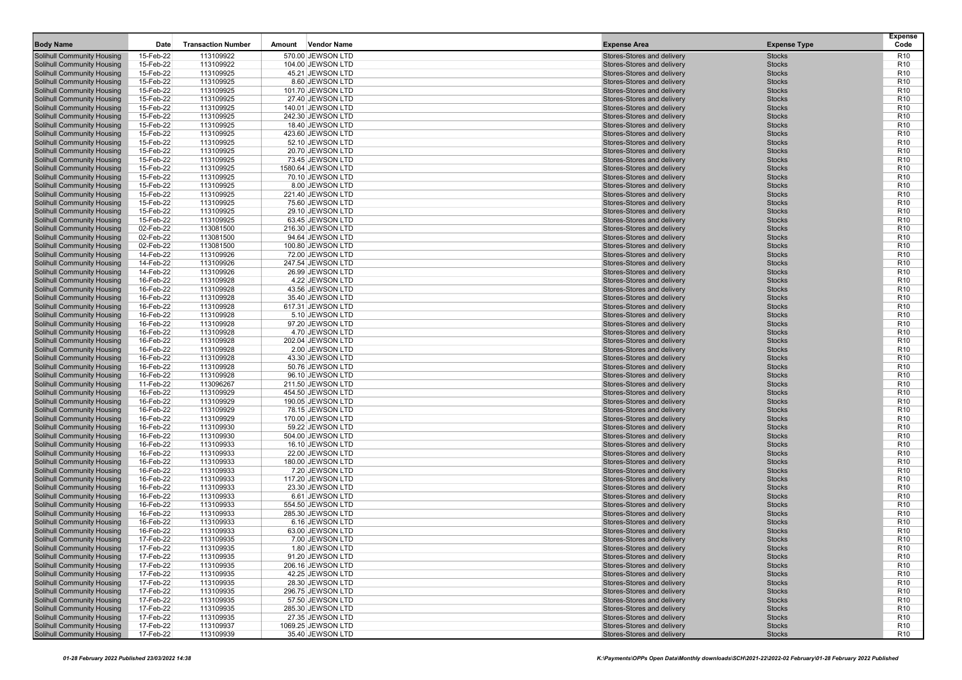| <b>Body Name</b>                                         | Date                   | <b>Transaction Number</b> | <b>Vendor Name</b><br>Amount         | <b>Expense Area</b>                                      | <b>Expense Type</b>            | <b>Expense</b><br>Code             |
|----------------------------------------------------------|------------------------|---------------------------|--------------------------------------|----------------------------------------------------------|--------------------------------|------------------------------------|
| <b>Solihull Community Housing</b>                        | 15-Feb-22              | 113109922                 | 570.00 JEWSON LTD                    | Stores-Stores and delivery                               | <b>Stocks</b>                  | R <sub>10</sub>                    |
| Solihull Community Housing                               | 15-Feb-22              | 113109922                 | 104.00 JEWSON LTD                    | Stores-Stores and delivery                               | <b>Stocks</b>                  | R <sub>10</sub>                    |
| <b>Solihull Community Housing</b>                        | 15-Feb-22              | 113109925                 | 45.21 JEWSON LTD                     | Stores-Stores and delivery                               | <b>Stocks</b>                  | R <sub>10</sub>                    |
| <b>Solihull Community Housing</b>                        | 15-Feb-22              | 113109925                 | 8.60 JEWSON LTD                      | Stores-Stores and delivery                               | <b>Stocks</b>                  | R <sub>10</sub>                    |
| <b>Solihull Community Housing</b>                        | 15-Feb-22              | 113109925                 | 101.70 JEWSON LTD                    | Stores-Stores and delivery                               | <b>Stocks</b>                  | R <sub>10</sub>                    |
| Solihull Community Housing                               | 15-Feb-22              | 113109925                 | 27.40 JEWSON LTD                     | Stores-Stores and delivery                               | <b>Stocks</b>                  | R <sub>10</sub>                    |
| <b>Solihull Community Housing</b>                        | 15-Feb-22              | 113109925                 | 140.01 JEWSON LTD                    | Stores-Stores and delivery                               | <b>Stocks</b>                  | R <sub>10</sub>                    |
| Solihull Community Housing                               | 15-Feb-22              | 113109925                 | 242.30 JEWSON LTD                    | Stores-Stores and delivery                               | <b>Stocks</b>                  | R <sub>10</sub>                    |
| <b>Solihull Community Housing</b>                        | 15-Feb-22              | 113109925                 | 18.40 JEWSON LTD                     | Stores-Stores and delivery                               | <b>Stocks</b>                  | R <sub>10</sub>                    |
| <b>Solihull Community Housing</b>                        | 15-Feb-22              | 113109925                 | 423.60 JEWSON LTD                    | Stores-Stores and delivery                               | <b>Stocks</b>                  | R <sub>10</sub>                    |
| <b>Solihull Community Housing</b>                        | 15-Feb-22              | 113109925                 | 52.10 JEWSON LTD                     | Stores-Stores and delivery                               | <b>Stocks</b>                  | R <sub>10</sub>                    |
| Solihull Community Housing                               | 15-Feb-22              | 113109925                 | 20.70 JEWSON LTD                     | Stores-Stores and delivery                               | <b>Stocks</b>                  | R <sub>10</sub>                    |
| <b>Solihull Community Housing</b>                        | 15-Feb-22              | 113109925                 | 73.45 JEWSON LTD                     | Stores-Stores and delivery                               | <b>Stocks</b>                  | R <sub>10</sub>                    |
| Solihull Community Housing                               | 15-Feb-22              | 113109925                 | 1580.64 JEWSON LTD                   | Stores-Stores and delivery                               | <b>Stocks</b>                  | R <sub>10</sub>                    |
| Solihull Community Housing                               | 15-Feb-22              | 113109925                 | 70.10 JEWSON LTD                     | Stores-Stores and delivery                               | <b>Stocks</b>                  | R <sub>10</sub>                    |
| Solihull Community Housing                               | 15-Feb-22              | 113109925                 | 8.00 JEWSON LTD                      | Stores-Stores and delivery                               | <b>Stocks</b>                  | R <sub>10</sub>                    |
| <b>Solihull Community Housing</b>                        | 15-Feb-22              | 113109925                 | 221.40 JEWSON LTD                    | Stores-Stores and delivery                               | <b>Stocks</b>                  | R <sub>10</sub>                    |
| <b>Solihull Community Housing</b>                        | 15-Feb-22              | 113109925                 | 75.60 JEWSON LTD                     | Stores-Stores and delivery                               | <b>Stocks</b>                  | R <sub>10</sub>                    |
| Solihull Community Housing                               | 15-Feb-22              | 113109925                 | 29.10 JEWSON LTD                     | Stores-Stores and delivery                               | <b>Stocks</b>                  | R <sub>10</sub>                    |
| Solihull Community Housing                               | 15-Feb-22              | 113109925                 | 63.45 JEWSON LTD                     | Stores-Stores and delivery                               | <b>Stocks</b>                  | R <sub>10</sub>                    |
| Solihull Community Housing                               | 02-Feb-22              | 113081500                 | 216.30 JEWSON LTD                    | Stores-Stores and delivery                               | <b>Stocks</b>                  | R <sub>10</sub>                    |
| <b>Solihull Community Housing</b>                        | 02-Feb-22              | 113081500                 | 94.64 JEWSON LTD                     | Stores-Stores and delivery                               | <b>Stocks</b>                  | R <sub>10</sub>                    |
| Solihull Community Housing                               | 02-Feb-22              | 113081500                 | 100.80 JEWSON LTD                    | Stores-Stores and delivery                               | <b>Stocks</b>                  | R <sub>10</sub>                    |
| <b>Solihull Community Housing</b>                        | 14-Feb-22              | 113109926                 | 72.00 JEWSON LTD                     | Stores-Stores and delivery<br>Stores-Stores and delivery | <b>Stocks</b>                  | R <sub>10</sub><br>R <sub>10</sub> |
| Solihull Community Housing<br>Solihull Community Housing | 14-Feb-22<br>14-Feb-22 | 113109926<br>113109926    | 247.54 JEWSON LTD                    | Stores-Stores and delivery                               | <b>Stocks</b><br><b>Stocks</b> | R <sub>10</sub>                    |
| Solihull Community Housing                               | 16-Feb-22              | 113109928                 | 26.99 JEWSON LTD<br>4.22 JEWSON LTD  | Stores-Stores and delivery                               | <b>Stocks</b>                  | R <sub>10</sub>                    |
| <b>Solihull Community Housing</b>                        | 16-Feb-22              | 113109928                 | 43.56 JEWSON LTD                     | Stores-Stores and delivery                               | <b>Stocks</b>                  | R <sub>10</sub>                    |
| Solihull Community Housing                               | 16-Feb-22              | 113109928                 | 35.40 JEWSON LTD                     | Stores-Stores and delivery                               | <b>Stocks</b>                  | R <sub>10</sub>                    |
| Solihull Community Housing                               | 16-Feb-22              | 113109928                 | 617.31 JEWSON LTD                    | Stores-Stores and delivery                               | <b>Stocks</b>                  | R <sub>10</sub>                    |
| Solihull Community Housing                               | 16-Feb-22              | 113109928                 | 5.10 JEWSON LTD                      | Stores-Stores and delivery                               | <b>Stocks</b>                  | R <sub>10</sub>                    |
| <b>Solihull Community Housing</b>                        | 16-Feb-22              | 113109928                 | 97.20 JEWSON LTD                     | Stores-Stores and delivery                               | <b>Stocks</b>                  | R <sub>10</sub>                    |
| <b>Solihull Community Housing</b>                        | 16-Feb-22              | 113109928                 | 4.70 JEWSON LTD                      | Stores-Stores and delivery                               | <b>Stocks</b>                  | R <sub>10</sub>                    |
| <b>Solihull Community Housing</b>                        | 16-Feb-22              | 113109928                 | 202.04 JEWSON LTD                    | Stores-Stores and delivery                               | <b>Stocks</b>                  | R <sub>10</sub>                    |
| Solihull Community Housing                               | 16-Feb-22              | 113109928                 | 2.00 JEWSON LTD                      | Stores-Stores and delivery                               | <b>Stocks</b>                  | R <sub>10</sub>                    |
| Solihull Community Housing                               | 16-Feb-22              | 113109928                 | 43.30 JEWSON LTD                     | Stores-Stores and delivery                               | <b>Stocks</b>                  | R <sub>10</sub>                    |
| <b>Solihull Community Housing</b>                        | 16-Feb-22              | 113109928                 | 50.76 JEWSON LTD                     | Stores-Stores and delivery                               | <b>Stocks</b>                  | R <sub>10</sub>                    |
| <b>Solihull Community Housing</b>                        | 16-Feb-22              | 113109928                 | 96.10 JEWSON LTD                     | Stores-Stores and delivery                               | <b>Stocks</b>                  | R <sub>10</sub>                    |
| Solihull Community Housing                               | 11-Feb-22              | 113096267                 | 211.50 JEWSON LTD                    | Stores-Stores and delivery                               | <b>Stocks</b>                  | R <sub>10</sub>                    |
| <b>Solihull Community Housing</b>                        | 16-Feb-22              | 113109929                 | 454.50 JEWSON LTD                    | Stores-Stores and delivery                               | <b>Stocks</b>                  | R <sub>10</sub>                    |
| Solihull Community Housing                               | 16-Feb-22              | 113109929                 | 190.05 JEWSON LTD                    | Stores-Stores and delivery                               | <b>Stocks</b>                  | R <sub>10</sub>                    |
| Solihull Community Housing                               | 16-Feb-22              | 113109929                 | 78.15 JEWSON LTD                     | Stores-Stores and delivery                               | <b>Stocks</b>                  | R <sub>10</sub>                    |
| Solihull Community Housing                               | 16-Feb-22              | 113109929                 | 170.00 JEWSON LTD                    | Stores-Stores and delivery                               | <b>Stocks</b>                  | R <sub>10</sub>                    |
| Solihull Community Housing                               | 16-Feb-22              | 113109930                 | 59.22 JEWSON LTD                     | Stores-Stores and delivery                               | <b>Stocks</b>                  | R <sub>10</sub>                    |
| <b>Solihull Community Housing</b>                        | 16-Feb-22              | 113109930                 | 504.00 JEWSON LTD                    | Stores-Stores and delivery                               | <b>Stocks</b>                  | R <sub>10</sub>                    |
| Solihull Community Housing                               | 16-Feb-22              | 113109933                 | 16.10 JEWSON LTD                     | Stores-Stores and delivery                               | <b>Stocks</b>                  | R <sub>10</sub>                    |
| <b>Solihull Community Housing</b>                        | 16-Feb-22              | 113109933                 | 22.00 JEWSON LTD                     | Stores-Stores and delivery                               | <b>Stocks</b>                  | R <sub>10</sub>                    |
| Solihull Community Housing<br>Solihull Community Housing | 16-Feb-22<br>16-Feb-22 | 113109933<br>113109933    | 180.00 JEWSON LTD                    | Stores-Stores and delivery<br>Stores-Stores and delivery | <b>Stocks</b><br><b>Stocks</b> | R <sub>10</sub><br>R <sub>10</sub> |
| Solihull Community Housing                               | 16-Feb-22              | 113109933                 | 7.20 JEWSON LTD<br>117.20 JEWSON LTD | Stores-Stores and delivery                               | <b>Stocks</b>                  | R <sub>10</sub>                    |
| <b>Solihull Community Housing</b>                        | 16-Feb-22              | 113109933                 | 23.30 JEWSON LTD                     | Stores-Stores and delivery                               | <b>Stocks</b>                  | R <sub>10</sub>                    |
| Solihull Community Housing                               | 16-Feb-22              | 113109933                 | 6.61 JEWSON LTD                      | Stores-Stores and delivery                               | <b>Stocks</b>                  | R <sub>10</sub>                    |
| Solihull Community Housing                               | 16-Feb-22              | 113109933                 | 554.50 JEWSON LTD                    | Stores-Stores and delivery                               | <b>Stocks</b>                  | R <sub>10</sub>                    |
| Solihull Community Housing                               | 16-Feb-22              | 113109933                 | 285.30 JEWSON LTD                    | Stores-Stores and delivery                               | <b>Stocks</b>                  | R <sub>10</sub>                    |
| Solihull Community Housing                               | 16-Feb-22              | 113109933                 | 6.16 JEWSON LTD                      | Stores-Stores and delivery                               | <b>Stocks</b>                  | R <sub>10</sub>                    |
| Solihull Community Housing                               | 16-Feb-22              | 113109933                 | 63.00 JEWSON LTD                     | Stores-Stores and delivery                               | <b>Stocks</b>                  | R <sub>10</sub>                    |
| <b>Solihull Community Housing</b>                        | 17-Feb-22              | 113109935                 | 7.00 JEWSON LTD                      | Stores-Stores and delivery                               | <b>Stocks</b>                  | R <sub>10</sub>                    |
| Solihull Community Housing                               | 17-Feb-22              | 113109935                 | 1.80 JEWSON LTD                      | Stores-Stores and delivery                               | <b>Stocks</b>                  | R <sub>10</sub>                    |
| Solihull Community Housing                               | 17-Feb-22              | 113109935                 | 91.20 JEWSON LTD                     | Stores-Stores and delivery                               | <b>Stocks</b>                  | R <sub>10</sub>                    |
| Solihull Community Housing                               | 17-Feb-22              | 113109935                 | 206.16 JEWSON LTD                    | Stores-Stores and delivery                               | <b>Stocks</b>                  | R <sub>10</sub>                    |
| Solihull Community Housing                               | 17-Feb-22              | 113109935                 | 42.25 JEWSON LTD                     | Stores-Stores and delivery                               | <b>Stocks</b>                  | R <sub>10</sub>                    |
| Solihull Community Housing                               | 17-Feb-22              | 113109935                 | 28.30 JEWSON LTD                     | Stores-Stores and delivery                               | <b>Stocks</b>                  | R <sub>10</sub>                    |
| <b>Solihull Community Housing</b>                        | 17-Feb-22              | 113109935                 | 296.75 JEWSON LTD                    | Stores-Stores and delivery                               | <b>Stocks</b>                  | R <sub>10</sub>                    |
| Solihull Community Housing                               | 17-Feb-22              | 113109935                 | 57.50 JEWSON LTD                     | Stores-Stores and delivery                               | <b>Stocks</b>                  | R <sub>10</sub>                    |
| <b>Solihull Community Housing</b>                        | 17-Feb-22              | 113109935                 | 285.30 JEWSON LTD                    | Stores-Stores and delivery                               | <b>Stocks</b>                  | R <sub>10</sub>                    |
| Solihull Community Housing                               | 17-Feb-22              | 113109935                 | 27.35 JEWSON LTD                     | Stores-Stores and delivery                               | <b>Stocks</b>                  | R <sub>10</sub>                    |
| Solihull Community Housing                               | 17-Feb-22              | 113109937                 | 1069.25 JEWSON LTD                   | Stores-Stores and delivery                               | <b>Stocks</b>                  | R <sub>10</sub>                    |
| <b>Solihull Community Housing</b>                        | 17-Feb-22              | 113109939                 | 35.40 JEWSON LTD                     | Stores-Stores and delivery                               | <b>Stocks</b>                  | <b>R10</b>                         |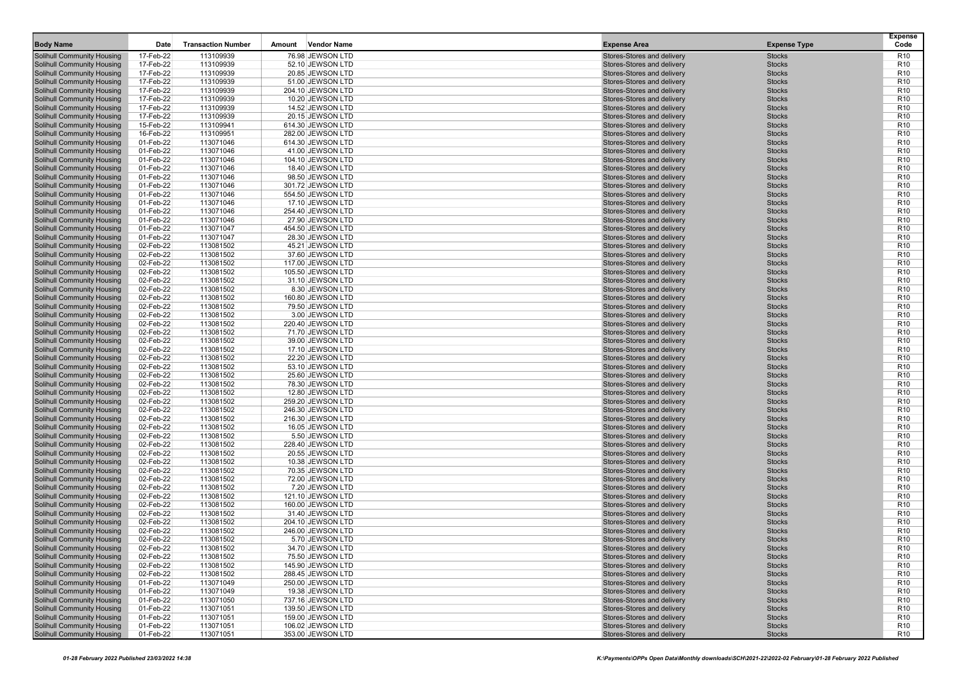| <b>Body Name</b>                                                | Date                   | <b>Transaction Number</b> | <b>Vendor Name</b><br>Amount         | <b>Expense Area</b>                                      | <b>Expense Type</b>            | <b>Expense</b><br>Code             |
|-----------------------------------------------------------------|------------------------|---------------------------|--------------------------------------|----------------------------------------------------------|--------------------------------|------------------------------------|
| <b>Solihull Community Housing</b>                               | 17-Feb-22              | 113109939                 | 76.98 JEWSON LTD                     | Stores-Stores and delivery                               | <b>Stocks</b>                  | R <sub>10</sub>                    |
| Solihull Community Housing                                      | 17-Feb-22              | 113109939                 | 52.10 JEWSON LTD                     | Stores-Stores and delivery                               | <b>Stocks</b>                  | R <sub>10</sub>                    |
| <b>Solihull Community Housing</b>                               | 17-Feb-22              | 113109939                 | 20.85 JEWSON LTD                     | Stores-Stores and delivery                               | <b>Stocks</b>                  | R <sub>10</sub>                    |
| Solihull Community Housing                                      | 17-Feb-22              | 113109939                 | 51.00 JEWSON LTD                     | Stores-Stores and delivery                               | <b>Stocks</b>                  | R <sub>10</sub>                    |
| <b>Solihull Community Housing</b>                               | 17-Feb-22              | 113109939                 | 204.10 JEWSON LTD                    | Stores-Stores and delivery                               | <b>Stocks</b>                  | R <sub>10</sub>                    |
| Solihull Community Housing                                      | 17-Feb-22              | 113109939                 | 10.20 JEWSON LTD                     | Stores-Stores and delivery                               | <b>Stocks</b>                  | R <sub>10</sub>                    |
| <b>Solihull Community Housing</b>                               | 17-Feb-22              | 113109939                 | 14.52 JEWSON LTD                     | Stores-Stores and delivery                               | <b>Stocks</b>                  | R <sub>10</sub>                    |
| Solihull Community Housing                                      | 17-Feb-22              | 113109939                 | 20.15 JEWSON LTD                     | Stores-Stores and delivery                               | <b>Stocks</b>                  | R <sub>10</sub>                    |
| <b>Solihull Community Housing</b>                               | 15-Feb-22              | 113109941                 | 614.30 JEWSON LTD                    | Stores-Stores and delivery                               | <b>Stocks</b>                  | R <sub>10</sub>                    |
| <b>Solihull Community Housing</b>                               | 16-Feb-22              | 113109951                 | 282.00 JEWSON LTD                    | Stores-Stores and delivery                               | <b>Stocks</b>                  | R <sub>10</sub>                    |
| <b>Solihull Community Housing</b>                               | 01-Feb-22              | 113071046                 | 614.30 JEWSON LTD                    | Stores-Stores and delivery                               | <b>Stocks</b>                  | R <sub>10</sub>                    |
| Solihull Community Housing                                      | 01-Feb-22              | 113071046                 | 41.00 JEWSON LTD                     | Stores-Stores and delivery                               | <b>Stocks</b>                  | R <sub>10</sub>                    |
| <b>Solihull Community Housing</b>                               | 01-Feb-22              | 113071046                 | 104.10 JEWSON LTD                    | Stores-Stores and delivery                               | <b>Stocks</b>                  | R <sub>10</sub>                    |
| Solihull Community Housing                                      | 01-Feb-22              | 113071046                 | 18.40 JEWSON LTD                     | Stores-Stores and delivery                               | <b>Stocks</b>                  | R <sub>10</sub>                    |
| <b>Solihull Community Housing</b>                               | 01-Feb-22              | 113071046                 | 98.50 JEWSON LTD                     | Stores-Stores and delivery                               | <b>Stocks</b>                  | R <sub>10</sub>                    |
| Solihull Community Housing                                      | 01-Feb-22              | 113071046                 | 301.72 JEWSON LTD                    | Stores-Stores and delivery                               | <b>Stocks</b>                  | R <sub>10</sub>                    |
| <b>Solihull Community Housing</b>                               | 01-Feb-22              | 113071046                 | 554.50 JEWSON LTD                    | Stores-Stores and delivery                               | <b>Stocks</b>                  | R <sub>10</sub>                    |
| <b>Solihull Community Housing</b>                               | 01-Feb-22              | 113071046                 | 17.10 JEWSON LTD                     | Stores-Stores and delivery                               | <b>Stocks</b>                  | R <sub>10</sub>                    |
| Solihull Community Housing                                      | 01-Feb-22              | 113071046                 | 254.40 JEWSON LTD                    | Stores-Stores and delivery                               | <b>Stocks</b>                  | R <sub>10</sub>                    |
| Solihull Community Housing                                      | 01-Feb-22              | 113071046                 | 27.90 JEWSON LTD                     | Stores-Stores and delivery                               | <b>Stocks</b>                  | R <sub>10</sub>                    |
| Solihull Community Housing                                      | 01-Feb-22              | 113071047                 | 454.50 JEWSON LTD                    | Stores-Stores and delivery                               | <b>Stocks</b>                  | R <sub>10</sub>                    |
| <b>Solihull Community Housing</b>                               | 01-Feb-22              | 113071047                 | 28.30 JEWSON LTD                     | Stores-Stores and delivery                               | <b>Stocks</b>                  | R <sub>10</sub>                    |
| Solihull Community Housing                                      | 02-Feb-22              | 113081502                 | 45.21 JEWSON LTD                     | Stores-Stores and delivery                               | <b>Stocks</b>                  | R <sub>10</sub>                    |
| <b>Solihull Community Housing</b>                               | 02-Feb-22              | 113081502                 | 37.60 JEWSON LTD                     | Stores-Stores and delivery                               | <b>Stocks</b>                  | R <sub>10</sub>                    |
| Solihull Community Housing                                      | 02-Feb-22<br>02-Feb-22 | 113081502                 | 117.00 JEWSON LTD                    | Stores-Stores and delivery                               | <b>Stocks</b>                  | R <sub>10</sub>                    |
| Solihull Community Housing                                      |                        | 113081502                 | 105.50 JEWSON LTD                    | Stores-Stores and delivery                               | <b>Stocks</b>                  | R <sub>10</sub><br>R <sub>10</sub> |
| Solihull Community Housing                                      | 02-Feb-22<br>02-Feb-22 | 113081502<br>113081502    | 31.10 JEWSON LTD                     | Stores-Stores and delivery<br>Stores-Stores and delivery | <b>Stocks</b><br><b>Stocks</b> | R <sub>10</sub>                    |
| <b>Solihull Community Housing</b><br>Solihull Community Housing | 02-Feb-22              | 113081502                 | 8.30 JEWSON LTD<br>160.80 JEWSON LTD | Stores-Stores and delivery                               | <b>Stocks</b>                  | R <sub>10</sub>                    |
| Solihull Community Housing                                      | 02-Feb-22              | 113081502                 | 79.50 JEWSON LTD                     | Stores-Stores and delivery                               | <b>Stocks</b>                  | R <sub>10</sub>                    |
| Solihull Community Housing                                      | 02-Feb-22              | 113081502                 | 3.00 JEWSON LTD                      | Stores-Stores and delivery                               | <b>Stocks</b>                  | R <sub>10</sub>                    |
| <b>Solihull Community Housing</b>                               | 02-Feb-22              | 113081502                 | 220.40 JEWSON LTD                    | Stores-Stores and delivery                               | <b>Stocks</b>                  | R <sub>10</sub>                    |
| <b>Solihull Community Housing</b>                               | 02-Feb-22              | 113081502                 | 71.70 JEWSON LTD                     | Stores-Stores and delivery                               | <b>Stocks</b>                  | R <sub>10</sub>                    |
| <b>Solihull Community Housing</b>                               | 02-Feb-22              | 113081502                 | 39.00 JEWSON LTD                     | Stores-Stores and delivery                               | <b>Stocks</b>                  | R <sub>10</sub>                    |
| Solihull Community Housing                                      | 02-Feb-22              | 113081502                 | 17.10 JEWSON LTD                     | Stores-Stores and delivery                               | <b>Stocks</b>                  | R <sub>10</sub>                    |
| Solihull Community Housing                                      | 02-Feb-22              | 113081502                 | 22.20 JEWSON LTD                     | Stores-Stores and delivery                               | <b>Stocks</b>                  | R <sub>10</sub>                    |
| <b>Solihull Community Housing</b>                               | 02-Feb-22              | 113081502                 | 53.10 JEWSON LTD                     | Stores-Stores and delivery                               | <b>Stocks</b>                  | R <sub>10</sub>                    |
| <b>Solihull Community Housing</b>                               | 02-Feb-22              | 113081502                 | 25.60 JEWSON LTD                     | Stores-Stores and delivery                               | <b>Stocks</b>                  | R <sub>10</sub>                    |
| Solihull Community Housing                                      | 02-Feb-22              | 113081502                 | 78.30 JEWSON LTD                     | Stores-Stores and delivery                               | <b>Stocks</b>                  | R <sub>10</sub>                    |
| <b>Solihull Community Housing</b>                               | 02-Feb-22              | 113081502                 | 12.80 JEWSON LTD                     | Stores-Stores and delivery                               | <b>Stocks</b>                  | R <sub>10</sub>                    |
| Solihull Community Housing                                      | 02-Feb-22              | 113081502                 | 259.20 JEWSON LTD                    | Stores-Stores and delivery                               | <b>Stocks</b>                  | R <sub>10</sub>                    |
| Solihull Community Housing                                      | 02-Feb-22              | 113081502                 | 246.30 JEWSON LTD                    | Stores-Stores and delivery                               | <b>Stocks</b>                  | R <sub>10</sub>                    |
| Solihull Community Housing                                      | 02-Feb-22              | 113081502                 | 216.30 JEWSON LTD                    | Stores-Stores and delivery                               | <b>Stocks</b>                  | R <sub>10</sub>                    |
| Solihull Community Housing                                      | 02-Feb-22              | 113081502                 | 16.05 JEWSON LTD                     | Stores-Stores and delivery                               | <b>Stocks</b>                  | R <sub>10</sub>                    |
| <b>Solihull Community Housing</b>                               | 02-Feb-22              | 113081502                 | 5.50 JEWSON LTD                      | Stores-Stores and delivery                               | <b>Stocks</b>                  | R <sub>10</sub>                    |
| Solihull Community Housing                                      | 02-Feb-22              | 113081502                 | 228.40 JEWSON LTD                    | Stores-Stores and delivery                               | <b>Stocks</b>                  | R <sub>10</sub>                    |
| <b>Solihull Community Housing</b>                               | 02-Feb-22              | 113081502                 | 20.55 JEWSON LTD                     | Stores-Stores and delivery                               | <b>Stocks</b>                  | R <sub>10</sub>                    |
| Solihull Community Housing                                      | 02-Feb-22              | 113081502                 | 10.38 JEWSON LTD                     | Stores-Stores and delivery                               | <b>Stocks</b>                  | R <sub>10</sub>                    |
| Solihull Community Housing<br>Solihull Community Housing        | 02-Feb-22<br>02-Feb-22 | 113081502<br>113081502    | 70.35 JEWSON LTD<br>72.00 JEWSON LTD | Stores-Stores and delivery<br>Stores-Stores and delivery | <b>Stocks</b><br><b>Stocks</b> | R <sub>10</sub><br>R <sub>10</sub> |
| <b>Solihull Community Housing</b>                               | 02-Feb-22              | 113081502                 | 7.20 JEWSON LTD                      | Stores-Stores and delivery                               | <b>Stocks</b>                  | R <sub>10</sub>                    |
| Solihull Community Housing                                      | 02-Feb-22              | 113081502                 | 121.10 JEWSON LTD                    | Stores-Stores and delivery                               | <b>Stocks</b>                  | R <sub>10</sub>                    |
| <b>Solihull Community Housing</b>                               | 02-Feb-22              | 113081502                 | 160.00 JEWSON LTD                    | Stores-Stores and delivery                               | <b>Stocks</b>                  | R <sub>10</sub>                    |
| Solihull Community Housing                                      | 02-Feb-22              | 113081502                 | 31.40 JEWSON LTD                     | Stores-Stores and delivery                               | <b>Stocks</b>                  | R <sub>10</sub>                    |
| Solihull Community Housing                                      | 02-Feb-22              | 113081502                 | 204.10 JEWSON LTD                    | Stores-Stores and delivery                               | <b>Stocks</b>                  | R <sub>10</sub>                    |
| Solihull Community Housing                                      | 02-Feb-22              | 113081502                 | 246.00 JEWSON LTD                    | Stores-Stores and delivery                               | <b>Stocks</b>                  | R <sub>10</sub>                    |
| Solihull Community Housing                                      | 02-Feb-22              | 113081502                 | 5.70 JEWSON LTD                      | Stores-Stores and delivery                               | <b>Stocks</b>                  | R <sub>10</sub>                    |
| Solihull Community Housing                                      | 02-Feb-22              | 113081502                 | 34.70 JEWSON LTD                     | Stores-Stores and delivery                               | <b>Stocks</b>                  | R <sub>10</sub>                    |
| Solihull Community Housing                                      | 02-Feb-22              | 113081502                 | 75.50 JEWSON LTD                     | Stores-Stores and delivery                               | <b>Stocks</b>                  | R <sub>10</sub>                    |
| Solihull Community Housing                                      | 02-Feb-22              | 113081502                 | 145.90 JEWSON LTD                    | Stores-Stores and delivery                               | <b>Stocks</b>                  | R <sub>10</sub>                    |
| Solihull Community Housing                                      | 02-Feb-22              | 113081502                 | 288.45 JEWSON LTD                    | Stores-Stores and delivery                               | <b>Stocks</b>                  | R <sub>10</sub>                    |
| Solihull Community Housing                                      | 01-Feb-22              | 113071049                 | 250.00 JEWSON LTD                    | Stores-Stores and delivery                               | <b>Stocks</b>                  | R <sub>10</sub>                    |
| <b>Solihull Community Housing</b>                               | 01-Feb-22              | 113071049                 | 19.38 JEWSON LTD                     | Stores-Stores and delivery                               | <b>Stocks</b>                  | R <sub>10</sub>                    |
| Solihull Community Housing                                      | 01-Feb-22              | 113071050                 | 737.16 JEWSON LTD                    | Stores-Stores and delivery                               | <b>Stocks</b>                  | R <sub>10</sub>                    |
| <b>Solihull Community Housing</b>                               | 01-Feb-22              | 113071051                 | 139.50 JEWSON LTD                    | Stores-Stores and delivery                               | <b>Stocks</b>                  | R <sub>10</sub>                    |
| <b>Solihull Community Housing</b>                               | 01-Feb-22              | 113071051                 | 159.00 JEWSON LTD                    | Stores-Stores and delivery                               | <b>Stocks</b>                  | R <sub>10</sub>                    |
| Solihull Community Housing                                      | 01-Feb-22              | 113071051                 | 106.02 JEWSON LTD                    | Stores-Stores and delivery                               | <b>Stocks</b>                  | R <sub>10</sub>                    |
| <b>Solihull Community Housing</b>                               | 01-Feb-22              | 113071051                 | 353.00 JEWSON LTD                    | Stores-Stores and delivery                               | <b>Stocks</b>                  | <b>R10</b>                         |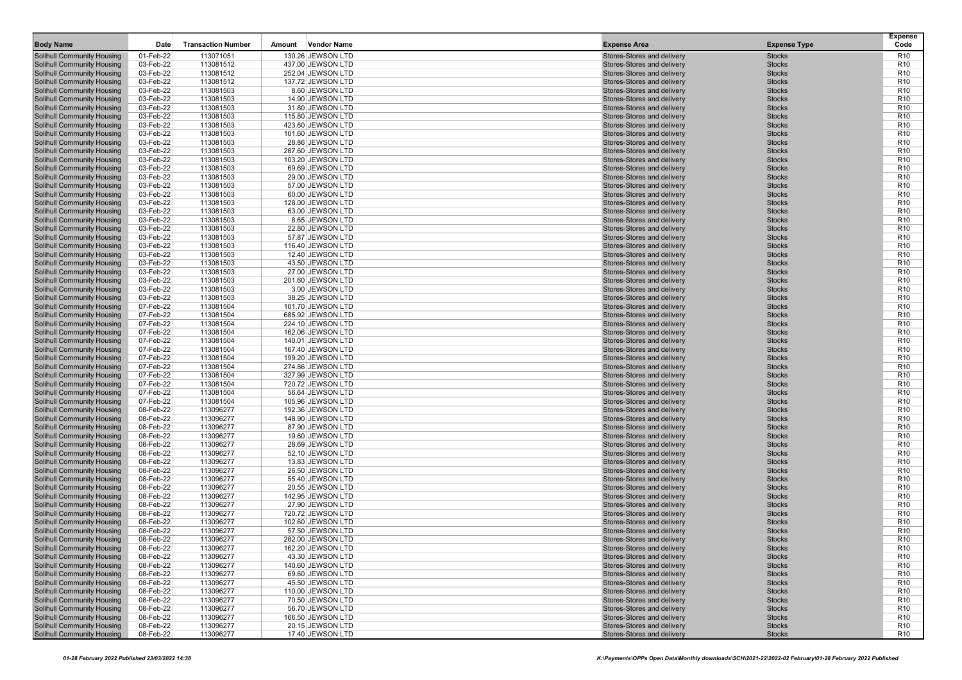| <b>Body Name</b>                                                       | Date                   | <b>Transaction Number</b> | <b>Vendor Name</b><br>Amount           | <b>Expense Area</b>                                      | <b>Expense Type</b>            | <b>Expense</b><br>Code             |
|------------------------------------------------------------------------|------------------------|---------------------------|----------------------------------------|----------------------------------------------------------|--------------------------------|------------------------------------|
| <b>Solihull Community Housing</b>                                      | 01-Feb-22              | 113071051                 | 130.26 JEWSON LTD                      | Stores-Stores and delivery                               | <b>Stocks</b>                  | R <sub>10</sub>                    |
| Solihull Community Housing                                             | 03-Feb-22              | 113081512                 | 437.00 JEWSON LTD                      | Stores-Stores and delivery                               | <b>Stocks</b>                  | R <sub>10</sub>                    |
| <b>Solihull Community Housing</b>                                      | 03-Feb-22              | 113081512                 | 252.04 JEWSON LTD                      | Stores-Stores and delivery                               | <b>Stocks</b>                  | R <sub>10</sub>                    |
| <b>Solihull Community Housing</b>                                      | 03-Feb-22              | 113081512                 | 137.72 JEWSON LTD                      | Stores-Stores and delivery                               | <b>Stocks</b>                  | R <sub>10</sub>                    |
| <b>Solihull Community Housing</b>                                      | 03-Feb-22              | 113081503                 | 8.60 JEWSON LTD                        | Stores-Stores and delivery                               | <b>Stocks</b>                  | R <sub>10</sub>                    |
| Solihull Community Housing                                             | 03-Feb-22              | 113081503                 | 14.90 JEWSON LTD                       | Stores-Stores and delivery                               | <b>Stocks</b>                  | R <sub>10</sub>                    |
| <b>Solihull Community Housing</b>                                      | 03-Feb-22              | 113081503                 | 31.80 JEWSON LTD                       | Stores-Stores and delivery                               | <b>Stocks</b>                  | R <sub>10</sub>                    |
| Solihull Community Housing                                             | 03-Feb-22              | 113081503                 | 115.80 JEWSON LTD                      | Stores-Stores and delivery                               | <b>Stocks</b>                  | R <sub>10</sub>                    |
| <b>Solihull Community Housing</b>                                      | 03-Feb-22              | 113081503                 | 423.60 JEWSON LTD                      | Stores-Stores and delivery                               | <b>Stocks</b>                  | R <sub>10</sub>                    |
| <b>Solihull Community Housing</b>                                      | 03-Feb-22              | 113081503                 | 101.60 JEWSON LTD                      | Stores-Stores and delivery                               | <b>Stocks</b>                  | R <sub>10</sub>                    |
| <b>Solihull Community Housing</b>                                      | 03-Feb-22              | 113081503                 | 28.86 JEWSON LTD                       | Stores-Stores and delivery                               | <b>Stocks</b>                  | R <sub>10</sub>                    |
| Solihull Community Housing                                             | 03-Feb-22              | 113081503                 | 287.60 JEWSON LTD                      | Stores-Stores and delivery                               | <b>Stocks</b>                  | R <sub>10</sub>                    |
| <b>Solihull Community Housing</b>                                      | 03-Feb-22              | 113081503                 | 103.20 JEWSON LTD                      | Stores-Stores and delivery                               | <b>Stocks</b>                  | R <sub>10</sub>                    |
| Solihull Community Housing                                             | 03-Feb-22              | 113081503                 | 69.69 JEWSON LTD                       | Stores-Stores and delivery                               | <b>Stocks</b>                  | R <sub>10</sub>                    |
| Solihull Community Housing                                             | 03-Feb-22              | 113081503                 | 29.00 JEWSON LTD                       | Stores-Stores and delivery                               | <b>Stocks</b>                  | R <sub>10</sub>                    |
| Solihull Community Housing                                             | 03-Feb-22              | 113081503                 | 57.00 JEWSON LTD                       | Stores-Stores and delivery                               | <b>Stocks</b>                  | R <sub>10</sub>                    |
| <b>Solihull Community Housing</b><br><b>Solihull Community Housing</b> | 03-Feb-22              | 113081503<br>113081503    | 60.00 JEWSON LTD                       | Stores-Stores and delivery<br>Stores-Stores and delivery | <b>Stocks</b><br><b>Stocks</b> | R <sub>10</sub><br>R <sub>10</sub> |
| Solihull Community Housing                                             | 03-Feb-22<br>03-Feb-22 | 113081503                 | 128.00 JEWSON LTD<br>63.00 JEWSON LTD  | Stores-Stores and delivery                               | <b>Stocks</b>                  | R <sub>10</sub>                    |
| Solihull Community Housing                                             | 03-Feb-22              | 113081503                 | 8.65 JEWSON LTD                        | Stores-Stores and delivery                               | <b>Stocks</b>                  | R <sub>10</sub>                    |
| Solihull Community Housing                                             | 03-Feb-22              | 113081503                 | 22.80 JEWSON LTD                       | Stores-Stores and delivery                               | <b>Stocks</b>                  | R <sub>10</sub>                    |
| <b>Solihull Community Housing</b>                                      | 03-Feb-22              | 113081503                 | 57.87 JEWSON LTD                       | Stores-Stores and delivery                               | <b>Stocks</b>                  | R <sub>10</sub>                    |
| Solihull Community Housing                                             | 03-Feb-22              | 113081503                 | 116.40 JEWSON LTD                      | Stores-Stores and delivery                               | <b>Stocks</b>                  | R <sub>10</sub>                    |
| <b>Solihull Community Housing</b>                                      | 03-Feb-22              | 113081503                 | 12.40 JEWSON LTD                       | Stores-Stores and delivery                               | <b>Stocks</b>                  | R <sub>10</sub>                    |
| Solihull Community Housing                                             | 03-Feb-22              | 113081503                 | 43.50 JEWSON LTD                       | Stores-Stores and delivery                               | <b>Stocks</b>                  | R <sub>10</sub>                    |
| Solihull Community Housing                                             | 03-Feb-22              | 113081503                 | 27.00 JEWSON LTD                       | Stores-Stores and delivery                               | <b>Stocks</b>                  | R <sub>10</sub>                    |
| Solihull Community Housing                                             | 03-Feb-22              | 113081503                 | 201.60 JEWSON LTD                      | Stores-Stores and delivery                               | <b>Stocks</b>                  | R <sub>10</sub>                    |
| <b>Solihull Community Housing</b>                                      | 03-Feb-22              | 113081503                 | 3.00 JEWSON LTD                        | Stores-Stores and delivery                               | <b>Stocks</b>                  | R <sub>10</sub>                    |
| Solihull Community Housing                                             | 03-Feb-22              | 113081503                 | 38.25 JEWSON LTD                       | Stores-Stores and delivery                               | <b>Stocks</b>                  | R <sub>10</sub>                    |
| Solihull Community Housing                                             | 07-Feb-22              | 113081504                 | 101.70 JEWSON LTD                      | Stores-Stores and delivery                               | <b>Stocks</b>                  | R <sub>10</sub>                    |
| Solihull Community Housing                                             | 07-Feb-22              | 113081504                 | 685.92 JEWSON LTD                      | Stores-Stores and delivery                               | <b>Stocks</b>                  | R <sub>10</sub>                    |
| <b>Solihull Community Housing</b>                                      | 07-Feb-22              | 113081504                 | 224.10 JEWSON LTD                      | Stores-Stores and delivery                               | <b>Stocks</b>                  | R <sub>10</sub>                    |
| <b>Solihull Community Housing</b>                                      | 07-Feb-22              | 113081504                 | 162.06 JEWSON LTD                      | Stores-Stores and delivery                               | <b>Stocks</b>                  | R <sub>10</sub>                    |
| <b>Solihull Community Housing</b>                                      | 07-Feb-22              | 113081504                 | 140.01 JEWSON LTD                      | Stores-Stores and delivery                               | <b>Stocks</b>                  | R <sub>10</sub>                    |
| Solihull Community Housing                                             | 07-Feb-22              | 113081504                 | 167.40 JEWSON LTD                      | Stores-Stores and delivery                               | <b>Stocks</b>                  | R <sub>10</sub>                    |
| Solihull Community Housing                                             | 07-Feb-22              | 113081504                 | 199.20 JEWSON LTD                      | Stores-Stores and delivery                               | <b>Stocks</b>                  | R <sub>10</sub>                    |
| <b>Solihull Community Housing</b>                                      | 07-Feb-22<br>07-Feb-22 | 113081504                 | 274.86 JEWSON LTD                      | Stores-Stores and delivery                               | <b>Stocks</b>                  | R <sub>10</sub><br>R <sub>10</sub> |
| <b>Solihull Community Housing</b>                                      | 07-Feb-22              | 113081504<br>113081504    | 327.99 JEWSON LTD<br>720.72 JEWSON LTD | Stores-Stores and delivery<br>Stores-Stores and delivery | <b>Stocks</b><br><b>Stocks</b> | R <sub>10</sub>                    |
| Solihull Community Housing<br><b>Solihull Community Housing</b>        | 07-Feb-22              | 113081504                 | 56.64 JEWSON LTD                       | Stores-Stores and delivery                               | <b>Stocks</b>                  | R <sub>10</sub>                    |
| Solihull Community Housing                                             | 07-Feb-22              | 113081504                 | 105.96 JEWSON LTD                      | Stores-Stores and delivery                               | <b>Stocks</b>                  | R <sub>10</sub>                    |
| Solihull Community Housing                                             | 08-Feb-22              | 113096277                 | 192.36 JEWSON LTD                      | Stores-Stores and delivery                               | <b>Stocks</b>                  | R <sub>10</sub>                    |
| Solihull Community Housing                                             | 08-Feb-22              | 113096277                 | 148.90 JEWSON LTD                      | Stores-Stores and delivery                               | <b>Stocks</b>                  | R <sub>10</sub>                    |
| Solihull Community Housing                                             | 08-Feb-22              | 113096277                 | 87.90 JEWSON LTD                       | Stores-Stores and delivery                               | <b>Stocks</b>                  | R <sub>10</sub>                    |
| <b>Solihull Community Housing</b>                                      | 08-Feb-22              | 113096277                 | 19.60 JEWSON LTD                       | Stores-Stores and delivery                               | <b>Stocks</b>                  | R <sub>10</sub>                    |
| Solihull Community Housing                                             | 08-Feb-22              | 113096277                 | 28.69 JEWSON LTD                       | Stores-Stores and delivery                               | <b>Stocks</b>                  | R <sub>10</sub>                    |
| <b>Solihull Community Housing</b>                                      | 08-Feb-22              | 113096277                 | 52.10 JEWSON LTD                       | Stores-Stores and delivery                               | <b>Stocks</b>                  | R <sub>10</sub>                    |
| Solihull Community Housing                                             | 08-Feb-22              | 113096277                 | 13.83 JEWSON LTD                       | Stores-Stores and delivery                               | <b>Stocks</b>                  | R <sub>10</sub>                    |
| Solihull Community Housing                                             | 08-Feb-22              | 113096277                 | 26.50 JEWSON LTD                       | Stores-Stores and delivery                               | <b>Stocks</b>                  | R <sub>10</sub>                    |
| Solihull Community Housing                                             | 08-Feb-22              | 113096277                 | 55.40 JEWSON LTD                       | Stores-Stores and delivery                               | <b>Stocks</b>                  | R <sub>10</sub>                    |
| <b>Solihull Community Housing</b>                                      | 08-Feb-22              | 113096277                 | 20.55 JEWSON LTD                       | Stores-Stores and delivery                               | <b>Stocks</b>                  | R <sub>10</sub>                    |
| Solihull Community Housing                                             | 08-Feb-22              | 113096277                 | 142.95 JEWSON LTD                      | Stores-Stores and delivery                               | <b>Stocks</b>                  | R <sub>10</sub>                    |
| Solihull Community Housing                                             | 08-Feb-22              | 113096277                 | 27.90 JEWSON LTD                       | Stores-Stores and delivery                               | <b>Stocks</b>                  | R <sub>10</sub>                    |
| Solihull Community Housing                                             | 08-Feb-22              | 113096277                 | 720.72 JEWSON LTD                      | Stores-Stores and delivery                               | <b>Stocks</b>                  | R <sub>10</sub>                    |
| Solihull Community Housing                                             | 08-Feb-22              | 113096277                 | 102.60 JEWSON LTD<br>57.50 JEWSON LTD  | Stores-Stores and delivery<br>Stores-Stores and delivery | <b>Stocks</b>                  | R <sub>10</sub>                    |
| Solihull Community Housing                                             | 08-Feb-22<br>08-Feb-22 | 113096277<br>113096277    | 282.00 JEWSON LTD                      | Stores-Stores and delivery                               | <b>Stocks</b><br><b>Stocks</b> | R <sub>10</sub><br>R <sub>10</sub> |
| Solihull Community Housing                                             | 08-Feb-22              | 113096277                 | 162.20 JEWSON LTD                      | Stores-Stores and delivery                               | <b>Stocks</b>                  | R <sub>10</sub>                    |
| Solihull Community Housing<br>Solihull Community Housing               | 08-Feb-22              | 113096277                 | 43.30 JEWSON LTD                       | Stores-Stores and delivery                               | <b>Stocks</b>                  | R <sub>10</sub>                    |
| Solihull Community Housing                                             | 08-Feb-22              | 113096277                 | 140.60 JEWSON LTD                      | Stores-Stores and delivery                               | <b>Stocks</b>                  | R <sub>10</sub>                    |
| Solihull Community Housing                                             | 08-Feb-22              | 113096277                 | 69.60 JEWSON LTD                       | Stores-Stores and delivery                               | <b>Stocks</b>                  | R <sub>10</sub>                    |
| Solihull Community Housing                                             | 08-Feb-22              | 113096277                 | 45.50 JEWSON LTD                       | Stores-Stores and delivery                               | <b>Stocks</b>                  | R <sub>10</sub>                    |
| <b>Solihull Community Housing</b>                                      | 08-Feb-22              | 113096277                 | 110.00 JEWSON LTD                      | Stores-Stores and delivery                               | <b>Stocks</b>                  | R <sub>10</sub>                    |
| Solihull Community Housing                                             | 08-Feb-22              | 113096277                 | 70.50 JEWSON LTD                       | Stores-Stores and delivery                               | <b>Stocks</b>                  | R <sub>10</sub>                    |
| <b>Solihull Community Housing</b>                                      | 08-Feb-22              | 113096277                 | 56.70 JEWSON LTD                       | Stores-Stores and delivery                               | <b>Stocks</b>                  | R <sub>10</sub>                    |
| <b>Solihull Community Housing</b>                                      | 08-Feb-22              | 113096277                 | 166.50 JEWSON LTD                      | Stores-Stores and delivery                               | <b>Stocks</b>                  | R <sub>10</sub>                    |
| Solihull Community Housing                                             | 08-Feb-22              | 113096277                 | 20.15 JEWSON LTD                       | Stores-Stores and delivery                               | <b>Stocks</b>                  | R <sub>10</sub>                    |
| <b>Solihull Community Housing</b>                                      | 08-Feb-22              | 113096277                 | 17.40 JEWSON LTD                       | Stores-Stores and delivery                               | <b>Stocks</b>                  | <b>R10</b>                         |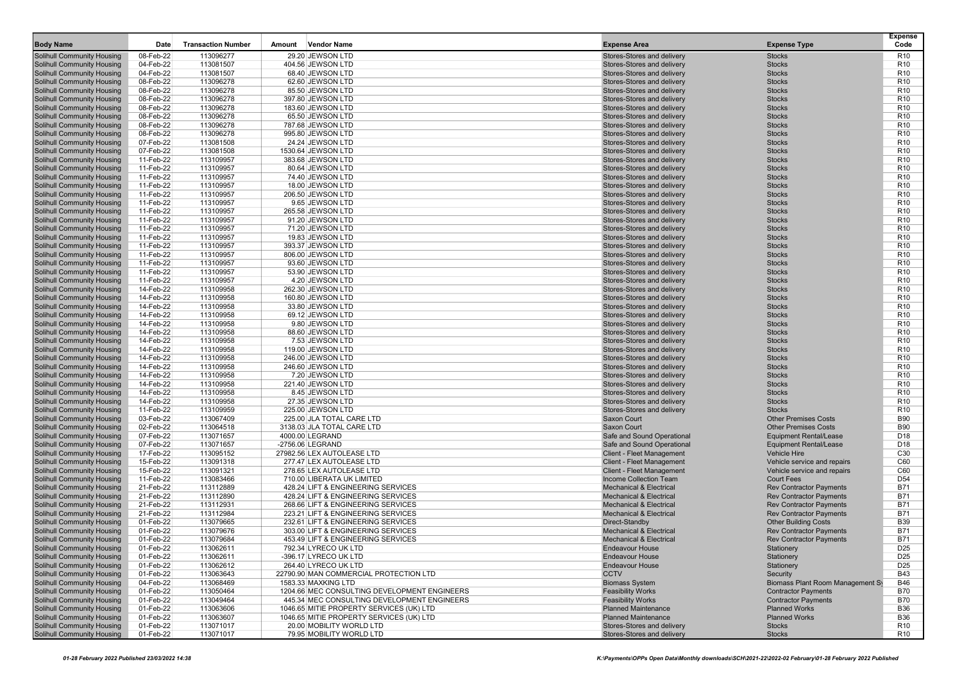| <b>Body Name</b>                                                       | Date                   | <b>Transaction Number</b> | <b>Vendor Name</b><br>Amount                                             | <b>Expense Area</b>                                                 | <b>Expense Type</b>                                              | <b>Expense</b><br>Code        |
|------------------------------------------------------------------------|------------------------|---------------------------|--------------------------------------------------------------------------|---------------------------------------------------------------------|------------------------------------------------------------------|-------------------------------|
|                                                                        | 08-Feb-22              | 113096277                 | 29.20 JEWSON LTD                                                         |                                                                     |                                                                  | R <sub>10</sub>               |
| <b>Solihull Community Housing</b><br><b>Solihull Community Housing</b> |                        |                           |                                                                          | Stores-Stores and delivery                                          | <b>Stocks</b>                                                    | R <sub>10</sub>               |
|                                                                        | 04-Feb-22<br>04-Feb-22 | 113081507<br>113081507    | 404.56 JEWSON LTD                                                        | Stores-Stores and delivery                                          | <b>Stocks</b><br><b>Stocks</b>                                   | R <sub>10</sub>               |
| <b>Solihull Community Housing</b><br><b>Solihull Community Housing</b> | 08-Feb-22              | 113096278                 | 68.40 JEWSON LTD<br>62.60 JEWSON LTD                                     | Stores-Stores and delivery<br>Stores-Stores and delivery            | <b>Stocks</b>                                                    | R <sub>10</sub>               |
| <b>Solihull Community Housing</b>                                      | 08-Feb-22              | 113096278                 | 85.50 JEWSON LTD                                                         | Stores-Stores and delivery                                          | <b>Stocks</b>                                                    | R <sub>10</sub>               |
| <b>Solihull Community Housing</b>                                      | 08-Feb-22              | 113096278                 | 397.80 JEWSON LTD                                                        | Stores-Stores and delivery                                          | <b>Stocks</b>                                                    | R <sub>10</sub>               |
| <b>Solihull Community Housing</b>                                      | 08-Feb-22              | 113096278                 | 183.60 JEWSON LTD                                                        | Stores-Stores and delivery                                          | <b>Stocks</b>                                                    | R <sub>10</sub>               |
| <b>Solihull Community Housing</b>                                      | 08-Feb-22              | 113096278                 | 65.50 JEWSON LTD                                                         | Stores-Stores and delivery                                          | <b>Stocks</b>                                                    | R <sub>10</sub>               |
| <b>Solihull Community Housing</b>                                      | 08-Feb-22              | 113096278                 | 787.68 JEWSON LTD                                                        | Stores-Stores and delivery                                          | <b>Stocks</b>                                                    | R <sub>10</sub>               |
| <b>Solihull Community Housing</b>                                      | 08-Feb-22              | 113096278                 | 995.80 JEWSON LTD                                                        | Stores-Stores and delivery                                          | <b>Stocks</b>                                                    | R <sub>10</sub>               |
| <b>Solihull Community Housing</b>                                      | 07-Feb-22              | 113081508                 | 24.24 JEWSON LTD                                                         | Stores-Stores and delivery                                          | <b>Stocks</b>                                                    | R <sub>10</sub>               |
| <b>Solihull Community Housing</b>                                      | 07-Feb-22              | 113081508                 | 1530.64 JEWSON LTD                                                       | Stores-Stores and delivery                                          | <b>Stocks</b>                                                    | R <sub>10</sub>               |
| <b>Solihull Community Housing</b>                                      | 11-Feb-22              | 113109957                 | 383.68 JEWSON LTD                                                        | Stores-Stores and delivery                                          | <b>Stocks</b>                                                    | R <sub>10</sub>               |
| <b>Solihull Community Housing</b>                                      | 11-Feb-22              | 113109957                 | 80.64 JEWSON LTD                                                         | Stores-Stores and delivery                                          | <b>Stocks</b>                                                    | R <sub>10</sub>               |
| <b>Solihull Community Housing</b>                                      | 11-Feb-22              | 113109957                 | 74.40 JEWSON LTD                                                         | Stores-Stores and delivery                                          | <b>Stocks</b>                                                    | R <sub>10</sub>               |
| <b>Solihull Community Housing</b>                                      | 11-Feb-22              | 113109957                 | 18.00 JEWSON LTD                                                         | Stores-Stores and delivery                                          | <b>Stocks</b>                                                    | R <sub>10</sub>               |
| <b>Solihull Community Housing</b>                                      | 11-Feb-22              | 113109957                 | 206.50 JEWSON LTD                                                        | Stores-Stores and delivery                                          | <b>Stocks</b>                                                    | R <sub>10</sub>               |
| <b>Solihull Community Housing</b>                                      | 11-Feb-22              | 113109957                 | 9.65 JEWSON LTD                                                          | Stores-Stores and delivery                                          | <b>Stocks</b>                                                    | R <sub>10</sub>               |
| <b>Solihull Community Housing</b>                                      | 11-Feb-22              | 113109957                 | 265.58 JEWSON LTD                                                        | Stores-Stores and delivery                                          | <b>Stocks</b>                                                    | R <sub>10</sub>               |
| <b>Solihull Community Housing</b>                                      | 11-Feb-22              | 113109957                 | 91.20 JEWSON LTD                                                         | Stores-Stores and delivery                                          | <b>Stocks</b>                                                    | R <sub>10</sub>               |
| <b>Solihull Community Housing</b>                                      | 11-Feb-22              | 113109957                 | 71.20 JEWSON LTD                                                         | Stores-Stores and delivery                                          | <b>Stocks</b>                                                    | R <sub>10</sub>               |
| <b>Solihull Community Housing</b>                                      | 11-Feb-22              | 113109957                 | 19.83 JEWSON LTD                                                         | Stores-Stores and delivery                                          | <b>Stocks</b>                                                    | R <sub>10</sub>               |
| <b>Solihull Community Housing</b>                                      | 11-Feb-22              | 113109957                 | 393.37 JEWSON LTD                                                        | Stores-Stores and delivery                                          | <b>Stocks</b>                                                    | R <sub>10</sub>               |
| <b>Solihull Community Housing</b>                                      | 11-Feb-22              | 113109957                 | 806.00 JEWSON LTD                                                        | Stores-Stores and delivery                                          | <b>Stocks</b>                                                    | R <sub>10</sub>               |
| <b>Solihull Community Housing</b>                                      | 11-Feb-22              | 113109957                 | 93.60 JEWSON LTD                                                         | Stores-Stores and delivery                                          | <b>Stocks</b>                                                    | R <sub>10</sub>               |
| <b>Solihull Community Housing</b>                                      | 11-Feb-22              | 113109957                 | 53.90 JEWSON LTD                                                         | Stores-Stores and delivery                                          | <b>Stocks</b>                                                    | R <sub>10</sub>               |
| <b>Solihull Community Housing</b>                                      | 11-Feb-22              | 113109957                 | 4.20 JEWSON LTD                                                          | Stores-Stores and delivery                                          | <b>Stocks</b>                                                    | R <sub>10</sub>               |
| <b>Solihull Community Housing</b>                                      | 14-Feb-22              | 113109958                 | 262.30 JEWSON LTD                                                        | Stores-Stores and delivery                                          | <b>Stocks</b>                                                    | R <sub>10</sub>               |
| <b>Solihull Community Housing</b>                                      | 14-Feb-22              | 113109958                 | 160.80 JEWSON LTD                                                        | Stores-Stores and delivery                                          | <b>Stocks</b>                                                    | R <sub>10</sub>               |
| <b>Solihull Community Housing</b>                                      | 14-Feb-22              | 113109958                 | 33.80 JEWSON LTD                                                         | Stores-Stores and delivery                                          | <b>Stocks</b>                                                    | R <sub>10</sub>               |
| <b>Solihull Community Housing</b>                                      | 14-Feb-22              | 113109958                 | 69.12 JEWSON LTD                                                         | Stores-Stores and delivery                                          | <b>Stocks</b>                                                    | R <sub>10</sub>               |
| <b>Solihull Community Housing</b>                                      | 14-Feb-22              | 113109958                 | 9.80 JEWSON LTD                                                          | Stores-Stores and delivery                                          | <b>Stocks</b>                                                    | R <sub>10</sub>               |
| <b>Solihull Community Housing</b>                                      | 14-Feb-22              | 113109958                 | 88.60 JEWSON LTD                                                         | Stores-Stores and delivery                                          | <b>Stocks</b>                                                    | R <sub>10</sub>               |
| <b>Solihull Community Housing</b>                                      | 14-Feb-22              | 113109958                 | 7.53 JEWSON LTD                                                          | Stores-Stores and delivery                                          | <b>Stocks</b>                                                    | R <sub>10</sub>               |
| <b>Solihull Community Housing</b>                                      | 14-Feb-22              | 113109958                 | 119.00 JEWSON LTD                                                        | Stores-Stores and delivery                                          | <b>Stocks</b>                                                    | R <sub>10</sub>               |
| <b>Solihull Community Housing</b>                                      | 14-Feb-22              | 113109958                 | 246.00 JEWSON LTD                                                        | Stores-Stores and delivery                                          | <b>Stocks</b>                                                    | R <sub>10</sub>               |
| <b>Solihull Community Housing</b>                                      | 14-Feb-22              | 113109958                 | 246.60 JEWSON LTD                                                        | Stores-Stores and delivery                                          | <b>Stocks</b>                                                    | R <sub>10</sub>               |
| <b>Solihull Community Housing</b>                                      | 14-Feb-22              | 113109958                 | 7.20 JEWSON LTD                                                          | Stores-Stores and delivery                                          | <b>Stocks</b>                                                    | R <sub>10</sub>               |
| <b>Solihull Community Housing</b>                                      | 14-Feb-22              | 113109958                 | 221.40 JEWSON LTD                                                        | Stores-Stores and delivery                                          | <b>Stocks</b>                                                    | R <sub>10</sub>               |
| <b>Solihull Community Housing</b>                                      | 14-Feb-22              | 113109958                 | 8.45 JEWSON LTD                                                          | Stores-Stores and delivery                                          | <b>Stocks</b>                                                    | R <sub>10</sub>               |
| <b>Solihull Community Housing</b>                                      | 14-Feb-22              | 113109958                 | 27.35 JEWSON LTD                                                         | Stores-Stores and delivery                                          | <b>Stocks</b>                                                    | R <sub>10</sub>               |
| <b>Solihull Community Housing</b>                                      | 11-Feb-22              | 113109959                 | 225.00 JEWSON LTD                                                        | Stores-Stores and delivery                                          | <b>Stocks</b>                                                    | R <sub>10</sub>               |
| <b>Solihull Community Housing</b>                                      | 03-Feb-22              | 113067409                 | 225.00 JLA TOTAL CARE LTD                                                | <b>Saxon Court</b>                                                  | <b>Other Premises Costs</b>                                      | <b>B90</b>                    |
| <b>Solihull Community Housing</b>                                      | 02-Feb-22              | 113064518                 | 3138.03 JLA TOTAL CARE LTD                                               | <b>Saxon Court</b>                                                  | <b>Other Premises Costs</b>                                      | <b>B90</b>                    |
| <b>Solihull Community Housing</b>                                      | 07-Feb-22              | 113071657                 | 4000.00 LEGRAND                                                          | Safe and Sound Operational                                          | <b>Equipment Rental/Lease</b>                                    | D <sub>18</sub>               |
| <b>Solihull Community Housing</b>                                      | 07-Feb-22              | 113071657                 | -2756.06 LEGRAND                                                         | Safe and Sound Operational                                          | <b>Equipment Rental/Lease</b>                                    | D <sub>18</sub>               |
| <b>Solihull Community Housing</b>                                      | 17-Feb-22              | 113095152                 | 27982.56 LEX AUTOLEASE LTD                                               | Client - Fleet Management                                           | <b>Vehicle Hire</b>                                              | C30                           |
| <b>Solihull Community Housing</b>                                      | 15-Feb-22              | 113091318                 | 277.47 LEX AUTOLEASE LTD                                                 | <b>Client - Fleet Management</b>                                    | Vehicle service and repairs                                      | C60                           |
| <b>Solihull Community Housing</b>                                      | 15-Feb-22              | 113091321                 | 278.65 LEX AUTOLEASE LTD                                                 | Client - Fleet Management                                           | Vehicle service and repairs                                      | C60                           |
| <b>Solihull Community Housing</b>                                      | 11-Feb-22              | 113083466                 | 710.00 LIBERATA UK LIMITED                                               | <b>Income Collection Team</b><br><b>Mechanical &amp; Electrical</b> | <b>Court Fees</b>                                                | D <sub>54</sub><br><b>B71</b> |
| <b>Solihull Community Housing</b>                                      | 21-Feb-22              | 113112889<br>113112890    | 428.24 LIFT & ENGINEERING SERVICES<br>428.24 LIFT & ENGINEERING SERVICES | <b>Mechanical &amp; Electrical</b>                                  | <b>Rev Contractor Payments</b>                                   | <b>B71</b>                    |
| <b>Solihull Community Housing</b><br><b>Solihull Community Housing</b> | 21-Feb-22<br>21-Feb-22 | 113112931                 | 268.66 LIFT & ENGINEERING SERVICES                                       | <b>Mechanical &amp; Electrical</b>                                  | <b>Rev Contractor Payments</b><br><b>Rev Contractor Payments</b> | <b>B71</b>                    |
| <b>Solihull Community Housing</b>                                      | 21-Feb-22              | 113112984                 | 223.21 LIFT & ENGINEERING SERVICES                                       | <b>Mechanical &amp; Electrical</b>                                  | <b>Rev Contractor Payments</b>                                   | <b>B71</b>                    |
| <b>Solihull Community Housing</b>                                      | 01-Feb-22              | 113079665                 | 232.61 LIFT & ENGINEERING SERVICES                                       | Direct-Standby                                                      | <b>Other Building Costs</b>                                      | <b>B39</b>                    |
| <b>Solihull Community Housing</b>                                      | 01-Feb-22              | 113079676                 | 303.00 LIFT & ENGINEERING SERVICES                                       | <b>Mechanical &amp; Electrical</b>                                  | <b>Rev Contractor Payments</b>                                   | <b>B71</b>                    |
| <b>Solihull Community Housing</b>                                      | 01-Feb-22              | 113079684                 | 453.49 LIFT & ENGINEERING SERVICES                                       | <b>Mechanical &amp; Electrical</b>                                  | <b>Rev Contractor Payments</b>                                   | <b>B71</b>                    |
| <b>Solihull Community Housing</b>                                      | 01-Feb-22              | 113062611                 | 792.34 LYRECO UK LTD                                                     | <b>Endeavour House</b>                                              | Stationery                                                       | D <sub>25</sub>               |
| <b>Solihull Community Housing</b>                                      | 01-Feb-22              | 113062611                 | -396.17 LYRECO UK LTD                                                    | <b>Endeavour House</b>                                              | Stationery                                                       | D <sub>25</sub>               |
| <b>Solihull Community Housing</b>                                      | 01-Feb-22              | 113062612                 | 264.40 LYRECO UK LTD                                                     | <b>Endeavour House</b>                                              | Stationery                                                       | D <sub>25</sub>               |
| <b>Solihull Community Housing</b>                                      | 01-Feb-22              | 113063643                 | 22790.90 MAN COMMERCIAL PROTECTION LTD                                   | <b>CCTV</b>                                                         | Security                                                         | <b>B43</b>                    |
| <b>Solihull Community Housing</b>                                      | 04-Feb-22              | 113068469                 | 1583.33 MAXKING LTD                                                      | <b>Biomass System</b>                                               | Biomass Plant Room Management Sy                                 | <b>B46</b>                    |
| Solihull Community Housing                                             | 01-Feb-22              | 113050464                 | 1204.66 MEC CONSULTING DEVELOPMENT ENGINEERS                             | <b>Feasibility Works</b>                                            | <b>Contractor Payments</b>                                       | <b>B70</b>                    |
| <b>Solihull Community Housing</b>                                      | 01-Feb-22              | 113049464                 | 445.34 MEC CONSULTING DEVELOPMENT ENGINEERS                              | <b>Feasibility Works</b>                                            | <b>Contractor Payments</b>                                       | <b>B70</b>                    |
| <b>Solihull Community Housing</b>                                      | 01-Feb-22              | 113063606                 | 1046.65 MITIE PROPERTY SERVICES (UK) LTD                                 | <b>Planned Maintenance</b>                                          | <b>Planned Works</b>                                             | <b>B36</b>                    |
| <b>Solihull Community Housing</b>                                      | 01-Feb-22              | 113063607                 | 1046.65 MITIE PROPERTY SERVICES (UK) LTD                                 | <b>Planned Maintenance</b>                                          | <b>Planned Works</b>                                             | <b>B36</b>                    |
| <b>Solihull Community Housing</b>                                      | 01-Feb-22              | 113071017                 | 20.00 MOBILITY WORLD LTD                                                 | Stores-Stores and delivery                                          | <b>Stocks</b>                                                    | R <sub>10</sub>               |
| Solihull Community Housing                                             | 01-Feb-22              | 113071017                 | 79.95 MOBILITY WORLD LTD                                                 | Stores-Stores and delivery                                          | <b>Stocks</b>                                                    | R <sub>10</sub>               |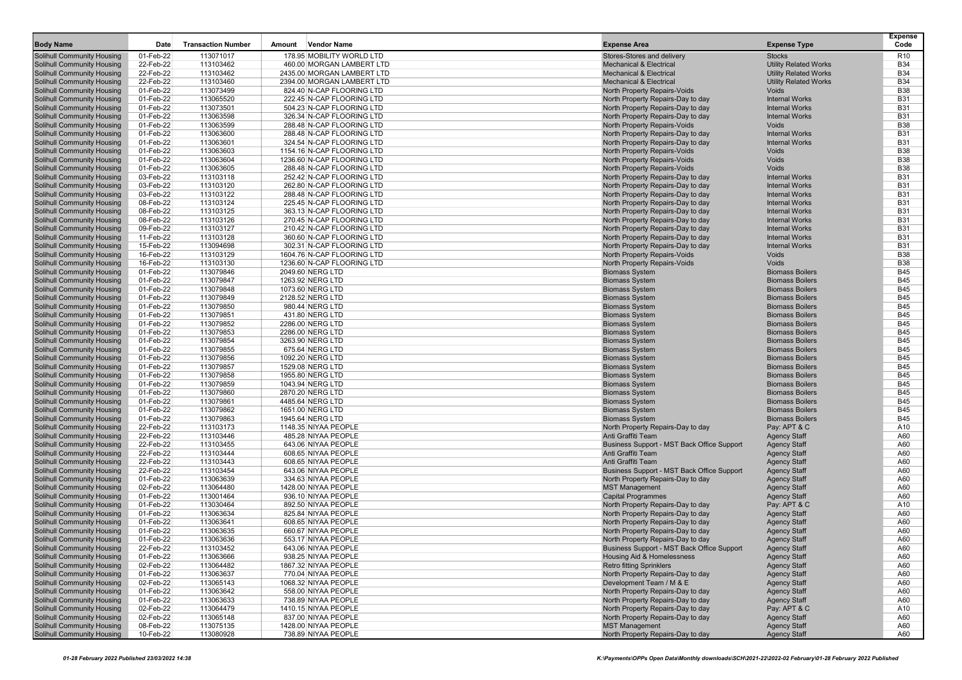| <b>Body Name</b>                                                       | Date                   | <b>Transaction Number</b> | Amount<br><b>Vendor Name</b>                           | <b>Expense Area</b>                                                             | <b>Expense Type</b>                              | <b>Expense</b><br>Code   |
|------------------------------------------------------------------------|------------------------|---------------------------|--------------------------------------------------------|---------------------------------------------------------------------------------|--------------------------------------------------|--------------------------|
| <b>Solihull Community Housing</b>                                      | 01-Feb-22              | 113071017                 | 178.95 MOBILITY WORLD LTD                              | Stores-Stores and delivery                                                      | <b>Stocks</b>                                    | R <sub>10</sub>          |
| <b>Solihull Community Housing</b>                                      | 22-Feb-22              | 113103462                 | 460.00 MORGAN LAMBERT LTD                              | <b>Mechanical &amp; Electrical</b>                                              | <b>Utility Related Works</b>                     | <b>B34</b>               |
| Solihull Community Housing                                             | 22-Feb-22              | 113103462                 | 2435.00 MORGAN LAMBERT LTD                             | <b>Mechanical &amp; Electrical</b>                                              | <b>Utility Related Works</b>                     | <b>B34</b>               |
| Solihull Community Housing                                             | 22-Feb-22              | 113103460                 | 2394.00 MORGAN LAMBERT LTD                             | <b>Mechanical &amp; Electrical</b>                                              | <b>Utility Related Works</b>                     | <b>B34</b>               |
| <b>Solihull Community Housing</b>                                      | 01-Feb-22              | 113073499                 | 824.40 N-CAP FLOORING LTD                              | North Property Repairs-Voids                                                    | Voids                                            | <b>B38</b>               |
| <b>Solihull Community Housing</b>                                      | 01-Feb-22              | 113065520                 | 222.45 N-CAP FLOORING LTD                              | North Property Repairs-Day to day                                               | <b>Internal Works</b>                            | <b>B31</b>               |
| <b>Solihull Community Housing</b>                                      | 01-Feb-22              | 113073501                 | 504.23 N-CAP FLOORING LTD                              | North Property Repairs-Day to day                                               | <b>Internal Works</b>                            | <b>B31</b>               |
| <b>Solihull Community Housing</b>                                      | 01-Feb-22              | 113063598                 | 326.34 N-CAP FLOORING LTD                              | North Property Repairs-Day to day                                               | <b>Internal Works</b>                            | <b>B31</b>               |
| Solihull Community Housing                                             | 01-Feb-22              | 113063599                 | 288.48 N-CAP FLOORING LTD                              | North Property Repairs-Voids                                                    | Voids                                            | <b>B38</b>               |
| <b>Solihull Community Housing</b>                                      | 01-Feb-22              | 113063600                 | 288.48 N-CAP FLOORING LTD                              | North Property Repairs-Day to day                                               | <b>Internal Works</b>                            | <b>B31</b>               |
| <b>Solihull Community Housing</b>                                      | 01-Feb-22              | 113063601                 | 324.54 N-CAP FLOORING LTD                              | North Property Repairs-Day to day                                               | <b>Internal Works</b>                            | <b>B31</b>               |
| <b>Solihull Community Housing</b>                                      | 01-Feb-22              | 113063603                 | 1154.16 N-CAP FLOORING LTD                             | North Property Repairs-Voids                                                    | Voids                                            | <b>B38</b>               |
| <b>Solihull Community Housing</b>                                      | 01-Feb-22              | 113063604                 | 1236.60 N-CAP FLOORING LTD                             | North Property Repairs-Voids                                                    | Voids                                            | <b>B38</b>               |
| <b>Solihull Community Housing</b>                                      | 01-Feb-22              | 113063605                 | 288.48 N-CAP FLOORING LTD                              | North Property Repairs-Voids                                                    | Voids                                            | <b>B38</b>               |
| <b>Solihull Community Housing</b>                                      | 03-Feb-22              | 113103118                 | 252.42 N-CAP FLOORING LTD                              | North Property Repairs-Day to day                                               | <b>Internal Works</b>                            | <b>B31</b>               |
| <b>Solihull Community Housing</b>                                      | 03-Feb-22              | 113103120                 | 262.80 N-CAP FLOORING LTD                              | North Property Repairs-Day to day                                               | <b>Internal Works</b>                            | <b>B31</b>               |
| <b>Solihull Community Housing</b>                                      | 03-Feb-22              | 113103122                 | 288.48 N-CAP FLOORING LTD                              | North Property Repairs-Day to day                                               | <b>Internal Works</b>                            | <b>B31</b>               |
| <b>Solihull Community Housing</b>                                      | 08-Feb-22<br>08-Feb-22 | 113103124<br>113103125    | 225.45 N-CAP FLOORING LTD                              | North Property Repairs-Day to day                                               | <b>Internal Works</b><br><b>Internal Works</b>   | <b>B31</b><br><b>B31</b> |
| Solihull Community Housing<br><b>Solihull Community Housing</b>        | 08-Feb-22              | 113103126                 | 363.13 N-CAP FLOORING LTD<br>270.45 N-CAP FLOORING LTD | North Property Repairs-Day to day<br>North Property Repairs-Day to day          | <b>Internal Works</b>                            | <b>B31</b>               |
| <b>Solihull Community Housing</b>                                      | 09-Feb-22              | 113103127                 | 210.42 N-CAP FLOORING LTD                              | North Property Repairs-Day to day                                               | <b>Internal Works</b>                            | <b>B31</b>               |
| <b>Solihull Community Housing</b>                                      | 11-Feb-22              | 113103128                 | 360.60 N-CAP FLOORING LTD                              | North Property Repairs-Day to day                                               | <b>Internal Works</b>                            | <b>B31</b>               |
| Solihull Community Housing                                             | 15-Feb-22              | 113094698                 | 302.31 N-CAP FLOORING LTD                              | North Property Repairs-Day to day                                               | <b>Internal Works</b>                            | <b>B31</b>               |
| <b>Solihull Community Housing</b>                                      | 16-Feb-22              | 113103129                 | 1604.76 N-CAP FLOORING LTD                             | North Property Repairs-Voids                                                    | Voids                                            | <b>B38</b>               |
| <b>Solihull Community Housing</b>                                      | 16-Feb-22              | 113103130                 | 1236.60 N-CAP FLOORING LTD                             | North Property Repairs-Voids                                                    | Voids                                            | <b>B38</b>               |
| <b>Solihull Community Housing</b>                                      | 01-Feb-22              | 113079846                 | 2049.60 NERG LTD                                       | <b>Biomass System</b>                                                           | <b>Biomass Boilers</b>                           | <b>B45</b>               |
| Solihull Community Housing                                             | 01-Feb-22              | 113079847                 | 1263.92 NERG LTD                                       | <b>Biomass System</b>                                                           | <b>Biomass Boilers</b>                           | <b>B45</b>               |
| <b>Solihull Community Housing</b>                                      | 01-Feb-22              | 113079848                 | 1073.60 NERG LTD                                       | <b>Biomass System</b>                                                           | <b>Biomass Boilers</b>                           | <b>B45</b>               |
| <b>Solihull Community Housing</b>                                      | 01-Feb-22              | 113079849                 | 2128.52 NERG LTD                                       | <b>Biomass System</b>                                                           | <b>Biomass Boilers</b>                           | <b>B45</b>               |
| <b>Solihull Community Housing</b>                                      | 01-Feb-22              | 113079850                 | 980.44 NERG LTD                                        | <b>Biomass System</b>                                                           | <b>Biomass Boilers</b>                           | <b>B45</b>               |
| <b>Solihull Community Housing</b>                                      | 01-Feb-22              | 113079851                 | 431.80 NERG LTD                                        | <b>Biomass System</b>                                                           | <b>Biomass Boilers</b>                           | <b>B45</b>               |
| Solihull Community Housing                                             | 01-Feb-22              | 113079852                 | 2286.00 NERG LTD                                       | <b>Biomass System</b>                                                           | <b>Biomass Boilers</b>                           | <b>B45</b>               |
| <b>Solihull Community Housing</b>                                      | 01-Feb-22              | 113079853                 | 2286.00 NERG LTD                                       | <b>Biomass System</b>                                                           | <b>Biomass Boilers</b>                           | <b>B45</b>               |
| Solihull Community Housing                                             | 01-Feb-22              | 113079854                 | 3263.90 NERG LTD                                       | <b>Biomass System</b>                                                           | <b>Biomass Boilers</b>                           | <b>B45</b>               |
| <b>Solihull Community Housing</b>                                      | 01-Feb-22              | 113079855                 | 675.64 NERG LTD                                        | <b>Biomass System</b>                                                           | <b>Biomass Boilers</b>                           | <b>B45</b>               |
| <b>Solihull Community Housing</b>                                      | 01-Feb-22              | 113079856                 | 1092.20 NERG LTD                                       | <b>Biomass System</b>                                                           | <b>Biomass Boilers</b>                           | <b>B45</b>               |
| <b>Solihull Community Housing</b>                                      | 01-Feb-22              | 113079857                 | 1529.08 NERG LTD                                       | <b>Biomass System</b>                                                           | <b>Biomass Boilers</b>                           | <b>B45</b><br><b>B45</b> |
| <b>Solihull Community Housing</b>                                      | 01-Feb-22<br>01-Feb-22 | 113079858<br>113079859    | 1955.80 NERG LTD                                       | <b>Biomass System</b><br><b>Biomass System</b>                                  | <b>Biomass Boilers</b><br><b>Biomass Boilers</b> | <b>B45</b>               |
| <b>Solihull Community Housing</b><br><b>Solihull Community Housing</b> | 01-Feb-22              | 113079860                 | 1043.94 NERG LTD<br>2870.20 NERG LTD                   | <b>Biomass System</b>                                                           | <b>Biomass Boilers</b>                           | <b>B45</b>               |
| <b>Solihull Community Housing</b>                                      | 01-Feb-22              | 113079861                 | 4485.64 NERG LTD                                       | <b>Biomass System</b>                                                           | <b>Biomass Boilers</b>                           | <b>B45</b>               |
| Solihull Community Housing                                             | 01-Feb-22              | 113079862                 | 1651.00 NERG LTD                                       | <b>Biomass System</b>                                                           | <b>Biomass Boilers</b>                           | <b>B45</b>               |
| <b>Solihull Community Housing</b>                                      | 01-Feb-22              | 113079863                 | 1945.64 NERG LTD                                       | <b>Biomass System</b>                                                           | <b>Biomass Boilers</b>                           | <b>B45</b>               |
| <b>Solihull Community Housing</b>                                      | 22-Feb-22              | 113103173                 | 1148.35 NIYAA PEOPLE                                   | North Property Repairs-Day to day                                               | Pay: APT & C                                     | A10                      |
| <b>Solihull Community Housing</b>                                      | 22-Feb-22              | 113103446                 | 485.28 NIYAA PEOPLE                                    | Anti Graffiti Team                                                              | <b>Agency Staff</b>                              | A60                      |
| <b>Solihull Community Housing</b>                                      | 22-Feb-22              | 113103455                 | 643.06 NIYAA PEOPLE                                    | Business Support - MST Back Office Support                                      | <b>Agency Staff</b>                              | A60                      |
| Solihull Community Housing                                             | 22-Feb-22              | 113103444                 | 608.65 NIYAA PEOPLE                                    | Anti Graffiti Team                                                              | <b>Agency Staff</b>                              | A60                      |
| <b>Solihull Community Housing</b>                                      | 22-Feb-22              | 113103443                 | 608.65 NIYAA PEOPLE                                    | Anti Graffiti Team                                                              | <b>Agency Staff</b>                              | A60                      |
| Solihull Community Housing                                             | 22-Feb-22              | 113103454                 | 643.06 NIYAA PEOPLE                                    | Business Support - MST Back Office Support                                      | <b>Agency Staff</b>                              | A60                      |
| Solihull Community Housing                                             | 01-Feb-22              | 113063639                 | 334.63 NIYAA PEOPLE                                    | North Property Repairs-Day to day                                               | <b>Agency Staff</b>                              | A60                      |
| <b>Solihull Community Housing</b>                                      | 02-Feb-22              | 113064480                 | 1428.00 NIYAA PEOPLE                                   | <b>MST Management</b>                                                           | <b>Agency Staff</b>                              | A60                      |
| <b>Solihull Community Housing</b>                                      | 01-Feb-22              | 113001464                 | 936.10 NIYAA PEOPLE                                    | <b>Capital Programmes</b>                                                       | <b>Agency Staff</b>                              | A60                      |
| Solihull Community Housing                                             | 01-Feb-22              | 113030464                 | 892.50 NIYAA PEOPLE                                    | North Property Repairs-Day to day                                               | Pay: APT & C                                     | A10                      |
| <b>Solihull Community Housing</b>                                      | 01-Feb-22              | 113063634                 | 825.84 NIYAA PEOPLE                                    | North Property Repairs-Day to day                                               | <b>Agency Staff</b>                              | A60                      |
| Solihull Community Housing                                             | 01-Feb-22<br>01-Feb-22 | 113063641<br>113063635    | 608.65 NIYAA PEOPLE<br>660.67 NIYAA PEOPLE             | North Property Repairs-Day to day<br>North Property Repairs-Day to day          | <b>Agency Staff</b>                              | A60<br>A60               |
| Solihull Community Housing                                             |                        |                           | 553.17 NIYAA PEOPLE                                    |                                                                                 | <b>Agency Staff</b>                              | A60                      |
| Solihull Community Housing                                             | 01-Feb-22<br>22-Feb-22 | 113063636<br>113103452    | 643.06 NIYAA PEOPLE                                    | North Property Repairs-Day to day<br>Business Support - MST Back Office Support | <b>Agency Staff</b><br><b>Agency Staff</b>       | A60                      |
| Solihull Community Housing<br>Solihull Community Housing               | 01-Feb-22              | 113063666                 | 938.25 NIYAA PEOPLE                                    | <b>Housing Aid &amp; Homelessness</b>                                           | <b>Agency Staff</b>                              | A60                      |
| Solihull Community Housing                                             | 02-Feb-22              | 113064482                 | 1867.32 NIYAA PEOPLE                                   | <b>Retro fitting Sprinklers</b>                                                 | <b>Agency Staff</b>                              | A60                      |
| Solihull Community Housing                                             | 01-Feb-22              | 113063637                 | 770.04 NIYAA PEOPLE                                    | North Property Repairs-Day to day                                               | <b>Agency Staff</b>                              | A60                      |
|                                                                        | 02-Feb-22              | 113065143                 | 1068.32 NIYAA PEOPLE                                   | Development Team / M & E                                                        | <b>Agency Staff</b>                              | A60                      |
| Solihull Community Housing<br>Solihull Community Housing               | 01-Feb-22              | 113063642                 | 558.00 NIYAA PEOPLE                                    | North Property Repairs-Day to day                                               | <b>Agency Staff</b>                              | A60                      |
| <b>Solihull Community Housing</b>                                      | 01-Feb-22              | 113063633                 | 738.89 NIYAA PEOPLE                                    | North Property Repairs-Day to day                                               | <b>Agency Staff</b>                              | A60                      |
| <b>Solihull Community Housing</b>                                      | 02-Feb-22              | 113064479                 | 1410.15 NIYAA PEOPLE                                   | North Property Repairs-Day to day                                               | Pay: APT & C                                     | A10                      |
| <b>Solihull Community Housing</b>                                      | 02-Feb-22              | 113065148                 | 837.00 NIYAA PEOPLE                                    | North Property Repairs-Day to day                                               | <b>Agency Staff</b>                              | A60                      |
| Solihull Community Housing                                             | 08-Feb-22              | 113075135                 | 1428.00 NIYAA PEOPLE                                   | <b>MST Management</b>                                                           | <b>Agency Staff</b>                              | A60                      |
| <b>Solihull Community Housing</b>                                      | 10-Feb-22              | 113080928                 | 738.89 NIYAA PEOPLE                                    | North Property Repairs-Day to day                                               | <b>Agency Staff</b>                              | A60                      |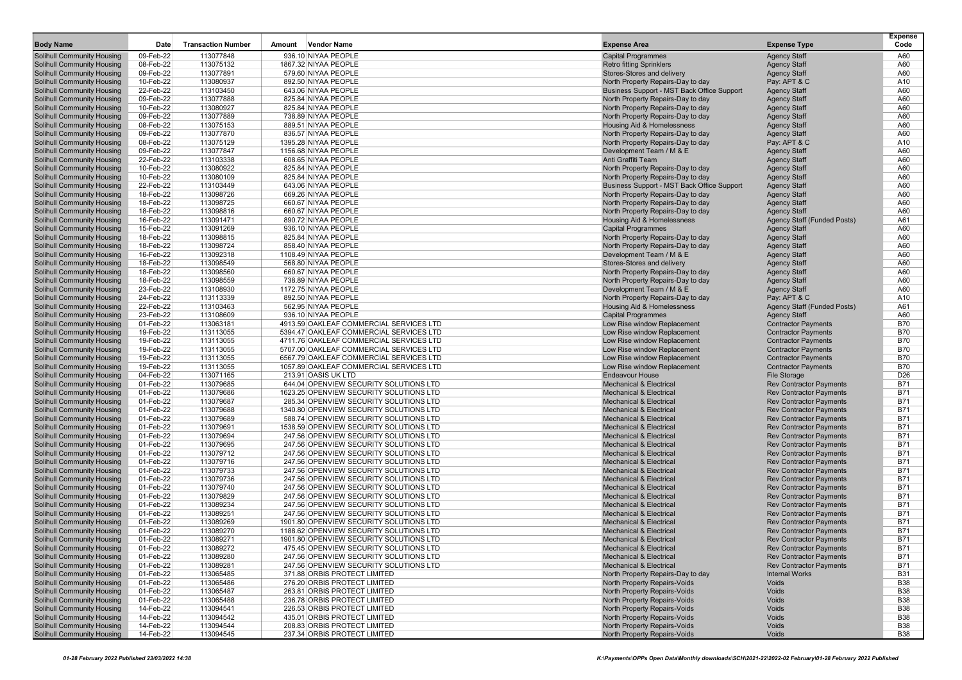| <b>Body Name</b>                                                       | Date                   | <b>Transaction Number</b> | <b>Vendor Name</b><br>Amount                                                      | <b>Expense Area</b>                                                             | <b>Expense Type</b>                                              | <b>Expense</b><br>Code   |
|------------------------------------------------------------------------|------------------------|---------------------------|-----------------------------------------------------------------------------------|---------------------------------------------------------------------------------|------------------------------------------------------------------|--------------------------|
| <b>Solihull Community Housing</b>                                      | 09-Feb-22              | 113077848                 | 936.10 NIYAA PEOPLE                                                               | <b>Capital Programmes</b>                                                       | <b>Agency Staff</b>                                              | A60                      |
| <b>Solihull Community Housing</b>                                      | 08-Feb-22              | 113075132                 | 1867.32 NIYAA PEOPLE                                                              | <b>Retro fitting Sprinklers</b>                                                 | <b>Agency Staff</b>                                              | A60                      |
| <b>Solihull Community Housing</b>                                      | 09-Feb-22              | 113077891                 | 579.60 NIYAA PEOPLE                                                               | Stores-Stores and delivery                                                      | <b>Agency Staff</b>                                              | A60                      |
| <b>Solihull Community Housing</b>                                      | 10-Feb-22              | 113080937                 | 892.50 NIYAA PEOPLE                                                               | North Property Repairs-Day to day                                               | Pay: APT & C                                                     | A10                      |
| <b>Solihull Community Housing</b>                                      | 22-Feb-22              | 113103450                 | 643.06 NIYAA PEOPLE                                                               | Business Support - MST Back Office Support                                      | <b>Agency Staff</b>                                              | A60                      |
| <b>Solihull Community Housing</b>                                      | 09-Feb-22              | 113077888                 | 825.84 NIYAA PEOPLE                                                               | North Property Repairs-Day to day                                               | <b>Agency Staff</b>                                              | A60                      |
| <b>Solihull Community Housing</b>                                      | 10-Feb-22              | 113080927                 | 825.84 NIYAA PEOPLE                                                               | North Property Repairs-Day to day                                               | <b>Agency Staff</b>                                              | A60                      |
| <b>Solihull Community Housing</b>                                      | 09-Feb-22              | 113077889                 | 738.89 NIYAA PEOPLE                                                               | North Property Repairs-Day to day                                               | <b>Agency Staff</b>                                              | A60                      |
| <b>Solihull Community Housing</b>                                      | 08-Feb-22              | 113075153                 | 889.51 NIYAA PEOPLE                                                               | <b>Housing Aid &amp; Homelessness</b>                                           | <b>Agency Staff</b>                                              | A60                      |
| <b>Solihull Community Housing</b>                                      | 09-Feb-22              | 113077870                 | 836.57 NIYAA PEOPLE                                                               | North Property Repairs-Day to day                                               | <b>Agency Staff</b>                                              | A60                      |
| <b>Solihull Community Housing</b>                                      | 08-Feb-22              | 113075129                 | 1395.28 NIYAA PEOPLE                                                              | North Property Repairs-Day to day                                               | Pay: APT & C                                                     | A10                      |
| Solihull Community Housing                                             | 09-Feb-22              | 113077847                 | 1156.68 NIYAA PEOPLE                                                              | Development Team / M & E                                                        | <b>Agency Staff</b>                                              | A60                      |
| <b>Solihull Community Housing</b>                                      | 22-Feb-22              | 113103338                 | 608.65 NIYAA PEOPLE                                                               | Anti Graffiti Team                                                              | <b>Agency Staff</b>                                              | A60                      |
| <b>Solihull Community Housing</b>                                      | 10-Feb-22<br>10-Feb-22 | 113080922<br>113080109    | 825.84 NIYAA PEOPLE<br>825.84 NIYAA PEOPLE                                        | North Property Repairs-Day to day                                               | <b>Agency Staff</b><br><b>Agency Staff</b>                       | A60<br>A60               |
| <b>Solihull Community Housing</b><br><b>Solihull Community Housing</b> | 22-Feb-22              | 113103449                 | 643.06 NIYAA PEOPLE                                                               | North Property Repairs-Day to day<br>Business Support - MST Back Office Support | <b>Agency Staff</b>                                              | A60                      |
| <b>Solihull Community Housing</b>                                      | 18-Feb-22              | 113098726                 | 669.26 NIYAA PEOPLE                                                               | North Property Repairs-Day to day                                               | <b>Agency Staff</b>                                              | A60                      |
| <b>Solihull Community Housing</b>                                      | 18-Feb-22              | 113098725                 | 660.67 NIYAA PEOPLE                                                               | North Property Repairs-Day to day                                               | <b>Agency Staff</b>                                              | A60                      |
| <b>Solihull Community Housing</b>                                      | 18-Feb-22              | 113098816                 | 660.67 NIYAA PEOPLE                                                               | North Property Repairs-Day to day                                               | <b>Agency Staff</b>                                              | A60                      |
| <b>Solihull Community Housing</b>                                      | 16-Feb-22              | 113091471                 | 890.72 NIYAA PEOPLE                                                               | <b>Housing Aid &amp; Homelessness</b>                                           | <b>Agency Staff (Funded Posts)</b>                               | A61                      |
| <b>Solihull Community Housing</b>                                      | 15-Feb-22              | 113091269                 | 936.10 NIYAA PEOPLE                                                               | <b>Capital Programmes</b>                                                       | <b>Agency Staff</b>                                              | A60                      |
| <b>Solihull Community Housing</b>                                      | 18-Feb-22              | 113098815                 | 825.84 NIYAA PEOPLE                                                               | North Property Repairs-Day to day                                               | <b>Agency Staff</b>                                              | A60                      |
| <b>Solihull Community Housing</b>                                      | 18-Feb-22              | 113098724                 | 858.40 NIYAA PEOPLE                                                               | North Property Repairs-Day to day                                               | <b>Agency Staff</b>                                              | A60                      |
| <b>Solihull Community Housing</b>                                      | 16-Feb-22              | 113092318                 | 1108.49 NIYAA PEOPLE                                                              | Development Team / M & E                                                        | <b>Agency Staff</b>                                              | A60                      |
| <b>Solihull Community Housing</b>                                      | 18-Feb-22              | 113098549                 | 568.80 NIYAA PEOPLE                                                               | Stores-Stores and delivery                                                      | <b>Agency Staff</b>                                              | A60                      |
| <b>Solihull Community Housing</b>                                      | 18-Feb-22              | 113098560                 | 660.67 NIYAA PEOPLE                                                               | North Property Repairs-Day to day                                               | <b>Agency Staff</b>                                              | A60                      |
| <b>Solihull Community Housing</b>                                      | 18-Feb-22              | 113098559                 | 738.89 NIYAA PEOPLE                                                               | North Property Repairs-Day to day                                               | <b>Agency Staff</b>                                              | A60                      |
| <b>Solihull Community Housing</b>                                      | 23-Feb-22              | 113108930                 | 1172.75 NIYAA PEOPLE                                                              | Development Team / M & E                                                        | <b>Agency Staff</b>                                              | A60                      |
| <b>Solihull Community Housing</b>                                      | 24-Feb-22              | 113113339                 | 892.50 NIYAA PEOPLE                                                               | North Property Repairs-Day to day                                               | Pay: APT & C                                                     | A10                      |
| <b>Solihull Community Housing</b><br><b>Solihull Community Housing</b> | 22-Feb-22<br>23-Feb-22 | 113103463<br>113108609    | 562.95 NIYAA PEOPLE<br>936.10 NIYAA PEOPLE                                        | Housing Aid & Homelessness<br><b>Capital Programmes</b>                         | <b>Agency Staff (Funded Posts)</b><br><b>Agency Staff</b>        | A61<br>A60               |
| <b>Solihull Community Housing</b>                                      | 01-Feb-22              | 113063181                 | 4913.59 OAKLEAF COMMERCIAL SERVICES LTD                                           | Low Rise window Replacement                                                     | <b>Contractor Payments</b>                                       | <b>B70</b>               |
| <b>Solihull Community Housing</b>                                      | 19-Feb-22              | 113113055                 | 5394.47 OAKLEAF COMMERCIAL SERVICES LTD                                           | Low Rise window Replacement                                                     | <b>Contractor Payments</b>                                       | <b>B70</b>               |
| <b>Solihull Community Housing</b>                                      | 19-Feb-22              | 113113055                 | 4711.76 OAKLEAF COMMERCIAL SERVICES LTD                                           | Low Rise window Replacement                                                     | <b>Contractor Payments</b>                                       | <b>B70</b>               |
| Solihull Community Housing                                             | 19-Feb-22              | 113113055                 | 5707.00 OAKLEAF COMMERCIAL SERVICES LTD                                           | Low Rise window Replacement                                                     | <b>Contractor Payments</b>                                       | <b>B70</b>               |
| Solihull Community Housing                                             | 19-Feb-22              | 113113055                 | 6567.79 OAKLEAF COMMERCIAL SERVICES LTD                                           | Low Rise window Replacement                                                     | <b>Contractor Payments</b>                                       | <b>B70</b>               |
| <b>Solihull Community Housing</b>                                      | 19-Feb-22              | 113113055                 | 1057.89 OAKLEAF COMMERCIAL SERVICES LTD                                           | Low Rise window Replacement                                                     | <b>Contractor Payments</b>                                       | <b>B70</b>               |
| <b>Solihull Community Housing</b>                                      | 04-Feb-22              | 113071165                 | 213.91 OASIS UK LTD                                                               | <b>Endeavour House</b>                                                          | <b>File Storage</b>                                              | D <sub>26</sub>          |
| <b>Solihull Community Housing</b>                                      | 01-Feb-22              | 113079685                 | 644.04 OPENVIEW SECURITY SOLUTIONS LTD                                            | <b>Mechanical &amp; Electrical</b>                                              | <b>Rev Contractor Payments</b>                                   | <b>B71</b>               |
| <b>Solihull Community Housing</b>                                      | 01-Feb-22              | 113079686                 | 1623.25 OPENVIEW SECURITY SOLUTIONS LTD                                           | <b>Mechanical &amp; Electrical</b>                                              | <b>Rev Contractor Payments</b>                                   | <b>B71</b>               |
| <b>Solihull Community Housing</b>                                      | 01-Feb-22              | 113079687                 | 285.34 OPENVIEW SECURITY SOLUTIONS LTD                                            | <b>Mechanical &amp; Electrical</b>                                              | <b>Rev Contractor Payments</b>                                   | <b>B71</b>               |
| <b>Solihull Community Housing</b>                                      | 01-Feb-22              | 113079688                 | 1340.80 OPENVIEW SECURITY SOLUTIONS LTD                                           | <b>Mechanical &amp; Electrical</b>                                              | <b>Rev Contractor Payments</b>                                   | <b>B71</b>               |
| <b>Solihull Community Housing</b>                                      | 01-Feb-22<br>01-Feb-22 | 113079689<br>113079691    | 588.74 OPENVIEW SECURITY SOLUTIONS LTD                                            | <b>Mechanical &amp; Electrical</b><br><b>Mechanical &amp; Electrical</b>        | <b>Rev Contractor Payments</b>                                   | <b>B71</b><br><b>B71</b> |
| <b>Solihull Community Housing</b><br><b>Solihull Community Housing</b> | 01-Feb-22              | 113079694                 | 1538.59 OPENVIEW SECURITY SOLUTIONS LTD<br>247.56 OPENVIEW SECURITY SOLUTIONS LTD | Mechanical & Electrical                                                         | <b>Rev Contractor Payments</b><br><b>Rev Contractor Payments</b> | <b>B71</b>               |
| <b>Solihull Community Housing</b>                                      | 01-Feb-22              | 113079695                 | 247.56 OPENVIEW SECURITY SOLUTIONS LTD                                            | <b>Mechanical &amp; Electrical</b>                                              | <b>Rev Contractor Payments</b>                                   | <b>B71</b>               |
| <b>Solihull Community Housing</b>                                      | 01-Feb-22              | 113079712                 | 247.56 OPENVIEW SECURITY SOLUTIONS LTD                                            | <b>Mechanical &amp; Electrical</b>                                              | <b>Rev Contractor Payments</b>                                   | <b>B71</b>               |
| <b>Solihull Community Housing</b>                                      | 01-Feb-22              | 113079716                 | 247.56 OPENVIEW SECURITY SOLUTIONS LTD                                            | <b>Mechanical &amp; Electrical</b>                                              | <b>Rev Contractor Payments</b>                                   | B71                      |
| <b>Solihull Community Housing</b>                                      | 01-Feb-22              | 113079733                 | 247.56 OPENVIEW SECURITY SOLUTIONS LTD                                            | Mechanical & Electrical                                                         | <b>Rev Contractor Payments</b>                                   | <b>B71</b>               |
| <b>Solihull Community Housing</b>                                      | 01-Feb-22              | 113079736                 | 247.56 OPENVIEW SECURITY SOLUTIONS LTD                                            | <b>Mechanical &amp; Electrical</b>                                              | <b>Rev Contractor Payments</b>                                   | <b>B71</b>               |
| <b>Solihull Community Housing</b>                                      | 01-Feb-22              | 113079740                 | 247.56 OPENVIEW SECURITY SOLUTIONS LTD                                            | <b>Mechanical &amp; Electrical</b>                                              | <b>Rev Contractor Payments</b>                                   | <b>B71</b>               |
| <b>Solihull Community Housing</b>                                      | 01-Feb-22              | 113079829                 | 247.56 OPENVIEW SECURITY SOLUTIONS LTD                                            | <b>Mechanical &amp; Electrical</b>                                              | <b>Rev Contractor Payments</b>                                   | <b>B71</b>               |
| <b>Solihull Community Housing</b>                                      | 01-Feb-22              | 113089234                 | 247.56 OPENVIEW SECURITY SOLUTIONS LTD                                            | <b>Mechanical &amp; Electrical</b>                                              | <b>Rev Contractor Payments</b>                                   | <b>B71</b>               |
| <b>Solihull Community Housing</b>                                      | 01-Feb-22              | 113089251                 | 247.56 OPENVIEW SECURITY SOLUTIONS LTD                                            | <b>Mechanical &amp; Electrical</b>                                              | <b>Rev Contractor Payments</b>                                   | <b>B71</b>               |
| <b>Solihull Community Housing</b>                                      | 01-Feb-22              | 113089269                 | 1901.80 OPENVIEW SECURITY SOLUTIONS LTD                                           | <b>Mechanical &amp; Electrical</b>                                              | <b>Rev Contractor Payments</b>                                   | <b>B71</b>               |
| <b>Solihull Community Housing</b>                                      | 01-Feb-22              | 113089270                 | 1188.62 OPENVIEW SECURITY SOLUTIONS LTD                                           | <b>Mechanical &amp; Electrical</b>                                              | <b>Rev Contractor Payments</b>                                   | <b>B71</b>               |
| <b>Solihull Community Housing</b><br><b>Solihull Community Housing</b> | 01-Feb-22<br>01-Feb-22 | 113089271<br>113089272    | 1901.80 OPENVIEW SECURITY SOLUTIONS LTD<br>475.45 OPENVIEW SECURITY SOLUTIONS LTD | <b>Mechanical &amp; Electrical</b><br><b>Mechanical &amp; Electrical</b>        | <b>Rev Contractor Payments</b><br><b>Rev Contractor Payments</b> | <b>B71</b><br><b>B71</b> |
| <b>Solihull Community Housing</b>                                      | 01-Feb-22              | 113089280                 | 247.56 OPENVIEW SECURITY SOLUTIONS LTD                                            | <b>Mechanical &amp; Electrical</b>                                              | <b>Rev Contractor Payments</b>                                   | <b>B71</b>               |
| Solihull Community Housing                                             | 01-Feb-22              | 113089281                 | 247.56 OPENVIEW SECURITY SOLUTIONS LTD                                            | <b>Mechanical &amp; Electrical</b>                                              | <b>Rev Contractor Payments</b>                                   | <b>B71</b>               |
| Solihull Community Housing                                             | 01-Feb-22              | 113065485                 | 371.88 ORBIS PROTECT LIMITED                                                      | North Property Repairs-Day to day                                               | <b>Internal Works</b>                                            | <b>B31</b>               |
| <b>Solihull Community Housing</b>                                      | 01-Feb-22              | 113065486                 | 276.20 ORBIS PROTECT LIMITED                                                      | North Property Repairs-Voids                                                    | Voids                                                            | <b>B38</b>               |
| <b>Solihull Community Housing</b>                                      | 01-Feb-22              | 113065487                 | 263.81 ORBIS PROTECT LIMITED                                                      | North Property Repairs-Voids                                                    | Voids                                                            | <b>B38</b>               |
| <b>Solihull Community Housing</b>                                      | 01-Feb-22              | 113065488                 | 236.78 ORBIS PROTECT LIMITED                                                      | North Property Repairs-Voids                                                    | Voids                                                            | <b>B38</b>               |
| Solihull Community Housing                                             | 14-Feb-22              | 113094541                 | 226.53 ORBIS PROTECT LIMITED                                                      | North Property Repairs-Voids                                                    | Voids                                                            | <b>B38</b>               |
| <b>Solihull Community Housing</b>                                      | 14-Feb-22              | 113094542                 | 435.01 ORBIS PROTECT LIMITED                                                      | North Property Repairs-Voids                                                    | Voids                                                            | <b>B38</b>               |
| <b>Solihull Community Housing</b>                                      | 14-Feb-22              | 113094544                 | 208.83 ORBIS PROTECT LIMITED                                                      | North Property Repairs-Voids                                                    | Voids                                                            | <b>B38</b>               |
| <b>Solihull Community Housing</b>                                      | 14-Feb-22              | 113094545                 | 237.34 ORBIS PROTECT LIMITED                                                      | North Property Repairs-Voids                                                    | Voids                                                            | <b>B38</b>               |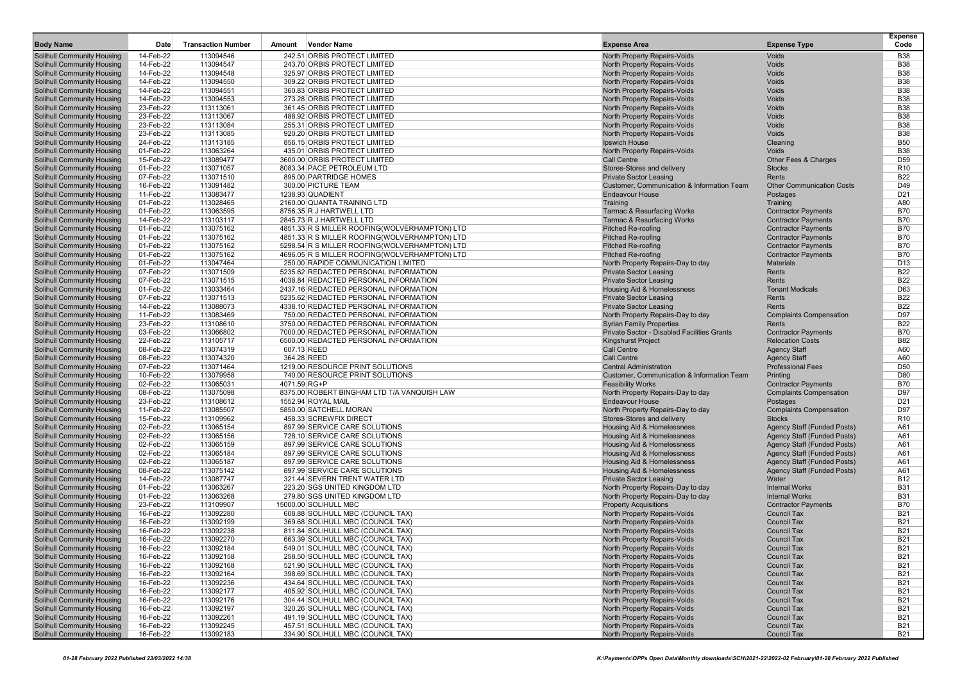| <b>Body Name</b>                                                       | Date                   | <b>Transaction Number</b> | <b>Vendor Name</b><br>Amount                                                                   | <b>Expense Area</b>                                                            | <b>Expense Type</b>                        | <b>Expense</b><br>Code   |
|------------------------------------------------------------------------|------------------------|---------------------------|------------------------------------------------------------------------------------------------|--------------------------------------------------------------------------------|--------------------------------------------|--------------------------|
| <b>Solihull Community Housing</b>                                      | 14-Feb-22              | 113094546                 | 242.51 ORBIS PROTECT LIMITED                                                                   | North Property Repairs-Voids                                                   | Voids                                      | <b>B38</b>               |
| <b>Solihull Community Housing</b>                                      | 14-Feb-22              | 113094547                 | 243.70 ORBIS PROTECT LIMITED                                                                   | North Property Repairs-Voids                                                   | Voids                                      | <b>B38</b>               |
| <b>Solihull Community Housing</b>                                      | 14-Feb-22              | 113094548                 | 325.97 ORBIS PROTECT LIMITED                                                                   | North Property Repairs-Voids                                                   | Voids                                      | <b>B38</b>               |
| <b>Solihull Community Housing</b>                                      | 14-Feb-22              | 113094550                 | 309.22 ORBIS PROTECT LIMITED                                                                   | North Property Repairs-Voids                                                   | Voids                                      | <b>B38</b>               |
| <b>Solihull Community Housing</b>                                      | 14-Feb-22              | 113094551                 | 360.83 ORBIS PROTECT LIMITED                                                                   | North Property Repairs-Voids                                                   | Voids                                      | <b>B38</b>               |
| <b>Solihull Community Housing</b>                                      | 14-Feb-22              | 113094553                 | 273.28 ORBIS PROTECT LIMITED                                                                   | North Property Repairs-Voids                                                   | Voids                                      | <b>B38</b>               |
| <b>Solihull Community Housing</b>                                      | 23-Feb-22              | 113113061                 | 361.45 ORBIS PROTECT LIMITED                                                                   | North Property Repairs-Voids                                                   | Voids                                      | <b>B38</b>               |
| <b>Solihull Community Housing</b>                                      | 23-Feb-22              | 113113067                 | 488.92 ORBIS PROTECT LIMITED                                                                   | <b>North Property Repairs-Voids</b>                                            | Voids                                      | <b>B38</b>               |
| <b>Solihull Community Housing</b>                                      | 23-Feb-22              | 113113084                 | 255.31 ORBIS PROTECT LIMITED                                                                   | North Property Repairs-Voids                                                   | Voids                                      | <b>B38</b>               |
| <b>Solihull Community Housing</b>                                      | 23-Feb-22              | 113113085                 | 920.20 ORBIS PROTECT LIMITED                                                                   | North Property Repairs-Voids                                                   | Voids                                      | <b>B38</b>               |
| <b>Solihull Community Housing</b>                                      | 24-Feb-22              | 113113185                 | 856.15 ORBIS PROTECT LIMITED                                                                   | Ipswich House                                                                  | Cleaning                                   | <b>B50</b>               |
| <b>Solihull Community Housing</b>                                      | 01-Feb-22              | 113063264                 | 435.01 ORBIS PROTECT LIMITED                                                                   | North Property Repairs-Voids                                                   | Voids                                      | <b>B38</b>               |
| Solihull Community Housing                                             | 15-Feb-22              | 113089477                 | 3600.00 ORBIS PROTECT LIMITED                                                                  | <b>Call Centre</b>                                                             | Other Fees & Charges                       | D <sub>59</sub>          |
| <b>Solihull Community Housing</b>                                      | 01-Feb-22              | 113071057                 | 8083.34 PACE PETROLEUM LTD                                                                     | Stores-Stores and delivery                                                     | <b>Stocks</b>                              | R <sub>10</sub>          |
| <b>Solihull Community Housing</b>                                      | 07-Feb-22              | 113071510                 | 895.00 PARTRIDGE HOMES                                                                         | <b>Private Sector Leasing</b>                                                  | Rents                                      | <b>B22</b>               |
| <b>Solihull Community Housing</b>                                      | 16-Feb-22              | 113091482                 | 300.00 PICTURE TEAM                                                                            | Customer, Communication & Information Team                                     | <b>Other Communication Costs</b>           | D49                      |
| Solihull Community Housing                                             | 11-Feb-22              | 113083477                 | 1238.93 QUADIENT                                                                               | <b>Endeavour House</b>                                                         | Postages                                   | D <sub>21</sub>          |
| <b>Solihull Community Housing</b>                                      | 01-Feb-22              | 113028465                 | 2160.00 QUANTA TRAINING LTD                                                                    | Training                                                                       | Training                                   | A80<br><b>B70</b>        |
| <b>Solihull Community Housing</b>                                      | 01-Feb-22<br>14-Feb-22 | 113063595<br>113103117    | 8756.35 R J HARTWELL LTD<br>2845.73 R J HARTWELL LTD                                           | <b>Tarmac &amp; Resurfacing Works</b><br><b>Tarmac &amp; Resurfacing Works</b> | <b>Contractor Payments</b>                 | <b>B70</b>               |
| <b>Solihull Community Housing</b>                                      | 01-Feb-22              | 113075162                 | 4851.33 R S MILLER ROOFING(WOLVERHAMPTON) LTD                                                  |                                                                                | <b>Contractor Payments</b>                 | <b>B70</b>               |
| <b>Solihull Community Housing</b>                                      | 01-Feb-22              | 113075162                 |                                                                                                | <b>Pitched Re-roofing</b>                                                      | <b>Contractor Payments</b>                 | <b>B70</b>               |
| <b>Solihull Community Housing</b>                                      |                        |                           | 4851.33 R S MILLER ROOFING(WOLVERHAMPTON) LTD                                                  | <b>Pitched Re-roofing</b>                                                      | <b>Contractor Payments</b>                 | <b>B70</b>               |
| <b>Solihull Community Housing</b><br><b>Solihull Community Housing</b> | 01-Feb-22              | 113075162                 | 5298.54 R S MILLER ROOFING(WOLVERHAMPTON) LTD<br>4696.05 R S MILLER ROOFING(WOLVERHAMPTON) LTD | Pitched Re-roofing<br><b>Pitched Re-roofing</b>                                | <b>Contractor Payments</b>                 | <b>B70</b>               |
|                                                                        | 01-Feb-22              | 113075162                 |                                                                                                |                                                                                | <b>Contractor Payments</b>                 | D <sub>13</sub>          |
| <b>Solihull Community Housing</b>                                      | 01-Feb-22              | 113047464                 | 250.00 RAPIDE COMMUNICATION LIMITED                                                            | North Property Repairs-Day to day                                              | <b>Materials</b>                           |                          |
| <b>Solihull Community Housing</b>                                      | 07-Feb-22              | 113071509                 | 5235.62 REDACTED PERSONAL INFORMATION                                                          | <b>Private Sector Leasing</b>                                                  | Rents                                      | <b>B22</b>               |
| <b>Solihull Community Housing</b>                                      | 07-Feb-22              | 113071515<br>113033464    | 4038.84 REDACTED PERSONAL INFORMATION<br>2437.16 REDACTED PERSONAL INFORMATION                 | <b>Private Sector Leasing</b>                                                  | Rents<br><b>Tenant Medicals</b>            | <b>B22</b><br>D63        |
| <b>Solihull Community Housing</b>                                      | 01-Feb-22              |                           |                                                                                                | <b>Housing Aid &amp; Homelessness</b>                                          |                                            |                          |
| <b>Solihull Community Housing</b>                                      | 07-Feb-22              | 113071513                 | 5235.62 REDACTED PERSONAL INFORMATION                                                          | <b>Private Sector Leasing</b>                                                  | Rents                                      | <b>B22</b><br><b>B22</b> |
| <b>Solihull Community Housing</b>                                      | 14-Feb-22              | 113088073                 | 4338.10 REDACTED PERSONAL INFORMATION                                                          | <b>Private Sector Leasing</b>                                                  | Rents                                      | D97                      |
| <b>Solihull Community Housing</b>                                      | 11-Feb-22              | 113083469<br>113108610    | 750.00 REDACTED PERSONAL INFORMATION                                                           | North Property Repairs-Day to day                                              | <b>Complaints Compensation</b><br>Rents    | <b>B22</b>               |
| <b>Solihull Community Housing</b><br><b>Solihull Community Housing</b> | 23-Feb-22<br>03-Feb-22 | 113066802                 | 3750.00 REDACTED PERSONAL INFORMATION<br>7000.00 REDACTED PERSONAL INFORMATION                 | <b>Syrian Family Properties</b><br>Private Sector - Disabled Facilities Grants | <b>Contractor Payments</b>                 | <b>B70</b>               |
| <b>Solihull Community Housing</b>                                      | 22-Feb-22              | 113105717                 | 6500.00 REDACTED PERSONAL INFORMATION                                                          | <b>Kingshurst Project</b>                                                      | <b>Relocation Costs</b>                    | <b>B82</b>               |
|                                                                        | 08-Feb-22              | 113074319                 | 607.13 REED                                                                                    | <b>Call Centre</b>                                                             |                                            | A60                      |
| <b>Solihull Community Housing</b><br><b>Solihull Community Housing</b> | 08-Feb-22              | 113074320                 | 364.28 REED                                                                                    | <b>Call Centre</b>                                                             | <b>Agency Staff</b><br><b>Agency Staff</b> | A60                      |
| <b>Solihull Community Housing</b>                                      | 07-Feb-22              | 113071464                 | 1219.00 RESOURCE PRINT SOLUTIONS                                                               | <b>Central Administration</b>                                                  | <b>Professional Fees</b>                   | D <sub>50</sub>          |
| <b>Solihull Community Housing</b>                                      | 10-Feb-22              | 113079958                 | 740.00 RESOURCE PRINT SOLUTIONS                                                                | Customer, Communication & Information Team                                     | Printing                                   | D80                      |
| <b>Solihull Community Housing</b>                                      | 02-Feb-22              | 113065031                 | 4071.59 RG+P                                                                                   | <b>Feasibility Works</b>                                                       | <b>Contractor Payments</b>                 | <b>B70</b>               |
| <b>Solihull Community Housing</b>                                      | 08-Feb-22              | 113075098                 | 8375.00 ROBERT BINGHAM LTD T/A VANQUISH LAW                                                    | North Property Repairs-Day to day                                              | <b>Complaints Compensation</b>             | D97                      |
| <b>Solihull Community Housing</b>                                      | 23-Feb-22              | 113108612                 | 1552.94 ROYAL MAIL                                                                             | <b>Endeavour House</b>                                                         | Postages                                   | D <sub>21</sub>          |
| <b>Solihull Community Housing</b>                                      | 11-Feb-22              | 113085507                 | 5850.00 SATCHELL MORAN                                                                         | North Property Repairs-Day to day                                              | <b>Complaints Compensation</b>             | D97                      |
| <b>Solihull Community Housing</b>                                      | 15-Feb-22              | 113109962                 | 458.33 SCREWFIX DIRECT                                                                         | Stores-Stores and delivery                                                     | <b>Stocks</b>                              | R <sub>10</sub>          |
| <b>Solihull Community Housing</b>                                      | 02-Feb-22              | 113065154                 | 897.99 SERVICE CARE SOLUTIONS                                                                  | Housing Aid & Homelessness                                                     | <b>Agency Staff (Funded Posts)</b>         | A61                      |
| <b>Solihull Community Housing</b>                                      | 02-Feb-22              | 113065156                 | 728.10 SERVICE CARE SOLUTIONS                                                                  | Housing Aid & Homelessness                                                     | <b>Agency Staff (Funded Posts)</b>         | A61                      |
| <b>Solihull Community Housing</b>                                      | 02-Feb-22              | 113065159                 | 897.99 SERVICE CARE SOLUTIONS                                                                  | Housing Aid & Homelessness                                                     | <b>Agency Staff (Funded Posts)</b>         | A61                      |
| <b>Solihull Community Housing</b>                                      | 02-Feb-22              | 113065184                 | 897.99 SERVICE CARE SOLUTIONS                                                                  | <b>Housing Aid &amp; Homelessness</b>                                          | Agency Staff (Funded Posts)                | A61                      |
| <b>Solihull Community Housing</b>                                      | 02-Feb-22              | 113065187                 | 897.99 SERVICE CARE SOLUTIONS                                                                  | <b>Housing Aid &amp; Homelessness</b>                                          | Agency Staff (Funded Posts)                | A61                      |
| <b>Solihull Community Housing</b>                                      | 08-Feb-22              | 113075142                 | 897.99 SERVICE CARE SOLUTIONS                                                                  | <b>Housing Aid &amp; Homelessness</b>                                          | <b>Agency Staff (Funded Posts)</b>         | A61                      |
| <b>Solihull Community Housing</b>                                      | 14-Feb-22              | 113087747                 | 321.44 SEVERN TRENT WATER LTD                                                                  | <b>Private Sector Leasing</b>                                                  | Water                                      | <b>B12</b>               |
| <b>Solihull Community Housing</b>                                      | 01-Feb-22              | 113063267                 | 223.20 SGS UNITED KINGDOM LTD                                                                  | North Property Repairs-Day to day                                              | <b>Internal Works</b>                      | <b>B31</b>               |
| <b>Solihull Community Housing</b>                                      | 01-Feb-22              | 113063268                 | 279.80 SGS UNITED KINGDOM LTD                                                                  | North Property Repairs-Day to day                                              | <b>Internal Works</b>                      | <b>B31</b>               |
| <b>Solihull Community Housing</b>                                      | 23-Feb-22              | 113109907                 | 15000.00 SOLIHULL MBC                                                                          | <b>Property Acquisitions</b>                                                   | <b>Contractor Payments</b>                 | <b>B70</b>               |
| <b>Solihull Community Housing</b>                                      | 16-Feb-22              | 113092280                 | 608.88 SOLIHULL MBC (COUNCIL TAX)                                                              | North Property Repairs-Voids                                                   | <b>Council Tax</b>                         | <b>B21</b>               |
| <b>Solihull Community Housing</b>                                      | 16-Feb-22              | 113092199                 | 369.68 SOLIHULL MBC (COUNCIL TAX)                                                              | <b>North Property Repairs-Voids</b>                                            | <b>Council Tax</b>                         | <b>B21</b>               |
| <b>Solihull Community Housing</b>                                      | 16-Feb-22              | 113092238                 | 811.84 SOLIHULL MBC (COUNCIL TAX)                                                              | North Property Repairs-Voids                                                   | <b>Council Tax</b>                         | <b>B21</b>               |
| <b>Solihull Community Housing</b>                                      | 16-Feb-22              | 113092270                 | 663.39 SOLIHULL MBC (COUNCIL TAX)                                                              | North Property Repairs-Voids                                                   | <b>Council Tax</b>                         | <b>B21</b>               |
| <b>Solihull Community Housing</b>                                      | 16-Feb-22              | 113092184                 | 549.01 SOLIHULL MBC (COUNCIL TAX)                                                              | North Property Repairs-Voids                                                   | <b>Council Tax</b>                         | <b>B21</b>               |
| Solihull Community Housing                                             | 16-Feb-22              | 113092158                 | 258.50 SOLIHULL MBC (COUNCIL TAX)                                                              | <b>North Property Repairs-Voids</b>                                            | <b>Council Tax</b>                         | <b>B21</b>               |
| Solihull Community Housing                                             | 16-Feb-22              | 113092168                 | 521.90 SOLIHULL MBC (COUNCIL TAX)                                                              | North Property Repairs-Voids                                                   | <b>Council Tax</b>                         | <b>B21</b>               |
| Solihull Community Housing                                             | 16-Feb-22              | 113092164                 | 398.69 SOLIHULL MBC (COUNCIL TAX)                                                              | North Property Repairs-Voids                                                   | <b>Council Tax</b>                         | <b>B21</b>               |
| Solihull Community Housing                                             | 16-Feb-22              | 113092236                 | 434.64 SOLIHULL MBC (COUNCIL TAX)                                                              | North Property Repairs-Voids                                                   | <b>Council Tax</b>                         | <b>B21</b>               |
| Solihull Community Housing                                             | 16-Feb-22              | 113092177                 | 405.92 SOLIHULL MBC (COUNCIL TAX)                                                              | North Property Repairs-Voids                                                   | <b>Council Tax</b>                         | <b>B21</b>               |
| <b>Solihull Community Housing</b>                                      | 16-Feb-22              | 113092176                 | 304.44 SOLIHULL MBC (COUNCIL TAX)                                                              | North Property Repairs-Voids                                                   | <b>Council Tax</b>                         | <b>B21</b>               |
| <b>Solihull Community Housing</b>                                      | 16-Feb-22              | 113092197                 | 320.26 SOLIHULL MBC (COUNCIL TAX)                                                              | North Property Repairs-Voids                                                   | <b>Council Tax</b>                         | <b>B21</b>               |
| Solihull Community Housing                                             | 16-Feb-22              | 113092261                 | 491.19 SOLIHULL MBC (COUNCIL TAX)                                                              | North Property Repairs-Voids                                                   | <b>Council Tax</b>                         | <b>B21</b>               |
| Solihull Community Housing                                             | 16-Feb-22              | 113092245                 | 457.51 SOLIHULL MBC (COUNCIL TAX)                                                              | North Property Repairs-Voids                                                   | <b>Council Tax</b>                         | <b>B21</b>               |
| <b>Solihull Community Housing</b>                                      | 16-Feb-22              | 113092183                 | 334.90 SOLIHULL MBC (COUNCIL TAX)                                                              | North Property Repairs-Voids                                                   | Council Tax                                | <b>B21</b>               |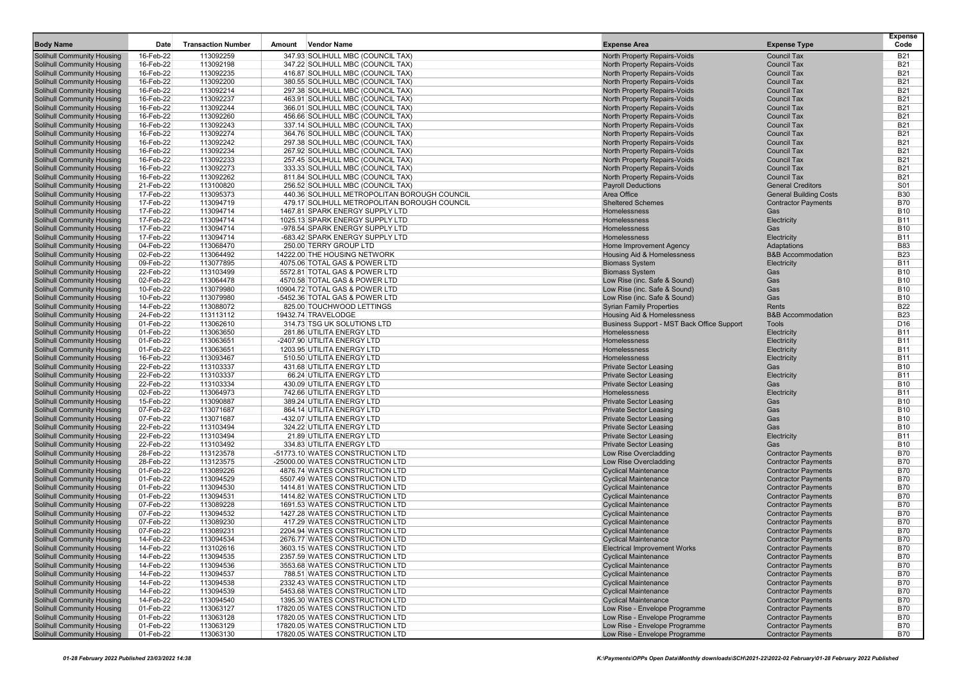| <b>Body Name</b>                                                       | Date                   | <b>Transaction Number</b> | <b>Vendor Name</b><br>Amount                                           | <b>Expense Area</b>                                                      | <b>Expense Type</b>                                      | <b>Expense</b><br>Code   |
|------------------------------------------------------------------------|------------------------|---------------------------|------------------------------------------------------------------------|--------------------------------------------------------------------------|----------------------------------------------------------|--------------------------|
| <b>Solihull Community Housing</b>                                      | 16-Feb-22              | 113092259                 | 347.93 SOLIHULL MBC (COUNCIL TAX)                                      | North Property Repairs-Voids                                             | <b>Council Tax</b>                                       | <b>B21</b>               |
| <b>Solihull Community Housing</b>                                      | 16-Feb-22              | 113092198                 | 347.22 SOLIHULL MBC (COUNCIL TAX)                                      | North Property Repairs-Voids                                             | <b>Council Tax</b>                                       | <b>B21</b>               |
| <b>Solihull Community Housing</b>                                      | 16-Feb-22              | 113092235                 | 416.87 SOLIHULL MBC (COUNCIL TAX)                                      | North Property Repairs-Voids                                             | <b>Council Tax</b>                                       | <b>B21</b>               |
| <b>Solihull Community Housing</b>                                      | 16-Feb-22              | 113092200                 | 380.55 SOLIHULL MBC (COUNCIL TAX)                                      | North Property Repairs-Voids                                             | <b>Council Tax</b>                                       | <b>B21</b>               |
| <b>Solihull Community Housing</b>                                      | 16-Feb-22              | 113092214                 | 297.38 SOLIHULL MBC (COUNCIL TAX)                                      | North Property Repairs-Voids                                             | <b>Council Tax</b>                                       | <b>B21</b>               |
| Solihull Community Housing                                             | 16-Feb-22              | 113092237                 | 463.91 SOLIHULL MBC (COUNCIL TAX)                                      | North Property Repairs-Voids                                             | <b>Council Tax</b>                                       | <b>B21</b>               |
| Solihull Community Housing                                             | 16-Feb-22              | 113092244                 | 366.01 SOLIHULL MBC (COUNCIL TAX)                                      | North Property Repairs-Voids                                             | <b>Council Tax</b>                                       | <b>B21</b>               |
| <b>Solihull Community Housing</b>                                      | 16-Feb-22              | 113092260                 | 456.66 SOLIHULL MBC (COUNCIL TAX)                                      | North Property Repairs-Voids                                             | <b>Council Tax</b>                                       | <b>B21</b>               |
| <b>Solihull Community Housing</b>                                      | 16-Feb-22              | 113092243                 | 337.14 SOLIHULL MBC (COUNCIL TAX)                                      | North Property Repairs-Voids                                             | <b>Council Tax</b>                                       | <b>B21</b>               |
| <b>Solihull Community Housing</b>                                      | 16-Feb-22              | 113092274                 | 364.76 SOLIHULL MBC (COUNCIL TAX)                                      | North Property Repairs-Voids                                             | <b>Council Tax</b>                                       | <b>B21</b>               |
| Solihull Community Housing                                             | 16-Feb-22              | 113092242                 | 297.38 SOLIHULL MBC (COUNCIL TAX)                                      | North Property Repairs-Voids                                             | <b>Council Tax</b>                                       | <b>B21</b>               |
| <b>Solihull Community Housing</b>                                      | 16-Feb-22              | 113092234                 | 267.92 SOLIHULL MBC (COUNCIL TAX)                                      | North Property Repairs-Voids                                             | <b>Council Tax</b>                                       | <b>B21</b>               |
| <b>Solihull Community Housing</b>                                      | 16-Feb-22              | 113092233                 | 257.45 SOLIHULL MBC (COUNCIL TAX)                                      | North Property Repairs-Voids                                             | <b>Council Tax</b>                                       | <b>B21</b>               |
| <b>Solihull Community Housing</b><br><b>Solihull Community Housing</b> | 16-Feb-22<br>16-Feb-22 | 113092273<br>113092262    | 333.33 SOLIHULL MBC (COUNCIL TAX)<br>811.84 SOLIHULL MBC (COUNCIL TAX) | North Property Repairs-Voids<br>North Property Repairs-Voids             | <b>Council Tax</b><br><b>Council Tax</b>                 | <b>B21</b><br><b>B21</b> |
| <b>Solihull Community Housing</b>                                      | 21-Feb-22              | 113100820                 | 256.52 SOLIHULL MBC (COUNCIL TAX)                                      | <b>Payroll Deductions</b>                                                | <b>General Creditors</b>                                 | S01                      |
| <b>Solihull Community Housing</b>                                      | 17-Feb-22              | 113095373                 | 440.36 SOLIHULL METROPOLITAN BOROUGH COUNCIL                           | Area Office                                                              | <b>General Building Costs</b>                            | <b>B30</b>               |
| <b>Solihull Community Housing</b>                                      | 17-Feb-22              | 113094719                 | 479.17 SOLIHULL METROPOLITAN BOROUGH COUNCIL                           | <b>Sheltered Schemes</b>                                                 | <b>Contractor Payments</b>                               | <b>B70</b>               |
| <b>Solihull Community Housing</b>                                      | 17-Feb-22              | 113094714                 | 1467.81 SPARK ENERGY SUPPLY LTD                                        | <b>Homelessness</b>                                                      | Gas                                                      | <b>B10</b>               |
| Solihull Community Housing                                             | 17-Feb-22              | 113094714                 | 1025.13 SPARK ENERGY SUPPLY LTD                                        | Homelessness                                                             | Electricity                                              | <b>B11</b>               |
| <b>Solihull Community Housing</b>                                      | 17-Feb-22              | 113094714                 | -978.54 SPARK ENERGY SUPPLY LTD                                        | Homelessness                                                             | Gas                                                      | <b>B10</b>               |
| Solihull Community Housing                                             | 17-Feb-22              | 113094714                 | -683.42 SPARK ENERGY SUPPLY LTD                                        | Homelessness                                                             | Electricity                                              | <b>B11</b>               |
| <b>Solihull Community Housing</b>                                      | 04-Feb-22              | 113068470                 | 250.00 TERRY GROUP LTD                                                 | Home Improvement Agency                                                  | Adaptations                                              | <b>B83</b>               |
| <b>Solihull Community Housing</b>                                      | 02-Feb-22              | 113064492                 | 14222.00 THE HOUSING NETWORK                                           | Housing Aid & Homelessness                                               | <b>B&amp;B Accommodation</b>                             | <b>B23</b>               |
| <b>Solihull Community Housing</b>                                      | 09-Feb-22              | 113077895                 | 4075.06 TOTAL GAS & POWER LTD                                          | <b>Biomass System</b>                                                    | Electricity                                              | <b>B11</b>               |
| <b>Solihull Community Housing</b>                                      | 22-Feb-22              | 113103499                 | 5572.81 TOTAL GAS & POWER LTD                                          | <b>Biomass System</b>                                                    | Gas                                                      | <b>B10</b>               |
| <b>Solihull Community Housing</b>                                      | 02-Feb-22              | 113064478                 | 4570.58 TOTAL GAS & POWER LTD                                          | Low Rise (inc. Safe & Sound)                                             | Gas                                                      | <b>B10</b>               |
| <b>Solihull Community Housing</b>                                      | 10-Feb-22              | 113079980                 | 10904.72 TOTAL GAS & POWER LTD                                         | Low Rise (inc. Safe & Sound)                                             | Gas                                                      | <b>B10</b>               |
| <b>Solihull Community Housing</b>                                      | 10-Feb-22              | 113079980                 | -5452.36 TOTAL GAS & POWER LTD                                         | Low Rise (inc. Safe & Sound)                                             | Gas                                                      | <b>B10</b>               |
| Solihull Community Housing<br><b>Solihull Community Housing</b>        | 14-Feb-22              | 113088072                 | 825.00 TOUCHWOOD LETTINGS<br>19432.74 TRAVELODGE                       | <b>Syrian Family Properties</b>                                          | Rents<br><b>B&amp;B Accommodation</b>                    | <b>B22</b><br><b>B23</b> |
| <b>Solihull Community Housing</b>                                      | 24-Feb-22<br>01-Feb-22 | 113113112<br>113062610    | 314.73 TSG UK SOLUTIONS LTD                                            | Housing Aid & Homelessness<br>Business Support - MST Back Office Support | Tools                                                    | D <sub>16</sub>          |
| Solihull Community Housing                                             | 01-Feb-22              | 113063650                 | 281.86 UTILITA ENERGY LTD                                              | <b>Homelessness</b>                                                      | Electricity                                              | <b>B11</b>               |
| Solihull Community Housing                                             | 01-Feb-22              | 113063651                 | -2407.90 UTILITA ENERGY LTD                                            | Homelessness                                                             | Electricity                                              | <b>B11</b>               |
| <b>Solihull Community Housing</b>                                      | 01-Feb-22              | 113063651                 | 1203.95 UTILITA ENERGY LTD                                             | Homelessness                                                             | Electricity                                              | <b>B11</b>               |
| <b>Solihull Community Housing</b>                                      | 16-Feb-22              | 113093467                 | 510.50 UTILITA ENERGY LTD                                              | Homelessness                                                             | Electricity                                              | <b>B11</b>               |
| Solihull Community Housing                                             | 22-Feb-22              | 113103337                 | 431.68 UTILITA ENERGY LTD                                              | <b>Private Sector Leasing</b>                                            | Gas                                                      | <b>B10</b>               |
| <b>Solihull Community Housing</b>                                      | 22-Feb-22              | 113103337                 | 66.24 UTILITA ENERGY LTD                                               | <b>Private Sector Leasing</b>                                            | Electricity                                              | <b>B11</b>               |
| <b>Solihull Community Housing</b>                                      | 22-Feb-22              | 113103334                 | 430.09 UTILITA ENERGY LTD                                              | <b>Private Sector Leasing</b>                                            | Gas                                                      | <b>B10</b>               |
| <b>Solihull Community Housing</b>                                      | 02-Feb-22              | 113064973                 | 742.66 UTILITA ENERGY LTD                                              | Homelessness                                                             | Electricity                                              | <b>B11</b>               |
| <b>Solihull Community Housing</b>                                      | 15-Feb-22              | 113090887                 | 389.24 UTILITA ENERGY LTD                                              | <b>Private Sector Leasing</b>                                            | Gas                                                      | <b>B10</b>               |
| <b>Solihull Community Housing</b>                                      | 07-Feb-22              | 113071687                 | 864.14 UTILITA ENERGY LTD                                              | <b>Private Sector Leasing</b>                                            | Gas                                                      | <b>B10</b>               |
| Solihull Community Housing                                             | 07-Feb-22              | 113071687                 | -432.07 UTILITA ENERGY LTD                                             | <b>Private Sector Leasing</b>                                            | Gas                                                      | <b>B10</b>               |
| <b>Solihull Community Housing</b>                                      | 22-Feb-22              | 113103494                 | 324.22 UTILITA ENERGY LTD                                              | <b>Private Sector Leasing</b>                                            | Gas                                                      | <b>B10</b>               |
| Solihull Community Housing                                             | 22-Feb-22              | 113103494                 | 21.89 UTILITA ENERGY LTD                                               | <b>Private Sector Leasing</b>                                            | Electricity                                              | <b>B11</b><br><b>B10</b> |
| Solihull Community Housing<br><b>Solihull Community Housing</b>        | 22-Feb-22<br>28-Feb-22 | 113103492<br>113123578    | 334.83 UTILITA ENERGY LTD<br>-51773.10 WATES CONSTRUCTION LTD          | <b>Private Sector Leasing</b><br>Low Rise Overcladding                   | Gas<br><b>Contractor Payments</b>                        | <b>B70</b>               |
| <b>Solihull Community Housing</b>                                      | 28-Feb-22              | 113123575                 | -25000.00 WATES CONSTRUCTION LTD                                       | Low Rise Overcladding                                                    | <b>Contractor Payments</b>                               | <b>B70</b>               |
| <b>Solihull Community Housing</b>                                      | 01-Feb-22              | 113089226                 | 4876.74 WATES CONSTRUCTION LTD                                         | <b>Cyclical Maintenance</b>                                              | <b>Contractor Payments</b>                               | <b>B70</b>               |
| <b>Solihull Community Housing</b>                                      | 01-Feb-22              | 113094529                 | 5507.49 WATES CONSTRUCTION LTD                                         | <b>Cyclical Maintenance</b>                                              | <b>Contractor Payments</b>                               | <b>B70</b>               |
| <b>Solihull Community Housing</b>                                      | 01-Feb-22              | 113094530                 | 1414.81 WATES CONSTRUCTION LTD                                         | <b>Cyclical Maintenance</b>                                              | <b>Contractor Payments</b>                               | <b>B70</b>               |
| <b>Solihull Community Housing</b>                                      | 01-Feb-22              | 113094531                 | 1414.82 WATES CONSTRUCTION LTD                                         | <b>Cyclical Maintenance</b>                                              | <b>Contractor Payments</b>                               | <b>B70</b>               |
| Solihull Community Housing                                             | 07-Feb-22              | 113089228                 | 1691.53 WATES CONSTRUCTION LTD                                         | <b>Cyclical Maintenance</b>                                              | <b>Contractor Payments</b>                               | <b>B70</b>               |
| <b>Solihull Community Housing</b>                                      | 07-Feb-22              | 113094532                 | 1427.28 WATES CONSTRUCTION LTD                                         | <b>Cyclical Maintenance</b>                                              | <b>Contractor Payments</b>                               | <b>B70</b>               |
| <b>Solihull Community Housing</b>                                      | 07-Feb-22              | 113089230                 | 417.29 WATES CONSTRUCTION LTD                                          | <b>Cyclical Maintenance</b>                                              | <b>Contractor Payments</b>                               | <b>B70</b>               |
| <b>Solihull Community Housing</b>                                      | 07-Feb-22              | 113089231                 | 2204.94 WATES CONSTRUCTION LTD                                         | <b>Cyclical Maintenance</b>                                              | <b>Contractor Payments</b>                               | <b>B70</b>               |
| <b>Solihull Community Housing</b>                                      | 14-Feb-22              | 113094534                 | 2676.77 WATES CONSTRUCTION LTD                                         | <b>Cyclical Maintenance</b>                                              | <b>Contractor Payments</b>                               | <b>B70</b>               |
| Solihull Community Housing                                             | 14-Feb-22              | 113102616                 | 3603.15 WATES CONSTRUCTION LTD                                         | <b>Electrical Improvement Works</b>                                      | <b>Contractor Payments</b>                               | <b>B70</b>               |
| <b>Solihull Community Housing</b>                                      | 14-Feb-22              | 113094535                 | 2357.59 WATES CONSTRUCTION LTD                                         | <b>Cyclical Maintenance</b>                                              | <b>Contractor Payments</b>                               | <b>B70</b>               |
| <b>Solihull Community Housing</b><br><b>Solihull Community Housing</b> | 14-Feb-22<br>14-Feb-22 | 113094536<br>113094537    | 3553.68 WATES CONSTRUCTION LTD                                         | <b>Cyclical Maintenance</b><br><b>Cyclical Maintenance</b>               | <b>Contractor Payments</b><br><b>Contractor Payments</b> | <b>B70</b>               |
| Solihull Community Housing                                             | 14-Feb-22              | 113094538                 | 788.51 WATES CONSTRUCTION LTD<br>2332.43 WATES CONSTRUCTION LTD        | <b>Cyclical Maintenance</b>                                              | <b>Contractor Payments</b>                               | <b>B70</b><br><b>B70</b> |
| <b>Solihull Community Housing</b>                                      | 14-Feb-22              | 113094539                 | 5453.68 WATES CONSTRUCTION LTD                                         | <b>Cyclical Maintenance</b>                                              | <b>Contractor Payments</b>                               | <b>B70</b>               |
| <b>Solihull Community Housing</b>                                      | 14-Feb-22              | 113094540                 | 1395.30 WATES CONSTRUCTION LTD                                         | <b>Cyclical Maintenance</b>                                              | <b>Contractor Payments</b>                               | <b>B70</b>               |
| <b>Solihull Community Housing</b>                                      | 01-Feb-22              | 113063127                 | 17820.05 WATES CONSTRUCTION LTD                                        | Low Rise - Envelope Programme                                            | <b>Contractor Payments</b>                               | <b>B70</b>               |
| Solihull Community Housing                                             | 01-Feb-22              | 113063128                 | 17820.05 WATES CONSTRUCTION LTD                                        | Low Rise - Envelope Programme                                            | <b>Contractor Payments</b>                               | <b>B70</b>               |
| <b>Solihull Community Housing</b>                                      | 01-Feb-22              | 113063129                 | 17820.05 WATES CONSTRUCTION LTD                                        | Low Rise - Envelope Programme                                            | <b>Contractor Payments</b>                               | <b>B70</b>               |
| <b>Solihull Community Housing</b>                                      | 01-Feb-22              | 113063130                 | 17820.05 WATES CONSTRUCTION LTD                                        | Low Rise - Envelope Programme                                            | <b>Contractor Payments</b>                               | <b>B70</b>               |